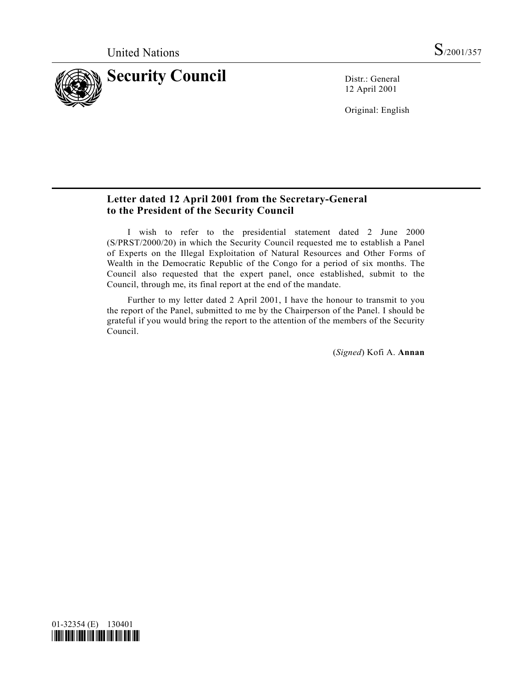

12 April 2001

Original: English

## **Letter dated 12 April 2001 from the Secretary-General to the President of the Security Council**

I wish to refer to the presidential statement dated 2 June 2000 (S/PRST/2000/20) in which the Security Council requested me to establish a Panel of Experts on the Illegal Exploitation of Natural Resources and Other Forms of Wealth in the Democratic Republic of the Congo for a period of six months. The Council also requested that the expert panel, once established, submit to the Council, through me, its final report at the end of the mandate.

Further to my letter dated 2 April 2001, I have the honour to transmit to you the report of the Panel, submitted to me by the Chairperson of the Panel. I should be grateful if you would bring the report to the attention of the members of the Security Council.

(*Signed*) Kofi A. **Annan**

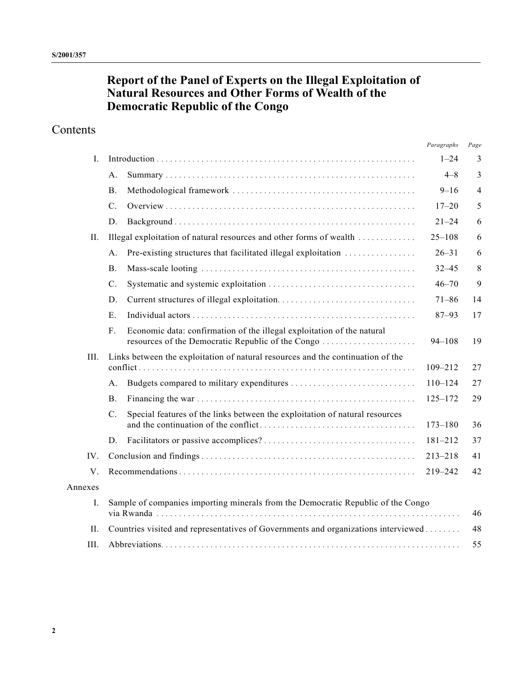## **Report of the Panel of Experts on the Illegal Exploitation of Natural Resources and Other Forms of Wealth of the Democratic Republic of the Congo**

## Contents

|          |                                                                                    |                                                                                 | Paragraphs  | Page           |
|----------|------------------------------------------------------------------------------------|---------------------------------------------------------------------------------|-------------|----------------|
| L        |                                                                                    |                                                                                 | $1 - 24$    | 3              |
|          | A.                                                                                 |                                                                                 | $4 - 8$     | 3              |
|          | B <sub>1</sub>                                                                     |                                                                                 | $9 - 16$    | $\overline{4}$ |
|          | $C$ .                                                                              |                                                                                 | $17 - 20$   | 5              |
|          | D.                                                                                 |                                                                                 | $21 - 24$   | 6              |
| H.       |                                                                                    | Illegal exploitation of natural resources and other forms of wealth             | $25 - 108$  | 6              |
|          | A.                                                                                 | Pre-existing structures that facilitated illegal exploitation                   | $26 - 31$   | 6              |
|          | <b>B.</b>                                                                          |                                                                                 | $32 - 45$   | 8              |
|          | $C$ .                                                                              |                                                                                 | $46 - 70$   | 9              |
|          | D.                                                                                 |                                                                                 | $71 - 86$   | 14             |
|          | E.                                                                                 |                                                                                 | $87 - 93$   | 17             |
|          | F.                                                                                 | Economic data: confirmation of the illegal exploitation of the natural          | $94 - 108$  | 19             |
| III.     |                                                                                    | Links between the exploitation of natural resources and the continuation of the | $109 - 212$ | 27             |
|          | A.                                                                                 |                                                                                 | $110 - 124$ | 27             |
|          | <b>B</b> .                                                                         |                                                                                 | $125 - 172$ | 29             |
|          | $C$ .                                                                              | Special features of the links between the exploitation of natural resources     | $173 - 180$ | 36             |
|          | D.                                                                                 |                                                                                 | $181 - 212$ | 37             |
| $IV_{-}$ |                                                                                    |                                                                                 | $213 - 218$ | 41             |
| V.       |                                                                                    |                                                                                 | $219 - 242$ | 42             |
| Annexes  |                                                                                    |                                                                                 |             |                |
| Ι.       | Sample of companies importing minerals from the Democratic Republic of the Congo   |                                                                                 |             | 46             |
| II.      | Countries visited and representatives of Governments and organizations interviewed |                                                                                 | 48          |                |
| III.     |                                                                                    |                                                                                 |             | 55             |
|          |                                                                                    |                                                                                 |             |                |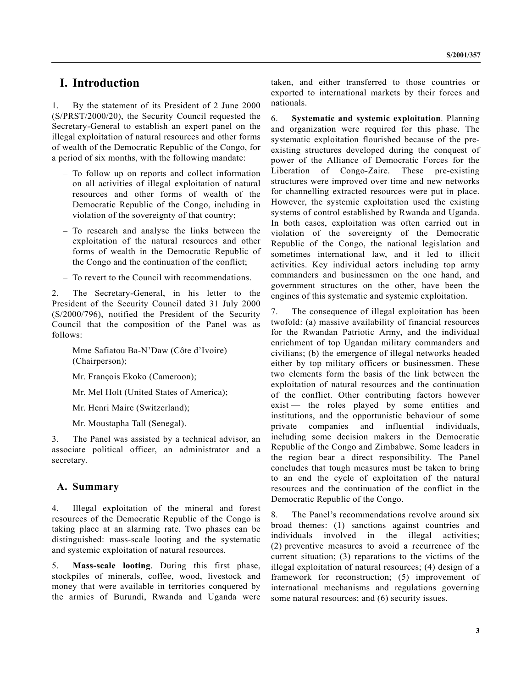## **I. Introduction**

1. By the statement of its President of 2 June 2000 (S/PRST/2000/20), the Security Council requested the Secretary-General to establish an expert panel on the illegal exploitation of natural resources and other forms of wealth of the Democratic Republic of the Congo, for a period of six months, with the following mandate:

- To follow up on reports and collect information on all activities of illegal exploitation of natural resources and other forms of wealth of the Democratic Republic of the Congo, including in violation of the sovereignty of that country;
- To research and analyse the links between the exploitation of the natural resources and other forms of wealth in the Democratic Republic of the Congo and the continuation of the conflict;
- To revert to the Council with recommendations.

2. The Secretary-General, in his letter to the President of the Security Council dated 31 July 2000 (S/2000/796), notified the President of the Security Council that the composition of the Panel was as follows:

Mme Safiatou Ba-N'Daw (Côte d'Ivoire) (Chairperson);

Mr. François Ekoko (Cameroon);

Mr. Mel Holt (United States of America);

- Mr. Henri Maire (Switzerland);
- Mr. Moustapha Tall (Senegal).

3. The Panel was assisted by a technical advisor, an associate political officer, an administrator and a secretary.

#### **A. Summary**

4. Illegal exploitation of the mineral and forest resources of the Democratic Republic of the Congo is taking place at an alarming rate. Two phases can be distinguished: mass-scale looting and the systematic and systemic exploitation of natural resources.

5. **Mass-scale looting**. During this first phase, stockpiles of minerals, coffee, wood, livestock and money that were available in territories conquered by the armies of Burundi, Rwanda and Uganda were

taken, and either transferred to those countries or exported to international markets by their forces and nationals.

6. **Systematic and systemic exploitation**. Planning and organization were required for this phase. The systematic exploitation flourished because of the preexisting structures developed during the conquest of power of the Alliance of Democratic Forces for the Liberation of Congo-Zaire. These pre-existing structures were improved over time and new networks for channelling extracted resources were put in place. However, the systemic exploitation used the existing systems of control established by Rwanda and Uganda. In both cases, exploitation was often carried out in violation of the sovereignty of the Democratic Republic of the Congo, the national legislation and sometimes international law, and it led to illicit activities. Key individual actors including top army commanders and businessmen on the one hand, and government structures on the other, have been the engines of this systematic and systemic exploitation.

7. The consequence of illegal exploitation has been twofold: (a) massive availability of financial resources for the Rwandan Patriotic Army, and the individual enrichment of top Ugandan military commanders and civilians; (b) the emergence of illegal networks headed either by top military officers or businessmen. These two elements form the basis of the link between the exploitation of natural resources and the continuation of the conflict. Other contributing factors however exist — the roles played by some entities and institutions, and the opportunistic behaviour of some private companies and influential individuals, including some decision makers in the Democratic Republic of the Congo and Zimbabwe. Some leaders in the region bear a direct responsibility. The Panel concludes that tough measures must be taken to bring to an end the cycle of exploitation of the natural resources and the continuation of the conflict in the Democratic Republic of the Congo.

8. The Panel's recommendations revolve around six broad themes: (1) sanctions against countries and individuals involved in the illegal activities; individuals involved in the (2) preventive measures to avoid a recurrence of the current situation; (3) reparations to the victims of the illegal exploitation of natural resources; (4) design of a framework for reconstruction; (5) improvement of international mechanisms and regulations governing some natural resources; and (6) security issues.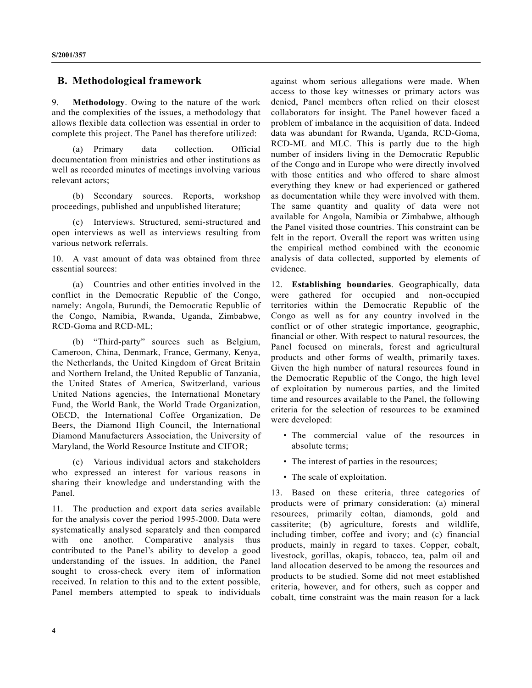### **B. Methodological framework**

9. **Methodology**. Owing to the nature of the work and the complexities of the issues, a methodology that allows flexible data collection was essential in order to complete this project. The Panel has therefore utilized:

(a) Primary data collection. Official documentation from ministries and other institutions as well as recorded minutes of meetings involving various relevant actors;

(b) Secondary sources. Reports, workshop proceedings, published and unpublished literature;

(c) Interviews. Structured, semi-structured and open interviews as well as interviews resulting from various network referrals.

10. A vast amount of data was obtained from three essential sources:

(a) Countries and other entities involved in the conflict in the Democratic Republic of the Congo, namely: Angola, Burundi, the Democratic Republic of the Congo, Namibia, Rwanda, Uganda, Zimbabwe, RCD-Goma and RCD-ML;

(b) "Third-party" sources such as Belgium, Cameroon, China, Denmark, France, Germany, Kenya, the Netherlands, the United Kingdom of Great Britain and Northern Ireland, the United Republic of Tanzania, the United States of America, Switzerland, various United Nations agencies, the International Monetary Fund, the World Bank, the World Trade Organization, OECD, the International Coffee Organization, De Beers, the Diamond High Council, the International Diamond Manufacturers Association, the University of Maryland, the World Resource Institute and CIFOR;

(c) Various individual actors and stakeholders who expressed an interest for various reasons in sharing their knowledge and understanding with the Panel.

11. The production and export data series available for the analysis cover the period 1995-2000. Data were systematically analysed separately and then compared with one another. Comparative analysis thus contributed to the Panel's ability to develop a good understanding of the issues. In addition, the Panel sought to cross-check every item of information received. In relation to this and to the extent possible, Panel members attempted to speak to individuals

against whom serious allegations were made. When access to those key witnesses or primary actors was denied, Panel members often relied on their closest collaborators for insight. The Panel however faced a problem of imbalance in the acquisition of data. Indeed data was abundant for Rwanda, Uganda, RCD-Goma, RCD-ML and MLC. This is partly due to the high number of insiders living in the Democratic Republic of the Congo and in Europe who were directly involved with those entities and who offered to share almost everything they knew or had experienced or gathered as documentation while they were involved with them. The same quantity and quality of data were not available for Angola, Namibia or Zimbabwe, although the Panel visited those countries. This constraint can be felt in the report. Overall the report was written using the empirical method combined with the economic analysis of data collected, supported by elements of evidence.

12. **Establishing boundaries**. Geographically, data were gathered for occupied and non-occupied territories within the Democratic Republic of the Congo as well as for any country involved in the conflict or of other strategic importance, geographic, financial or other. With respect to natural resources, the Panel focused on minerals, forest and agricultural products and other forms of wealth, primarily taxes. Given the high number of natural resources found in the Democratic Republic of the Congo, the high level of exploitation by numerous parties, and the limited time and resources available to the Panel, the following criteria for the selection of resources to be examined were developed:

- The commercial value of the resources in absolute terms;
- The interest of parties in the resources;
- The scale of exploitation.

13. Based on these criteria, three categories of products were of primary consideration: (a) mineral resources, primarily coltan, diamonds, gold and cassiterite; (b) agriculture, forests and wildlife, including timber, coffee and ivory; and (c) financial products, mainly in regard to taxes. Copper, cobalt, livestock, gorillas, okapis, tobacco, tea, palm oil and land allocation deserved to be among the resources and products to be studied. Some did not meet established criteria, however, and for others, such as copper and cobalt, time constraint was the main reason for a lack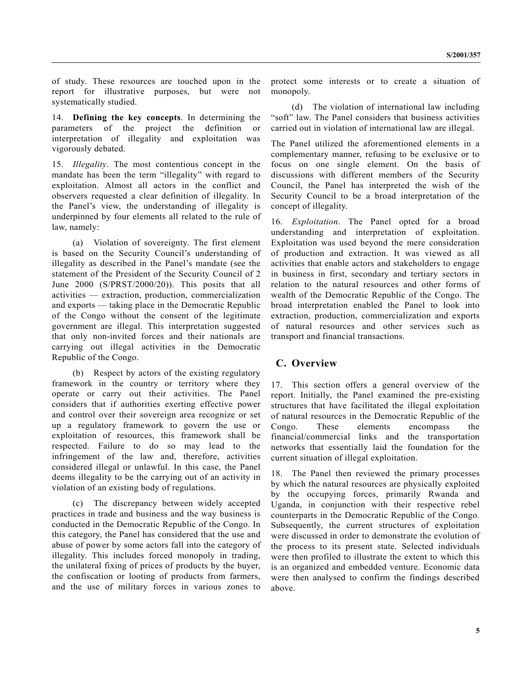of study. These resources are touched upon in the report for illustrative purposes, but were not systematically studied.

14. **Defining the key concepts**. In determining the parameters of the project the definition or interpretation of illegality and exploitation was vigorously debated.

15. *Illegality*. The most contentious concept in the mandate has been the term "illegality" with regard to exploitation. Almost all actors in the conflict and observers requested a clear definition of illegality. In the Panel's view, the understanding of illegality is underpinned by four elements all related to the rule of law, namely:

(a) Violation of sovereignty. The first element is based on the Security Council's understanding of illegality as described in the Panel's mandate (see the statement of the President of the Security Council of 2 June 2000 (S/PRST/2000/20)). This posits that all activities — extraction, production, commercialization and exports — taking place in the Democratic Republic of the Congo without the consent of the legitimate government are illegal. This interpretation suggested that only non-invited forces and their nationals are carrying out illegal activities in the Democratic Republic of the Congo.

(b) Respect by actors of the existing regulatory framework in the country or territory where they operate or carry out their activities. The Panel considers that if authorities exerting effective power and control over their sovereign area recognize or set up a regulatory framework to govern the use or exploitation of resources, this framework shall be respected. Failure to do so may lead to the infringement of the law and, therefore, activities considered illegal or unlawful. In this case, the Panel deems illegality to be the carrying out of an activity in violation of an existing body of regulations.

(c) The discrepancy between widely accepted practices in trade and business and the way business is conducted in the Democratic Republic of the Congo. In this category, the Panel has considered that the use and abuse of power by some actors fall into the category of illegality. This includes forced monopoly in trading, the unilateral fixing of prices of products by the buyer, the confiscation or looting of products from farmers, and the use of military forces in various zones to

protect some interests or to create a situation of monopoly.

(d) The violation of international law including "soft" law. The Panel considers that business activities carried out in violation of international law are illegal.

The Panel utilized the aforementioned elements in a complementary manner, refusing to be exclusive or to focus on one single element. On the basis of discussions with different members of the Security Council, the Panel has interpreted the wish of the Security Council to be a broad interpretation of the concept of illegality.

16. *Exploitation*. The Panel opted for a broad understanding and interpretation of exploitation. Exploitation was used beyond the mere consideration of production and extraction. It was viewed as all activities that enable actors and stakeholders to engage in business in first, secondary and tertiary sectors in relation to the natural resources and other forms of wealth of the Democratic Republic of the Congo. The broad interpretation enabled the Panel to look into extraction, production, commercialization and exports of natural resources and other services such as transport and financial transactions.

### **C. Overview**

17. This section offers a general overview of the report. Initially, the Panel examined the pre-existing structures that have facilitated the illegal exploitation of natural resources in the Democratic Republic of the Congo. These elements encompass the financial/commercial links and the transportation networks that essentially laid the foundation for the current situation of illegal exploitation.

18. The Panel then reviewed the primary processes by which the natural resources are physically exploited by the occupying forces, primarily Rwanda and Uganda, in conjunction with their respective rebel counterparts in the Democratic Republic of the Congo. Subsequently, the current structures of exploitation were discussed in order to demonstrate the evolution of the process to its present state. Selected individuals were then profiled to illustrate the extent to which this is an organized and embedded venture. Economic data were then analysed to confirm the findings described above.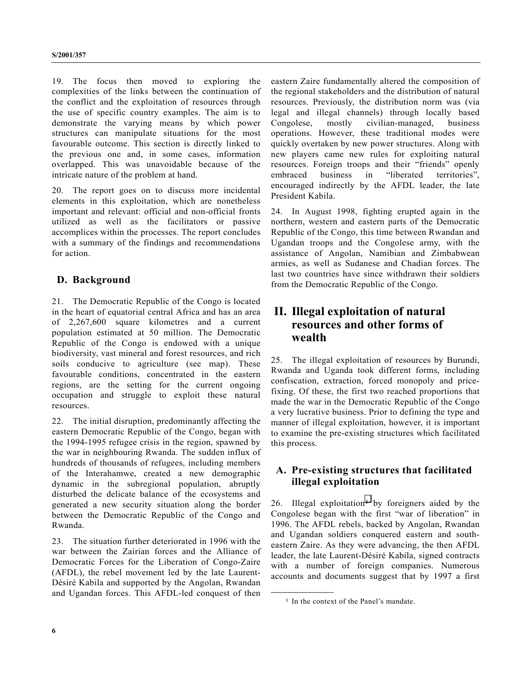19. The focus then moved to exploring the complexities of the links between the continuation of the conflict and the exploitation of resources through the use of specific country examples. The aim is to demonstrate the varying means by which power structures can manipulate situations for the most favourable outcome. This section is directly linked to the previous one and, in some cases, information overlapped. This was unavoidable because of the intricate nature of the problem at hand.

20. The report goes on to discuss more incidental elements in this exploitation, which are nonetheless important and relevant: official and non-official fronts utilized as well as the facilitators or passive accomplices within the processes. The report concludes with a summary of the findings and recommendations for action.

## **D. Background**

21. The Democratic Republic of the Congo is located in the heart of equatorial central Africa and has an area of 2,267,600 square kilometres and a current population estimated at 50 million. The Democratic Republic of the Congo is endowed with a unique biodiversity, vast mineral and forest resources, and rich soils conducive to agriculture (see map). These favourable conditions, concentrated in the eastern regions, are the setting for the current ongoing occupation and struggle to exploit these natural resources.

22. The initial disruption, predominantly affecting the eastern Democratic Republic of the Congo, began with the 1994-1995 refugee crisis in the region, spawned by the war in neighbouring Rwanda. The sudden influx of hundreds of thousands of refugees, including members of the Interahamwe, created a new demographic dynamic in the subregional population, abruptly disturbed the delicate balance of the ecosystems and generated a new security situation along the border between the Democratic Republic of the Congo and Rwanda.

23. The situation further deteriorated in 1996 with the war between the Zairian forces and the Alliance of Democratic Forces for the Liberation of Congo-Zaire (AFDL), the rebel movement led by the late Laurent-Désiré Kabila and supported by the Angolan, Rwandan and Ugandan forces. This AFDL-led conquest of then

eastern Zaire fundamentally altered the composition of the regional stakeholders and the distribution of natural resources. Previously, the distribution norm was (via legal and illegal channels) through locally based Congolese, mostly civilian-managed, business operations. However, these traditional modes were quickly overtaken by new power structures. Along with new players came new rules for exploiting natural resources. Foreign troops and their "friends" openly embraced business in "liberated territories", encouraged indirectly by the AFDL leader, the late President Kabila.

24. In August 1998, fighting erupted again in the northern, western and eastern parts of the Democratic Republic of the Congo, this time between Rwandan and Ugandan troops and the Congolese army, with the assistance of Angolan, Namibian and Zimbabwean armies, as well as Sudanese and Chadian forces. The last two countries have since withdrawn their soldiers from the Democratic Republic of the Congo.

## **II. Illegal exploitation of natural resources and other forms of wealth**

25. The illegal exploitation of resources by Burundi, Rwanda and Uganda took different forms, including confiscation, extraction, forced monopoly and pricefixing. Of these, the first two reached proportions that made the war in the Democratic Republic of the Congo a very lucrative business. Prior to defining the type and manner of illegal exploitation, however, it is important to examine the pre-existing structures which facilitated this process.

## **A. Pre-existing structures that facilitated illegal exploitation**

 $26.$  Illegal exploitation<sup>1</sup> by foreigners aided by the Congolese began with the first "war of liberation" in 1996. The AFDL rebels, backed by Angolan, Rwandan and Ugandan soldiers conquered eastern and southeastern Zaire. As they were advancing, the then AFDL leader, the late Laurent-Désiré Kabila, signed contracts with a number of foreign companies. Numerous accounts and documents suggest that by 1997 a first

**\_\_\_\_\_\_\_\_\_\_\_\_\_\_\_\_\_\_**

<sup>1</sup> In the context of the Panel's mandate.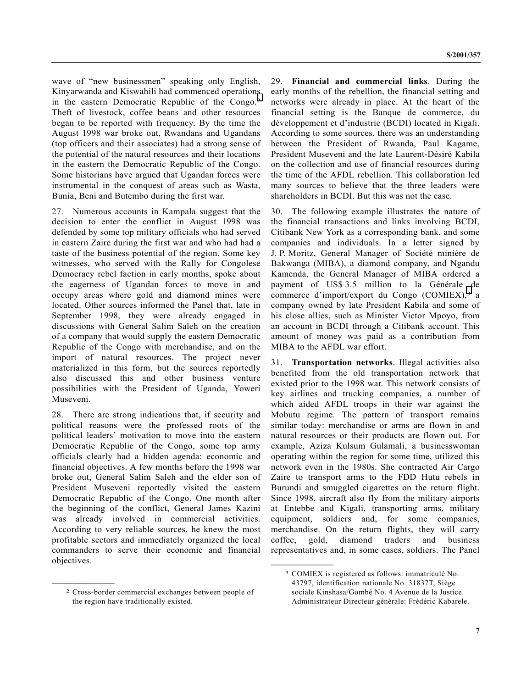wave of "new businessmen" speaking only English, Kinyarwanda and Kiswahili had commenced operations in the eastern Democratic Republic of the Congo.2 Theft of livestock, coffee beans and other resources began to be reported with frequency. By the time the August 1998 war broke out, Rwandans and Ugandans (top officers and their associates) had a strong sense of the potential of the natural resources and their locations in the eastern the Democratic Republic of the Congo. Some historians have argued that Ugandan forces were instrumental in the conquest of areas such as Wasta, Bunia, Beni and Butembo during the first war.

27. Numerous accounts in Kampala suggest that the decision to enter the conflict in August 1998 was defended by some top military officials who had served in eastern Zaire during the first war and who had had a taste of the business potential of the region. Some key witnesses, who served with the Rally for Congolese Democracy rebel faction in early months, spoke about the eagerness of Ugandan forces to move in and occupy areas where gold and diamond mines were located. Other sources informed the Panel that, late in September 1998, they were already engaged in discussions with General Salim Saleh on the creation of a company that would supply the eastern Democratic Republic of the Congo with merchandise, and on the import of natural resources. The project never materialized in this form, but the sources reportedly also discussed this and other business venture possibilities with the President of Uganda, Yoweri Museveni.

28. There are strong indications that, if security and political reasons were the professed roots of the political leaders' motivation to move into the eastern Democratic Republic of the Congo, some top army officials clearly had a hidden agenda: economic and financial objectives. A few months before the 1998 war broke out, General Salim Saleh and the elder son of President Museveni reportedly visited the eastern Democratic Republic of the Congo. One month after the beginning of the conflict, General James Kazini was already involved in commercial activities. According to very reliable sources, he knew the most profitable sectors and immediately organized the local commanders to serve their economic and financial objectives.

**\_\_\_\_\_\_\_\_\_\_\_\_\_\_\_\_\_\_**

29. **Financial and commercial links**. During the early months of the rebellion, the financial setting and networks were already in place. At the heart of the financial setting is the Banque de commerce, du développement et d'industrie (BCDI) located in Kigali. According to some sources, there was an understanding between the President of Rwanda, Paul Kagame, President Museveni and the late Laurent-Désiré Kabila on the collection and use of financial resources during the time of the AFDL rebellion. This collaboration led many sources to believe that the three leaders were shareholders in BCDI. But this was not the case.

30. The following example illustrates the nature of the financial transactions and links involving BCDI, Citibank New York as a corresponding bank, and some companies and individuals. In a letter signed by J. P. Moritz, General Manager of Société minière de Bakwanga (MIBA), a diamond company, and Ngandu Kamenda, the General Manager of MIBA ordered a payment of US\$ 3.5 million to la Générale de commerce d'import/export du Congo (COMIEX),<sup>3</sup> a company owned by late President Kabila and some of his close allies, such as Minister Victor Mpoyo, from an account in BCDI through a Citibank account. This amount of money was paid as a contribution from MIBA to the AFDL war effort.

31. **Transportation networks**. Illegal activities also benefited from the old transportation network that existed prior to the 1998 war. This network consists of key airlines and trucking companies, a number of which aided AFDL troops in their war against the Mobutu regime. The pattern of transport remains similar today: merchandise or arms are flown in and natural resources or their products are flown out. For example, Aziza Kulsum Gulamali, a businesswoman operating within the region for some time, utilized this network even in the 1980s. She contracted Air Cargo Zaire to transport arms to the FDD Hutu rebels in Burundi and smuggled cigarettes on the return flight. Since 1998, aircraft also fly from the military airports at Entebbe and Kigali, transporting arms, military equipment, soldiers and, for some companies, merchandise. On the return flights, they will carry coffee, gold, diamond traders and business representatives and, in some cases, soldiers. The Panel

**\_\_\_\_\_\_\_\_\_\_\_\_\_\_\_\_\_\_**

<sup>2</sup> Cross-border commercial exchanges between people of the region have traditionally existed.

<sup>3</sup> COMIEX is registered as follows: immatriculé No. 43797, identification nationale No. 31837T, Siège sociale Kinshasa/Gombé No. 4 Avenue de la Justice. Administrateur Directeur générale: Frédéric Kabarele.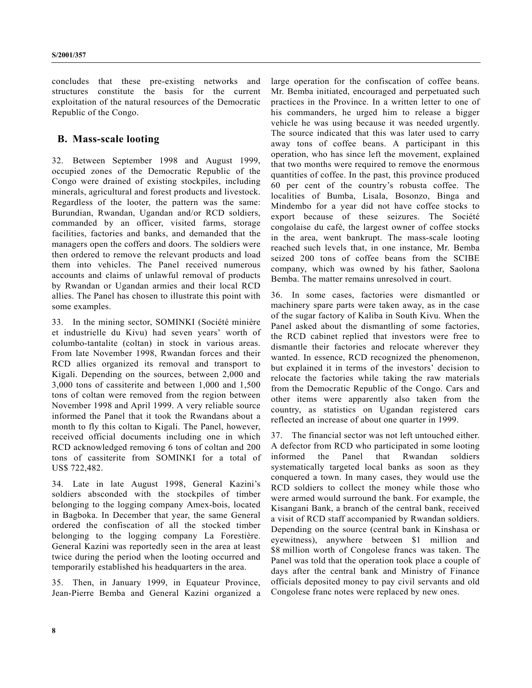concludes that these pre-existing networks and structures constitute the basis for the current exploitation of the natural resources of the Democratic Republic of the Congo.

### **B. Mass-scale looting**

32. Between September 1998 and August 1999, occupied zones of the Democratic Republic of the Congo were drained of existing stockpiles, including minerals, agricultural and forest products and livestock. Regardless of the looter, the pattern was the same: Burundian, Rwandan, Ugandan and/or RCD soldiers, commanded by an officer, visited farms, storage facilities, factories and banks, and demanded that the managers open the coffers and doors. The soldiers were then ordered to remove the relevant products and load them into vehicles. The Panel received numerous accounts and claims of unlawful removal of products by Rwandan or Ugandan armies and their local RCD allies. The Panel has chosen to illustrate this point with some examples.

33. In the mining sector, SOMINKI (Société minière et industrielle du Kivu) had seven years' worth of columbo-tantalite (coltan) in stock in various areas. From late November 1998, Rwandan forces and their RCD allies organized its removal and transport to Kigali. Depending on the sources, between 2,000 and 3,000 tons of cassiterite and between 1,000 and 1,500 tons of coltan were removed from the region between November 1998 and April 1999. A very reliable source informed the Panel that it took the Rwandans about a month to fly this coltan to Kigali. The Panel, however, received official documents including one in which RCD acknowledged removing 6 tons of coltan and 200 tons of cassiterite from SOMINKI for a total of US\$ 722,482.

34. Late in late August 1998, General Kazini's soldiers absconded with the stockpiles of timber belonging to the logging company Amex-bois, located in Bagboka. In December that year, the same General ordered the confiscation of all the stocked timber belonging to the logging company La Forestière. General Kazini was reportedly seen in the area at least twice during the period when the looting occurred and temporarily established his headquarters in the area.

35. Then, in January 1999, in Equateur Province, Jean-Pierre Bemba and General Kazini organized a large operation for the confiscation of coffee beans. Mr. Bemba initiated, encouraged and perpetuated such practices in the Province. In a written letter to one of his commanders, he urged him to release a bigger vehicle he was using because it was needed urgently. The source indicated that this was later used to carry away tons of coffee beans. A participant in this operation, who has since left the movement, explained that two months were required to remove the enormous quantities of coffee. In the past, this province produced 60 per cent of the country's robusta coffee. The localities of Bumba, Lisala, Bosonzo, Binga and Mindembo for a year did not have coffee stocks to export because of these seizures. The Société congolaise du café, the largest owner of coffee stocks in the area, went bankrupt. The mass-scale looting reached such levels that, in one instance, Mr. Bemba seized 200 tons of coffee beans from the SCIBE company, which was owned by his father, Saolona Bemba. The matter remains unresolved in court.

36. In some cases, factories were dismantled or machinery spare parts were taken away, as in the case of the sugar factory of Kaliba in South Kivu. When the Panel asked about the dismantling of some factories, the RCD cabinet replied that investors were free to dismantle their factories and relocate wherever they wanted. In essence, RCD recognized the phenomenon, but explained it in terms of the investors' decision to relocate the factories while taking the raw materials from the Democratic Republic of the Congo. Cars and other items were apparently also taken from the country, as statistics on Ugandan registered cars reflected an increase of about one quarter in 1999.

37. The financial sector was not left untouched either. A defector from RCD who participated in some looting informed the Panel that Rwandan soldiers systematically targeted local banks as soon as they conquered a town. In many cases, they would use the RCD soldiers to collect the money while those who were armed would surround the bank. For example, the Kisangani Bank, a branch of the central bank, received a visit of RCD staff accompanied by Rwandan soldiers. Depending on the source (central bank in Kinshasa or eyewitness), anywhere between \$1 million and \$8 million worth of Congolese francs was taken. The Panel was told that the operation took place a couple of days after the central bank and Ministry of Finance officials deposited money to pay civil servants and old Congolese franc notes were replaced by new ones.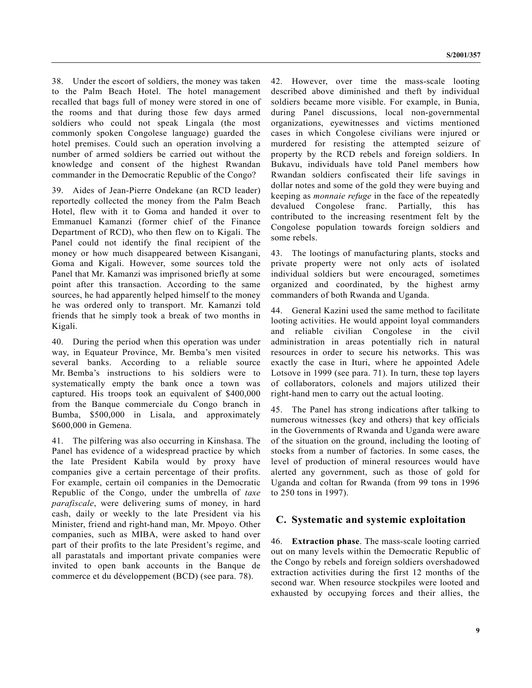38. Under the escort of soldiers, the money was taken to the Palm Beach Hotel. The hotel management recalled that bags full of money were stored in one of the rooms and that during those few days armed soldiers who could not speak Lingala (the most commonly spoken Congolese language) guarded the hotel premises. Could such an operation involving a number of armed soldiers be carried out without the knowledge and consent of the highest Rwandan commander in the Democratic Republic of the Congo?

39. Aides of Jean-Pierre Ondekane (an RCD leader) reportedly collected the money from the Palm Beach Hotel, flew with it to Goma and handed it over to Emmanuel Kamanzi (former chief of the Finance Department of RCD), who then flew on to Kigali. The Panel could not identify the final recipient of the money or how much disappeared between Kisangani, Goma and Kigali. However, some sources told the Panel that Mr. Kamanzi was imprisoned briefly at some point after this transaction. According to the same sources, he had apparently helped himself to the money he was ordered only to transport. Mr. Kamanzi told friends that he simply took a break of two months in Kigali.

40. During the period when this operation was under way, in Equateur Province, Mr. Bemba's men visited several banks. According to a reliable source Mr. Bemba's instructions to his soldiers were to systematically empty the bank once a town was captured. His troops took an equivalent of \$400,000 from the Banque commerciale du Congo branch in Bumba, \$500,000 in Lisala, and approximately \$600,000 in Gemena.

41. The pilfering was also occurring in Kinshasa. The Panel has evidence of a widespread practice by which the late President Kabila would by proxy have companies give a certain percentage of their profits. For example, certain oil companies in the Democratic Republic of the Congo, under the umbrella of *taxe parafiscale*, were delivering sums of money, in hard cash, daily or weekly to the late President via his Minister, friend and right-hand man, Mr. Mpoyo. Other companies, such as MIBA, were asked to hand over part of their profits to the late President's regime, and all parastatals and important private companies were invited to open bank accounts in the Banque de commerce et du développement (BCD) (see para. 78).

42. However, over time the mass-scale looting described above diminished and theft by individual soldiers became more visible. For example, in Bunia, during Panel discussions, local non-governmental organizations, eyewitnesses and victims mentioned cases in which Congolese civilians were injured or murdered for resisting the attempted seizure of property by the RCD rebels and foreign soldiers. In Bukavu, individuals have told Panel members how Rwandan soldiers confiscated their life savings in dollar notes and some of the gold they were buying and keeping as *monnaie refuge* in the face of the repeatedly devalued Congolese franc. Partially, this has contributed to the increasing resentment felt by the Congolese population towards foreign soldiers and some rebels.

43. The lootings of manufacturing plants, stocks and private property were not only acts of isolated individual soldiers but were encouraged, sometimes organized and coordinated, by the highest army commanders of both Rwanda and Uganda.

44. General Kazini used the same method to facilitate looting activities. He would appoint loyal commanders and reliable civilian Congolese in the civil administration in areas potentially rich in natural resources in order to secure his networks. This was exactly the case in Ituri, where he appointed Adele Lotsove in 1999 (see para. 71). In turn, these top layers of collaborators, colonels and majors utilized their right-hand men to carry out the actual looting.

45. The Panel has strong indications after talking to numerous witnesses (key and others) that key officials in the Governments of Rwanda and Uganda were aware of the situation on the ground, including the looting of stocks from a number of factories. In some cases, the level of production of mineral resources would have alerted any government, such as those of gold for Uganda and coltan for Rwanda (from 99 tons in 1996 to 250 tons in 1997).

#### **C. Systematic and systemic exploitation**

46. **Extraction phase**. The mass-scale looting carried out on many levels within the Democratic Republic of the Congo by rebels and foreign soldiers overshadowed extraction activities during the first 12 months of the second war. When resource stockpiles were looted and exhausted by occupying forces and their allies, the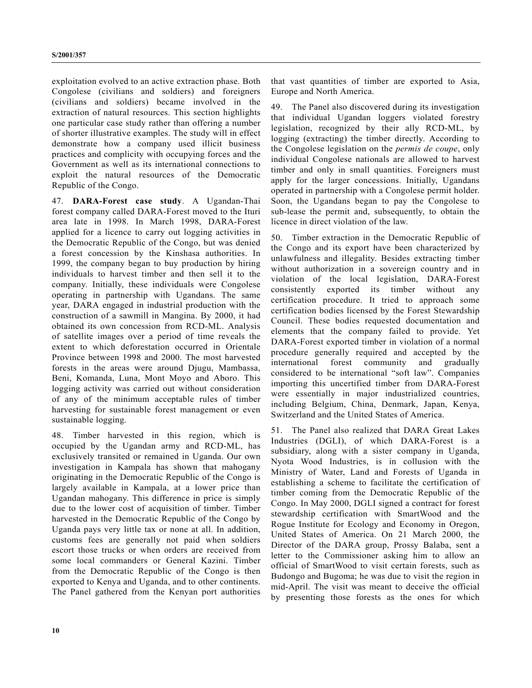exploitation evolved to an active extraction phase. Both Congolese (civilians and soldiers) and foreigners (civilians and soldiers) became involved in the extraction of natural resources. This section highlights one particular case study rather than offering a number of shorter illustrative examples. The study will in effect demonstrate how a company used illicit business practices and complicity with occupying forces and the Government as well as its international connections to exploit the natural resources of the Democratic Republic of the Congo.

47. **DARA-Forest case study**. A Ugandan-Thai forest company called DARA-Forest moved to the Ituri area late in 1998. In March 1998, DARA-Forest applied for a licence to carry out logging activities in the Democratic Republic of the Congo, but was denied a forest concession by the Kinshasa authorities. In 1999, the company began to buy production by hiring individuals to harvest timber and then sell it to the company. Initially, these individuals were Congolese operating in partnership with Ugandans. The same year, DARA engaged in industrial production with the construction of a sawmill in Mangina. By 2000, it had obtained its own concession from RCD-ML. Analysis of satellite images over a period of time reveals the extent to which deforestation occurred in Orientale Province between 1998 and 2000. The most harvested forests in the areas were around Djugu, Mambassa, Beni, Komanda, Luna, Mont Moyo and Aboro. This logging activity was carried out without consideration of any of the minimum acceptable rules of timber harvesting for sustainable forest management or even sustainable logging.

48. Timber harvested in this region, which is occupied by the Ugandan army and RCD-ML, has exclusively transited or remained in Uganda. Our own investigation in Kampala has shown that mahogany originating in the Democratic Republic of the Congo is largely available in Kampala, at a lower price than Ugandan mahogany. This difference in price is simply due to the lower cost of acquisition of timber. Timber harvested in the Democratic Republic of the Congo by Uganda pays very little tax or none at all. In addition, customs fees are generally not paid when soldiers escort those trucks or when orders are received from some local commanders or General Kazini. Timber from the Democratic Republic of the Congo is then exported to Kenya and Uganda, and to other continents. The Panel gathered from the Kenyan port authorities

that vast quantities of timber are exported to Asia, Europe and North America.

49. The Panel also discovered during its investigation that individual Ugandan loggers violated forestry legislation, recognized by their ally RCD-ML, by logging (extracting) the timber directly. According to the Congolese legislation on the *permis de coupe*, only individual Congolese nationals are allowed to harvest timber and only in small quantities. Foreigners must apply for the larger concessions. Initially, Ugandans operated in partnership with a Congolese permit holder. Soon, the Ugandans began to pay the Congolese to sub-lease the permit and, subsequently, to obtain the licence in direct violation of the law.

50. Timber extraction in the Democratic Republic of the Congo and its export have been characterized by unlawfulness and illegality. Besides extracting timber without authorization in a sovereign country and in violation of the local legislation, DARA-Forest consistently exported its timber without any certification procedure. It tried to approach some certification bodies licensed by the Forest Stewardship Council. These bodies requested documentation and elements that the company failed to provide. Yet DARA-Forest exported timber in violation of a normal procedure generally required and accepted by the international forest community and gradually considered to be international "soft law". Companies importing this uncertified timber from DARA-Forest were essentially in major industrialized countries, including Belgium, China, Denmark, Japan, Kenya, Switzerland and the United States of America.

51. The Panel also realized that DARA Great Lakes Industries (DGLI), of which DARA-Forest is a subsidiary, along with a sister company in Uganda, Nyota Wood Industries, is in collusion with the Ministry of Water, Land and Forests of Uganda in establishing a scheme to facilitate the certification of timber coming from the Democratic Republic of the Congo. In May 2000, DGLI signed a contract for forest stewardship certification with SmartWood and the Rogue Institute for Ecology and Economy in Oregon, United States of America. On 21 March 2000, the Director of the DARA group, Prossy Balaba, sent a letter to the Commissioner asking him to allow an official of SmartWood to visit certain forests, such as Budongo and Bugoma; he was due to visit the region in mid-April. The visit was meant to deceive the official by presenting those forests as the ones for which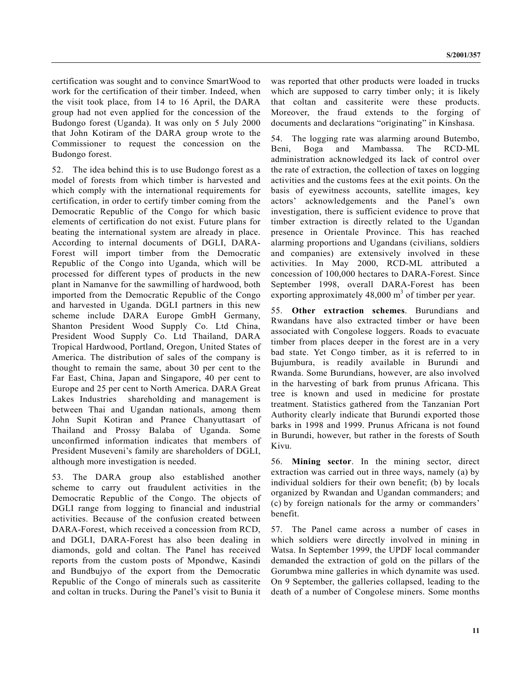certification was sought and to convince SmartWood to work for the certification of their timber. Indeed, when the visit took place, from 14 to 16 April, the DARA group had not even applied for the concession of the Budongo forest (Uganda). It was only on 5 July 2000 that John Kotiram of the DARA group wrote to the Commissioner to request the concession on the Budongo forest.

52. The idea behind this is to use Budongo forest as a model of forests from which timber is harvested and which comply with the international requirements for certification, in order to certify timber coming from the Democratic Republic of the Congo for which basic elements of certification do not exist. Future plans for beating the international system are already in place. According to internal documents of DGLI, DARA-Forest will import timber from the Democratic Republic of the Congo into Uganda, which will be processed for different types of products in the new plant in Namanve for the sawmilling of hardwood, both imported from the Democratic Republic of the Congo and harvested in Uganda. DGLI partners in this new scheme include DARA Europe GmbH Germany, Shanton President Wood Supply Co. Ltd China, President Wood Supply Co. Ltd Thailand, DARA Tropical Hardwood, Portland, Oregon, United States of America. The distribution of sales of the company is thought to remain the same, about 30 per cent to the Far East, China, Japan and Singapore, 40 per cent to Europe and 25 per cent to North America. DARA Great Lakes Industries shareholding and management is between Thai and Ugandan nationals, among them John Supit Kotiran and Pranee Chanyuttasart of Thailand and Prossy Balaba of Uganda. Some unconfirmed information indicates that members of President Museveni's family are shareholders of DGLI, although more investigation is needed.

53. The DARA group also established another scheme to carry out fraudulent activities in the Democratic Republic of the Congo. The objects of DGLI range from logging to financial and industrial activities. Because of the confusion created between DARA-Forest, which received a concession from RCD, and DGLI, DARA-Forest has also been dealing in diamonds, gold and coltan. The Panel has received reports from the custom posts of Mpondwe, Kasindi and Bundbujyo of the export from the Democratic Republic of the Congo of minerals such as cassiterite and coltan in trucks. During the Panel's visit to Bunia it

was reported that other products were loaded in trucks which are supposed to carry timber only; it is likely that coltan and cassiterite were these products. Moreover, the fraud extends to the forging of documents and declarations "originating" in Kinshasa.

54. The logging rate was alarming around Butembo, Beni, Boga and Mambassa. The RCD-ML administration acknowledged its lack of control over the rate of extraction, the collection of taxes on logging activities and the customs fees at the exit points. On the basis of eyewitness accounts, satellite images, key actors' acknowledgements and the Panel's own investigation, there is sufficient evidence to prove that timber extraction is directly related to the Ugandan presence in Orientale Province. This has reached alarming proportions and Ugandans (civilians, soldiers and companies) are extensively involved in these activities. In May 2000, RCD-ML attributed a concession of 100,000 hectares to DARA-Forest. Since September 1998, overall DARA-Forest has been exporting approximately  $48,000 \text{ m}^3$  of timber per year.

55. **Other extraction schemes**. Burundians and Rwandans have also extracted timber or have been associated with Congolese loggers. Roads to evacuate timber from places deeper in the forest are in a very bad state. Yet Congo timber, as it is referred to in Bujumbura, is readily available in Burundi and Rwanda. Some Burundians, however, are also involved in the harvesting of bark from prunus Africana. This tree is known and used in medicine for prostate treatment. Statistics gathered from the Tanzanian Port Authority clearly indicate that Burundi exported those barks in 1998 and 1999. Prunus Africana is not found in Burundi, however, but rather in the forests of South Kivu.

56. **Mining sector**. In the mining sector, direct extraction was carried out in three ways, namely (a) by individual soldiers for their own benefit; (b) by locals organized by Rwandan and Ugandan commanders; and (c) by foreign nationals for the army or commanders' benefit.

57. The Panel came across a number of cases in which soldiers were directly involved in mining in Watsa. In September 1999, the UPDF local commander demanded the extraction of gold on the pillars of the Gorumbwa mine galleries in which dynamite was used. On 9 September, the galleries collapsed, leading to the death of a number of Congolese miners. Some months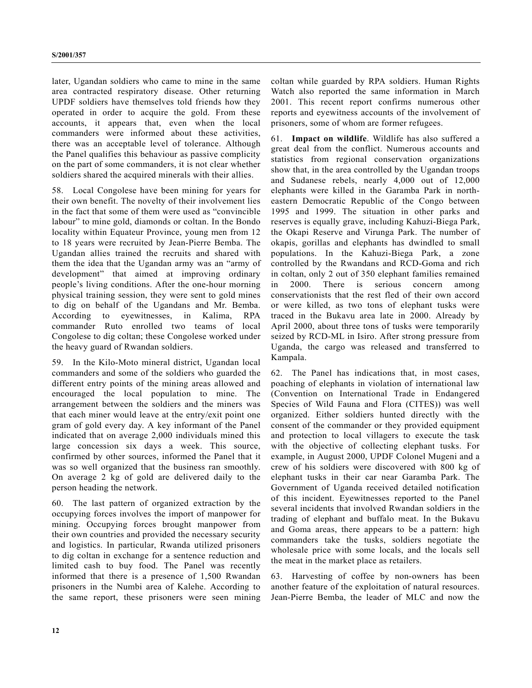later, Ugandan soldiers who came to mine in the same area contracted respiratory disease. Other returning UPDF soldiers have themselves told friends how they operated in order to acquire the gold. From these accounts, it appears that, even when the local commanders were informed about these activities, there was an acceptable level of tolerance. Although the Panel qualifies this behaviour as passive complicity on the part of some commanders, it is not clear whether soldiers shared the acquired minerals with their allies.

58. Local Congolese have been mining for years for their own benefit. The novelty of their involvement lies in the fact that some of them were used as "convincible labour" to mine gold, diamonds or coltan. In the Bondo locality within Equateur Province, young men from 12 to 18 years were recruited by Jean-Pierre Bemba. The Ugandan allies trained the recruits and shared with them the idea that the Ugandan army was an "army of development" that aimed at improving ordinary people's living conditions. After the one-hour morning physical training session, they were sent to gold mines to dig on behalf of the Ugandans and Mr. Bemba. According to eyewitnesses, in Kalima, RPA commander Ruto enrolled two teams of local Congolese to dig coltan; these Congolese worked under the heavy guard of Rwandan soldiers.

59. In the Kilo-Moto mineral district, Ugandan local commanders and some of the soldiers who guarded the different entry points of the mining areas allowed and encouraged the local population to mine. The arrangement between the soldiers and the miners was that each miner would leave at the entry/exit point one gram of gold every day. A key informant of the Panel indicated that on average 2,000 individuals mined this large concession six days a week. This source, confirmed by other sources, informed the Panel that it was so well organized that the business ran smoothly. On average 2 kg of gold are delivered daily to the person heading the network.

60. The last pattern of organized extraction by the occupying forces involves the import of manpower for mining. Occupying forces brought manpower from their own countries and provided the necessary security and logistics. In particular, Rwanda utilized prisoners to dig coltan in exchange for a sentence reduction and limited cash to buy food. The Panel was recently informed that there is a presence of 1,500 Rwandan prisoners in the Numbi area of Kalehe. According to the same report, these prisoners were seen mining

coltan while guarded by RPA soldiers. Human Rights Watch also reported the same information in March 2001. This recent report confirms numerous other reports and eyewitness accounts of the involvement of prisoners, some of whom are former refugees.

61. **Impact on wildlife**. Wildlife has also suffered a great deal from the conflict. Numerous accounts and statistics from regional conservation organizations show that, in the area controlled by the Ugandan troops and Sudanese rebels, nearly 4,000 out of 12,000 elephants were killed in the Garamba Park in northeastern Democratic Republic of the Congo between 1995 and 1999. The situation in other parks and reserves is equally grave, including Kahuzi-Biega Park, the Okapi Reserve and Virunga Park. The number of okapis, gorillas and elephants has dwindled to small populations. In the Kahuzi-Biega Park, a zone controlled by the Rwandans and RCD-Goma and rich in coltan, only 2 out of 350 elephant families remained in 2000. There is serious concern among conservationists that the rest fled of their own accord or were killed, as two tons of elephant tusks were traced in the Bukavu area late in 2000. Already by April 2000, about three tons of tusks were temporarily seized by RCD-ML in Isiro. After strong pressure from Uganda, the cargo was released and transferred to Kampala.

62. The Panel has indications that, in most cases, poaching of elephants in violation of international law (Convention on International Trade in Endangered Species of Wild Fauna and Flora (CITES)) was well organized. Either soldiers hunted directly with the consent of the commander or they provided equipment and protection to local villagers to execute the task with the objective of collecting elephant tusks. For example, in August 2000, UPDF Colonel Mugeni and a crew of his soldiers were discovered with 800 kg of elephant tusks in their car near Garamba Park. The Government of Uganda received detailed notification of this incident. Eyewitnesses reported to the Panel several incidents that involved Rwandan soldiers in the trading of elephant and buffalo meat. In the Bukavu and Goma areas, there appears to be a pattern: high commanders take the tusks, soldiers negotiate the wholesale price with some locals, and the locals sell the meat in the market place as retailers.

63. Harvesting of coffee by non-owners has been another feature of the exploitation of natural resources. Jean-Pierre Bemba, the leader of MLC and now the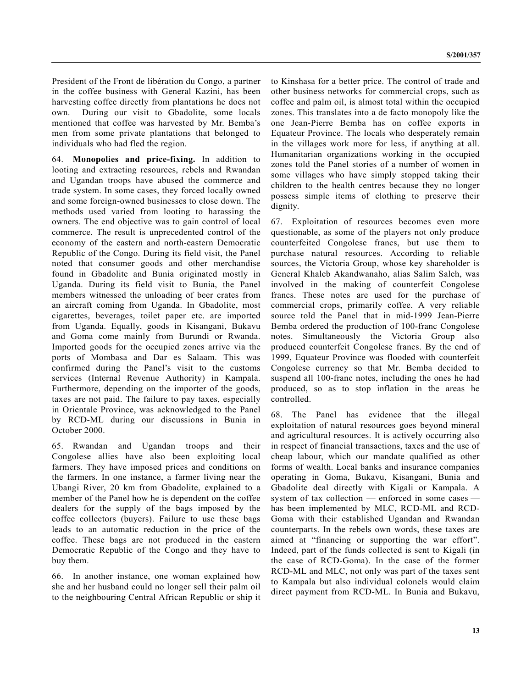President of the Front de libération du Congo, a partner in the coffee business with General Kazini, has been harvesting coffee directly from plantations he does not own. During our visit to Gbadolite, some locals mentioned that coffee was harvested by Mr. Bemba's men from some private plantations that belonged to individuals who had fled the region.

64. **Monopolies and price-fixing.** In addition to looting and extracting resources, rebels and Rwandan and Ugandan troops have abused the commerce and trade system. In some cases, they forced locally owned and some foreign-owned businesses to close down. The methods used varied from looting to harassing the owners. The end objective was to gain control of local commerce. The result is unprecedented control of the economy of the eastern and north-eastern Democratic Republic of the Congo. During its field visit, the Panel noted that consumer goods and other merchandise found in Gbadolite and Bunia originated mostly in Uganda. During its field visit to Bunia, the Panel members witnessed the unloading of beer crates from an aircraft coming from Uganda. In Gbadolite, most cigarettes, beverages, toilet paper etc. are imported from Uganda. Equally, goods in Kisangani, Bukavu and Goma come mainly from Burundi or Rwanda. Imported goods for the occupied zones arrive via the ports of Mombasa and Dar es Salaam. This was confirmed during the Panel's visit to the customs services (Internal Revenue Authority) in Kampala. Furthermore, depending on the importer of the goods, taxes are not paid. The failure to pay taxes, especially in Orientale Province, was acknowledged to the Panel by RCD-ML during our discussions in Bunia in October 2000.

65. Rwandan and Ugandan troops and their Congolese allies have also been exploiting local farmers. They have imposed prices and conditions on the farmers. In one instance, a farmer living near the Ubangi River, 20 km from Gbadolite, explained to a member of the Panel how he is dependent on the coffee dealers for the supply of the bags imposed by the coffee collectors (buyers). Failure to use these bags leads to an automatic reduction in the price of the coffee. These bags are not produced in the eastern Democratic Republic of the Congo and they have to buy them.

66. In another instance, one woman explained how she and her husband could no longer sell their palm oil to the neighbouring Central African Republic or ship it to Kinshasa for a better price. The control of trade and other business networks for commercial crops, such as coffee and palm oil, is almost total within the occupied zones. This translates into a de facto monopoly like the one Jean-Pierre Bemba has on coffee exports in Equateur Province. The locals who desperately remain in the villages work more for less, if anything at all. Humanitarian organizations working in the occupied zones told the Panel stories of a number of women in some villages who have simply stopped taking their children to the health centres because they no longer possess simple items of clothing to preserve their dignity.

67. Exploitation of resources becomes even more questionable, as some of the players not only produce counterfeited Congolese francs, but use them to purchase natural resources. According to reliable sources, the Victoria Group, whose key shareholder is General Khaleb Akandwanaho, alias Salim Saleh, was involved in the making of counterfeit Congolese francs. These notes are used for the purchase of commercial crops, primarily coffee. A very reliable source told the Panel that in mid-1999 Jean-Pierre Bemba ordered the production of 100-franc Congolese notes. Simultaneously the Victoria Group also produced counterfeit Congolese francs. By the end of 1999, Equateur Province was flooded with counterfeit Congolese currency so that Mr. Bemba decided to suspend all 100-franc notes, including the ones he had produced, so as to stop inflation in the areas he controlled.

68. The Panel has evidence that the illegal exploitation of natural resources goes beyond mineral and agricultural resources. It is actively occurring also in respect of financial transactions, taxes and the use of cheap labour, which our mandate qualified as other forms of wealth. Local banks and insurance companies operating in Goma, Bukavu, Kisangani, Bunia and Gbadolite deal directly with Kigali or Kampala. A system of tax collection — enforced in some cases has been implemented by MLC, RCD-ML and RCD-Goma with their established Ugandan and Rwandan counterparts. In the rebels own words, these taxes are aimed at "financing or supporting the war effort". Indeed, part of the funds collected is sent to Kigali (in the case of RCD-Goma). In the case of the former RCD-ML and MLC, not only was part of the taxes sent to Kampala but also individual colonels would claim direct payment from RCD-ML. In Bunia and Bukavu,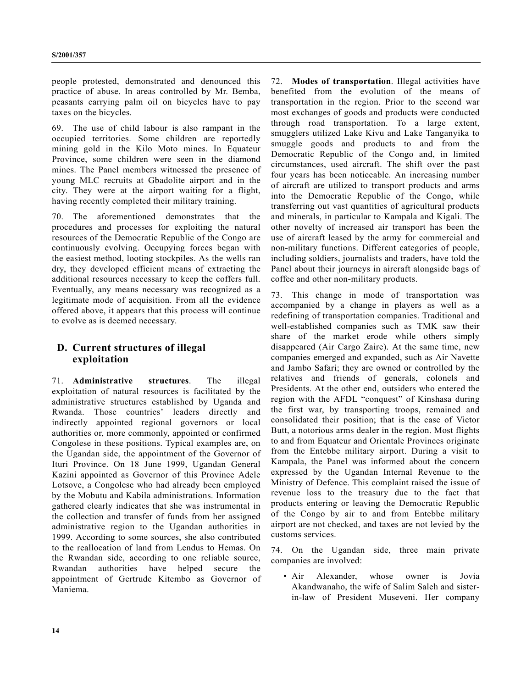people protested, demonstrated and denounced this practice of abuse. In areas controlled by Mr. Bemba, peasants carrying palm oil on bicycles have to pay taxes on the bicycles.

69. The use of child labour is also rampant in the occupied territories. Some children are reportedly mining gold in the Kilo Moto mines. In Equateur Province, some children were seen in the diamond mines. The Panel members witnessed the presence of young MLC recruits at Gbadolite airport and in the city. They were at the airport waiting for a flight, having recently completed their military training.

70. The aforementioned demonstrates that the procedures and processes for exploiting the natural resources of the Democratic Republic of the Congo are continuously evolving. Occupying forces began with the easiest method, looting stockpiles. As the wells ran dry, they developed efficient means of extracting the additional resources necessary to keep the coffers full. Eventually, any means necessary was recognized as a legitimate mode of acquisition. From all the evidence offered above, it appears that this process will continue to evolve as is deemed necessary.

## **D. Current structures of illegal exploitation**

71. **Administrative structures**. The illegal exploitation of natural resources is facilitated by the administrative structures established by Uganda and Rwanda. Those countries' leaders directly and indirectly appointed regional governors or local authorities or, more commonly, appointed or confirmed Congolese in these positions. Typical examples are, on the Ugandan side, the appointment of the Governor of Ituri Province. On 18 June 1999, Ugandan General Kazini appointed as Governor of this Province Adele Lotsove, a Congolese who had already been employed by the Mobutu and Kabila administrations. Information gathered clearly indicates that she was instrumental in the collection and transfer of funds from her assigned administrative region to the Ugandan authorities in 1999. According to some sources, she also contributed to the reallocation of land from Lendus to Hemas. On the Rwandan side, according to one reliable source, Rwandan authorities have helped secure the appointment of Gertrude Kitembo as Governor of Maniema.

72. **Modes of transportation**. Illegal activities have benefited from the evolution of the means of transportation in the region. Prior to the second war most exchanges of goods and products were conducted through road transportation. To a large extent, smugglers utilized Lake Kivu and Lake Tanganyika to smuggle goods and products to and from the Democratic Republic of the Congo and, in limited circumstances, used aircraft. The shift over the past four years has been noticeable. An increasing number of aircraft are utilized to transport products and arms into the Democratic Republic of the Congo, while transferring out vast quantities of agricultural products and minerals, in particular to Kampala and Kigali. The other novelty of increased air transport has been the use of aircraft leased by the army for commercial and non-military functions. Different categories of people, including soldiers, journalists and traders, have told the Panel about their journeys in aircraft alongside bags of coffee and other non-military products.

73. This change in mode of transportation was accompanied by a change in players as well as a redefining of transportation companies. Traditional and well-established companies such as TMK saw their share of the market erode while others simply disappeared (Air Cargo Zaire). At the same time, new companies emerged and expanded, such as Air Navette and Jambo Safari; they are owned or controlled by the relatives and friends of generals, colonels and Presidents. At the other end, outsiders who entered the region with the AFDL "conquest" of Kinshasa during the first war, by transporting troops, remained and consolidated their position; that is the case of Victor Butt, a notorious arms dealer in the region. Most flights to and from Equateur and Orientale Provinces originate from the Entebbe military airport. During a visit to Kampala, the Panel was informed about the concern expressed by the Ugandan Internal Revenue to the Ministry of Defence. This complaint raised the issue of revenue loss to the treasury due to the fact that products entering or leaving the Democratic Republic of the Congo by air to and from Entebbe military airport are not checked, and taxes are not levied by the customs services.

74. On the Ugandan side, three main private companies are involved:

• Air Alexander, whose owner is Jovia Akandwanaho, the wife of Salim Saleh and sisterin-law of President Museveni. Her company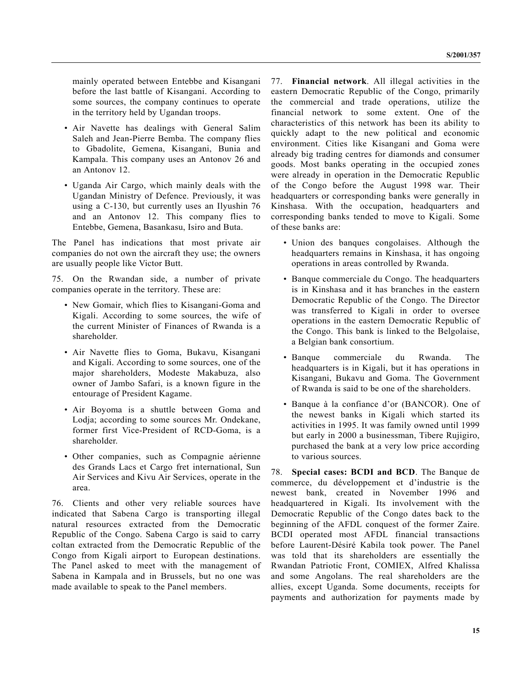mainly operated between Entebbe and Kisangani before the last battle of Kisangani. According to some sources, the company continues to operate in the territory held by Ugandan troops.

- Air Navette has dealings with General Salim Saleh and Jean-Pierre Bemba. The company flies to Gbadolite, Gemena, Kisangani, Bunia and Kampala. This company uses an Antonov 26 and an Antonov 12.
- Uganda Air Cargo, which mainly deals with the Ugandan Ministry of Defence. Previously, it was using a C-130, but currently uses an Ilyushin 76 and an Antonov 12. This company flies to Entebbe, Gemena, Basankasu, Isiro and Buta.

The Panel has indications that most private air companies do not own the aircraft they use; the owners are usually people like Victor Butt.

75. On the Rwandan side, a number of private companies operate in the territory. These are:

- New Gomair, which flies to Kisangani-Goma and Kigali. According to some sources, the wife of the current Minister of Finances of Rwanda is a shareholder.
- Air Navette flies to Goma, Bukavu, Kisangani and Kigali. According to some sources, one of the major shareholders, Modeste Makabuza, also owner of Jambo Safari, is a known figure in the entourage of President Kagame.
- Air Boyoma is a shuttle between Goma and Lodja; according to some sources Mr. Ondekane, former first Vice-President of RCD-Goma, is a shareholder.
- Other companies, such as Compagnie aérienne des Grands Lacs et Cargo fret international, Sun Air Services and Kivu Air Services, operate in the area.

76. Clients and other very reliable sources have indicated that Sabena Cargo is transporting illegal natural resources extracted from the Democratic Republic of the Congo. Sabena Cargo is said to carry coltan extracted from the Democratic Republic of the Congo from Kigali airport to European destinations. The Panel asked to meet with the management of Sabena in Kampala and in Brussels, but no one was made available to speak to the Panel members.

77. **Financial network**. All illegal activities in the eastern Democratic Republic of the Congo, primarily the commercial and trade operations, utilize the financial network to some extent. One of the characteristics of this network has been its ability to quickly adapt to the new political and economic environment. Cities like Kisangani and Goma were already big trading centres for diamonds and consumer goods. Most banks operating in the occupied zones were already in operation in the Democratic Republic of the Congo before the August 1998 war. Their headquarters or corresponding banks were generally in Kinshasa. With the occupation, headquarters and corresponding banks tended to move to Kigali. Some of these banks are:

- Union des banques congolaises. Although the headquarters remains in Kinshasa, it has ongoing operations in areas controlled by Rwanda.
- Banque commerciale du Congo. The headquarters is in Kinshasa and it has branches in the eastern Democratic Republic of the Congo. The Director was transferred to Kigali in order to oversee operations in the eastern Democratic Republic of the Congo. This bank is linked to the Belgolaise, a Belgian bank consortium.
- Banque commerciale du Rwanda. The headquarters is in Kigali, but it has operations in Kisangani, Bukavu and Goma. The Government of Rwanda is said to be one of the shareholders.
- Banque à la confiance d'or (BANCOR). One of the newest banks in Kigali which started its activities in 1995. It was family owned until 1999 but early in 2000 a businessman, Tibere Rujigiro, purchased the bank at a very low price according to various sources.

78. **Special cases: BCDI and BCD**. The Banque de commerce, du développement et d'industrie is the newest bank, created in November 1996 and headquartered in Kigali. Its involvement with the Democratic Republic of the Congo dates back to the beginning of the AFDL conquest of the former Zaire. BCDI operated most AFDL financial transactions before Laurent-Désiré Kabila took power. The Panel was told that its shareholders are essentially the Rwandan Patriotic Front, COMIEX, Alfred Khalissa and some Angolans. The real shareholders are the allies, except Uganda. Some documents, receipts for payments and authorization for payments made by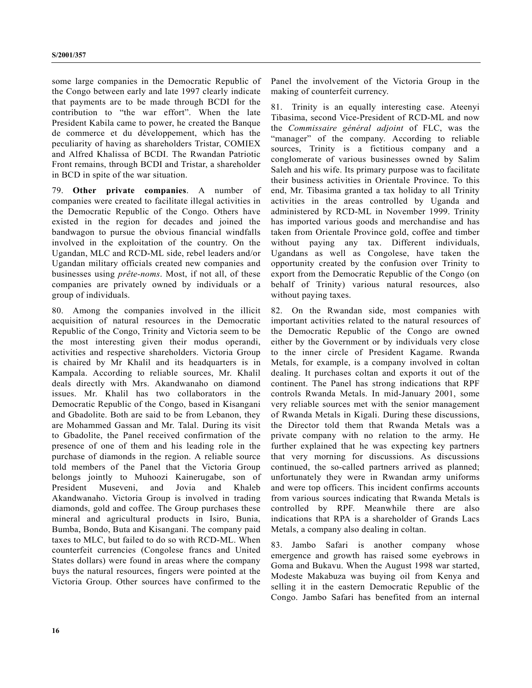some large companies in the Democratic Republic of the Congo between early and late 1997 clearly indicate that payments are to be made through BCDI for the contribution to "the war effort". When the late President Kabila came to power, he created the Banque de commerce et du développement, which has the peculiarity of having as shareholders Tristar, COMIEX and Alfred Khalissa of BCDI. The Rwandan Patriotic Front remains, through BCDI and Tristar, a shareholder in BCD in spite of the war situation.

79. **Other private companies**. A number of companies were created to facilitate illegal activities in the Democratic Republic of the Congo. Others have existed in the region for decades and joined the bandwagon to pursue the obvious financial windfalls involved in the exploitation of the country. On the Ugandan, MLC and RCD-ML side, rebel leaders and/or Ugandan military officials created new companies and businesses using *prête-noms*. Most, if not all, of these companies are privately owned by individuals or a group of individuals.

80. Among the companies involved in the illicit acquisition of natural resources in the Democratic Republic of the Congo, Trinity and Victoria seem to be the most interesting given their modus operandi, activities and respective shareholders. Victoria Group is chaired by Mr Khalil and its headquarters is in Kampala. According to reliable sources, Mr. Khalil deals directly with Mrs. Akandwanaho on diamond issues. Mr. Khalil has two collaborators in the Democratic Republic of the Congo, based in Kisangani and Gbadolite. Both are said to be from Lebanon, they are Mohammed Gassan and Mr. Talal. During its visit to Gbadolite, the Panel received confirmation of the presence of one of them and his leading role in the purchase of diamonds in the region. A reliable source told members of the Panel that the Victoria Group belongs jointly to Muhoozi Kainerugabe, son of President Museveni, and Jovia and Khaleb Akandwanaho. Victoria Group is involved in trading diamonds, gold and coffee. The Group purchases these mineral and agricultural products in Isiro, Bunia, Bumba, Bondo, Buta and Kisangani. The company paid taxes to MLC, but failed to do so with RCD-ML. When counterfeit currencies (Congolese francs and United States dollars) were found in areas where the company buys the natural resources, fingers were pointed at the Victoria Group. Other sources have confirmed to the

Panel the involvement of the Victoria Group in the making of counterfeit currency.

81. Trinity is an equally interesting case. Ateenyi Tibasima, second Vice-President of RCD-ML and now the *Commissaire général adjoint* of FLC, was the "manager" of the company. According to reliable sources, Trinity is a fictitious company and a conglomerate of various businesses owned by Salim Saleh and his wife. Its primary purpose was to facilitate their business activities in Orientale Province. To this end, Mr. Tibasima granted a tax holiday to all Trinity activities in the areas controlled by Uganda and administered by RCD-ML in November 1999. Trinity has imported various goods and merchandise and has taken from Orientale Province gold, coffee and timber without paying any tax. Different individuals, Ugandans as well as Congolese, have taken the opportunity created by the confusion over Trinity to export from the Democratic Republic of the Congo (on behalf of Trinity) various natural resources, also without paying taxes.

82. On the Rwandan side, most companies with important activities related to the natural resources of the Democratic Republic of the Congo are owned either by the Government or by individuals very close to the inner circle of President Kagame. Rwanda Metals, for example, is a company involved in coltan dealing. It purchases coltan and exports it out of the continent. The Panel has strong indications that RPF controls Rwanda Metals. In mid-January 2001, some very reliable sources met with the senior management of Rwanda Metals in Kigali. During these discussions, the Director told them that Rwanda Metals was a private company with no relation to the army. He further explained that he was expecting key partners that very morning for discussions. As discussions continued, the so-called partners arrived as planned; unfortunately they were in Rwandan army uniforms and were top officers. This incident confirms accounts from various sources indicating that Rwanda Metals is controlled by RPF. Meanwhile there are also indications that RPA is a shareholder of Grands Lacs Metals, a company also dealing in coltan.

83. Jambo Safari is another company whose emergence and growth has raised some eyebrows in Goma and Bukavu. When the August 1998 war started, Modeste Makabuza was buying oil from Kenya and selling it in the eastern Democratic Republic of the Congo. Jambo Safari has benefited from an internal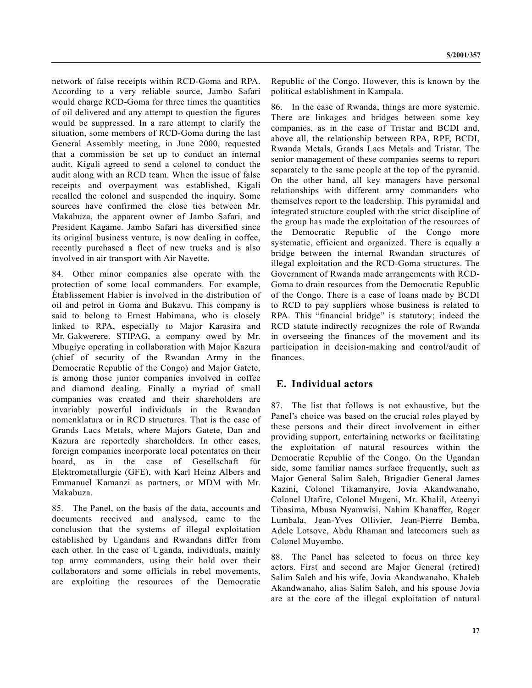network of false receipts within RCD-Goma and RPA. According to a very reliable source, Jambo Safari would charge RCD-Goma for three times the quantities of oil delivered and any attempt to question the figures would be suppressed. In a rare attempt to clarify the situation, some members of RCD-Goma during the last General Assembly meeting, in June 2000, requested that a commission be set up to conduct an internal audit. Kigali agreed to send a colonel to conduct the audit along with an RCD team. When the issue of false receipts and overpayment was established, Kigali recalled the colonel and suspended the inquiry. Some sources have confirmed the close ties between Mr. Makabuza, the apparent owner of Jambo Safari, and President Kagame. Jambo Safari has diversified since its original business venture, is now dealing in coffee, recently purchased a fleet of new trucks and is also involved in air transport with Air Navette.

84. Other minor companies also operate with the protection of some local commanders. For example, Établissement Habier is involved in the distribution of oil and petrol in Goma and Bukavu. This company is said to belong to Ernest Habimana, who is closely linked to RPA, especially to Major Karasira and Mr. Gakwerere. STIPAG, a company owed by Mr. Mbugiye operating in collaboration with Major Kazura (chief of security of the Rwandan Army in the Democratic Republic of the Congo) and Major Gatete, is among those junior companies involved in coffee and diamond dealing. Finally a myriad of small companies was created and their shareholders are invariably powerful individuals in the Rwandan nomenklatura or in RCD structures. That is the case of Grands Lacs Metals, where Majors Gatete, Dan and Kazura are reportedly shareholders. In other cases, foreign companies incorporate local potentates on their board, as in the case of Gesellschaft für Elektrometallurgie (GFE), with Karl Heinz Albers and Emmanuel Kamanzi as partners, or MDM with Mr. Makabuza.

85. The Panel, on the basis of the data, accounts and documents received and analysed, came to the conclusion that the systems of illegal exploitation established by Ugandans and Rwandans differ from each other. In the case of Uganda, individuals, mainly top army commanders, using their hold over their collaborators and some officials in rebel movements, are exploiting the resources of the Democratic Republic of the Congo. However, this is known by the political establishment in Kampala.

86. In the case of Rwanda, things are more systemic. There are linkages and bridges between some key companies, as in the case of Tristar and BCDI and, above all, the relationship between RPA, RPF, BCDI, Rwanda Metals, Grands Lacs Metals and Tristar. The senior management of these companies seems to report separately to the same people at the top of the pyramid. On the other hand, all key managers have personal relationships with different army commanders who themselves report to the leadership. This pyramidal and integrated structure coupled with the strict discipline of the group has made the exploitation of the resources of the Democratic Republic of the Congo more systematic, efficient and organized. There is equally a bridge between the internal Rwandan structures of illegal exploitation and the RCD-Goma structures. The Government of Rwanda made arrangements with RCD-Goma to drain resources from the Democratic Republic of the Congo. There is a case of loans made by BCDI to RCD to pay suppliers whose business is related to RPA. This "financial bridge" is statutory; indeed the RCD statute indirectly recognizes the role of Rwanda in overseeing the finances of the movement and its participation in decision-making and control/audit of finances.

### **E. Individual actors**

87. The list that follows is not exhaustive, but the Panel's choice was based on the crucial roles played by these persons and their direct involvement in either providing support, entertaining networks or facilitating the exploitation of natural resources within the Democratic Republic of the Congo. On the Ugandan side, some familiar names surface frequently, such as Major General Salim Saleh, Brigadier General James Kazini, Colonel Tikamanyire, Jovia Akandwanaho, Colonel Utafire, Colonel Mugeni, Mr. Khalil, Ateenyi Tibasima, Mbusa Nyamwisi, Nahim Khanaffer, Roger Lumbala, Jean-Yves Ollivier, Jean-Pierre Bemba, Adele Lotsove, Abdu Rhaman and latecomers such as Colonel Muyombo.

88. The Panel has selected to focus on three key actors. First and second are Major General (retired) Salim Saleh and his wife, Jovia Akandwanaho. Khaleb Akandwanaho, alias Salim Saleh, and his spouse Jovia are at the core of the illegal exploitation of natural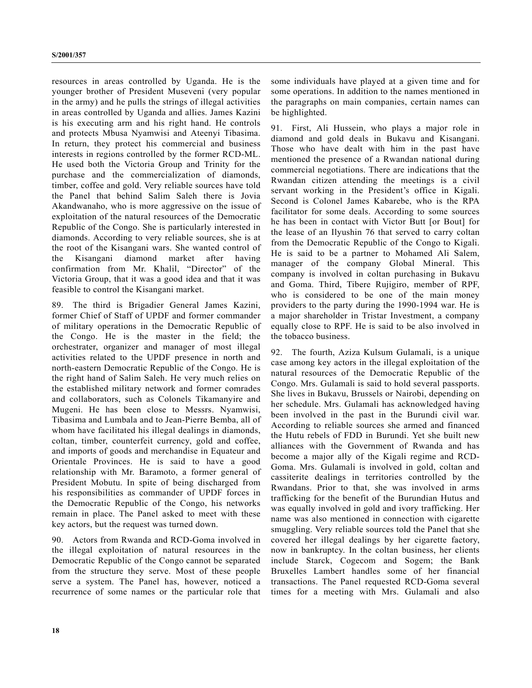resources in areas controlled by Uganda. He is the younger brother of President Museveni (very popular in the army) and he pulls the strings of illegal activities in areas controlled by Uganda and allies. James Kazini is his executing arm and his right hand. He controls and protects Mbusa Nyamwisi and Ateenyi Tibasima. In return, they protect his commercial and business interests in regions controlled by the former RCD-ML. He used both the Victoria Group and Trinity for the purchase and the commercialization of diamonds, timber, coffee and gold. Very reliable sources have told the Panel that behind Salim Saleh there is Jovia Akandwanaho, who is more aggressive on the issue of exploitation of the natural resources of the Democratic Republic of the Congo. She is particularly interested in diamonds. According to very reliable sources, she is at the root of the Kisangani wars. She wanted control of the Kisangani diamond market after having confirmation from Mr. Khalil, "Director" of the Victoria Group, that it was a good idea and that it was feasible to control the Kisangani market.

89. The third is Brigadier General James Kazini, former Chief of Staff of UPDF and former commander of military operations in the Democratic Republic of the Congo. He is the master in the field; the orchestrater, organizer and manager of most illegal activities related to the UPDF presence in north and north-eastern Democratic Republic of the Congo. He is the right hand of Salim Saleh. He very much relies on the established military network and former comrades and collaborators, such as Colonels Tikamanyire and Mugeni. He has been close to Messrs. Nyamwisi, Tibasima and Lumbala and to Jean-Pierre Bemba, all of whom have facilitated his illegal dealings in diamonds, coltan, timber, counterfeit currency, gold and coffee, and imports of goods and merchandise in Equateur and Orientale Provinces. He is said to have a good relationship with Mr. Baramoto, a former general of President Mobutu. In spite of being discharged from his responsibilities as commander of UPDF forces in the Democratic Republic of the Congo, his networks remain in place. The Panel asked to meet with these key actors, but the request was turned down.

90. Actors from Rwanda and RCD-Goma involved in the illegal exploitation of natural resources in the Democratic Republic of the Congo cannot be separated from the structure they serve. Most of these people serve a system. The Panel has, however, noticed a recurrence of some names or the particular role that some individuals have played at a given time and for some operations. In addition to the names mentioned in the paragraphs on main companies, certain names can be highlighted.

91. First, Ali Hussein, who plays a major role in diamond and gold deals in Bukavu and Kisangani. Those who have dealt with him in the past have mentioned the presence of a Rwandan national during commercial negotiations. There are indications that the Rwandan citizen attending the meetings is a civil servant working in the President's office in Kigali. Second is Colonel James Kabarebe, who is the RPA facilitator for some deals. According to some sources he has been in contact with Victor Butt [or Bout] for the lease of an Ilyushin 76 that served to carry coltan from the Democratic Republic of the Congo to Kigali. He is said to be a partner to Mohamed Ali Salem, manager of the company Global Mineral. This company is involved in coltan purchasing in Bukavu and Goma. Third, Tibere Rujigiro, member of RPF, who is considered to be one of the main money providers to the party during the 1990-1994 war. He is a major shareholder in Tristar Investment, a company equally close to RPF. He is said to be also involved in the tobacco business.

92. The fourth, Aziza Kulsum Gulamali, is a unique case among key actors in the illegal exploitation of the natural resources of the Democratic Republic of the Congo. Mrs. Gulamali is said to hold several passports. She lives in Bukavu, Brussels or Nairobi, depending on her schedule. Mrs. Gulamali has acknowledged having been involved in the past in the Burundi civil war. According to reliable sources she armed and financed the Hutu rebels of FDD in Burundi. Yet she built new alliances with the Government of Rwanda and has become a major ally of the Kigali regime and RCD-Goma. Mrs. Gulamali is involved in gold, coltan and cassiterite dealings in territories controlled by the Rwandans. Prior to that, she was involved in arms trafficking for the benefit of the Burundian Hutus and was equally involved in gold and ivory trafficking. Her name was also mentioned in connection with cigarette smuggling. Very reliable sources told the Panel that she covered her illegal dealings by her cigarette factory, now in bankruptcy. In the coltan business, her clients include Starck, Cogecom and Sogem; the Bank Bruxelles Lambert handles some of her financial transactions. The Panel requested RCD-Goma several times for a meeting with Mrs. Gulamali and also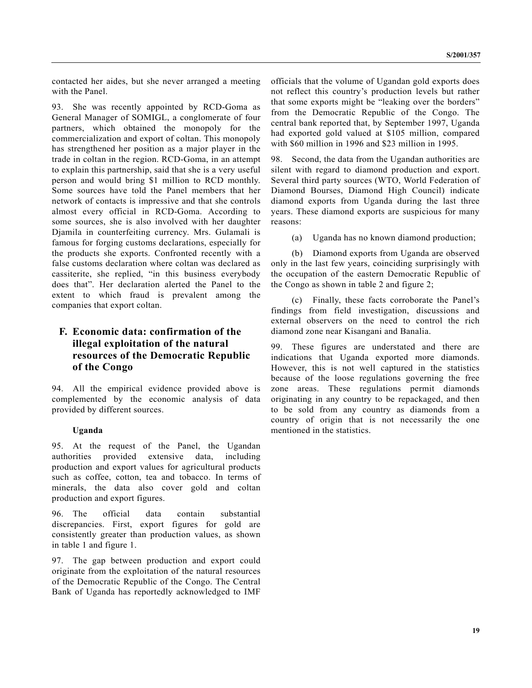contacted her aides, but she never arranged a meeting with the Panel.

93. She was recently appointed by RCD-Goma as General Manager of SOMIGL, a conglomerate of four partners, which obtained the monopoly for the commercialization and export of coltan. This monopoly has strengthened her position as a major player in the trade in coltan in the region. RCD-Goma, in an attempt to explain this partnership, said that she is a very useful person and would bring \$1 million to RCD monthly. Some sources have told the Panel members that her network of contacts is impressive and that she controls almost every official in RCD-Goma. According to some sources, she is also involved with her daughter Djamila in counterfeiting currency. Mrs. Gulamali is famous for forging customs declarations, especially for the products she exports. Confronted recently with a false customs declaration where coltan was declared as cassiterite, she replied, "in this business everybody does that". Her declaration alerted the Panel to the extent to which fraud is prevalent among the companies that export coltan.

## **F. Economic data: confirmation of the illegal exploitation of the natural resources of the Democratic Republic of the Congo**

94. All the empirical evidence provided above is complemented by the economic analysis of data provided by different sources.

#### **Uganda**

95. At the request of the Panel, the Ugandan authorities provided extensive data, including production and export values for agricultural products such as coffee, cotton, tea and tobacco. In terms of minerals, the data also cover gold and coltan production and export figures.

96. The official data contain substantial discrepancies. First, export figures for gold are consistently greater than production values, as shown in table 1 and figure 1.

97. The gap between production and export could originate from the exploitation of the natural resources of the Democratic Republic of the Congo. The Central Bank of Uganda has reportedly acknowledged to IMF officials that the volume of Ugandan gold exports does not reflect this country's production levels but rather that some exports might be "leaking over the borders" from the Democratic Republic of the Congo. The central bank reported that, by September 1997, Uganda had exported gold valued at \$105 million, compared with \$60 million in 1996 and \$23 million in 1995.

98. Second, the data from the Ugandan authorities are silent with regard to diamond production and export. Several third party sources (WTO, World Federation of Diamond Bourses, Diamond High Council) indicate diamond exports from Uganda during the last three years. These diamond exports are suspicious for many reasons:

(a) Uganda has no known diamond production;

(b) Diamond exports from Uganda are observed only in the last few years, coinciding surprisingly with the occupation of the eastern Democratic Republic of the Congo as shown in table 2 and figure 2;

(c) Finally, these facts corroborate the Panel's findings from field investigation, discussions and external observers on the need to control the rich diamond zone near Kisangani and Banalia.

99. These figures are understated and there are indications that Uganda exported more diamonds. However, this is not well captured in the statistics because of the loose regulations governing the free zone areas. These regulations permit diamonds originating in any country to be repackaged, and then to be sold from any country as diamonds from a country of origin that is not necessarily the one mentioned in the statistics.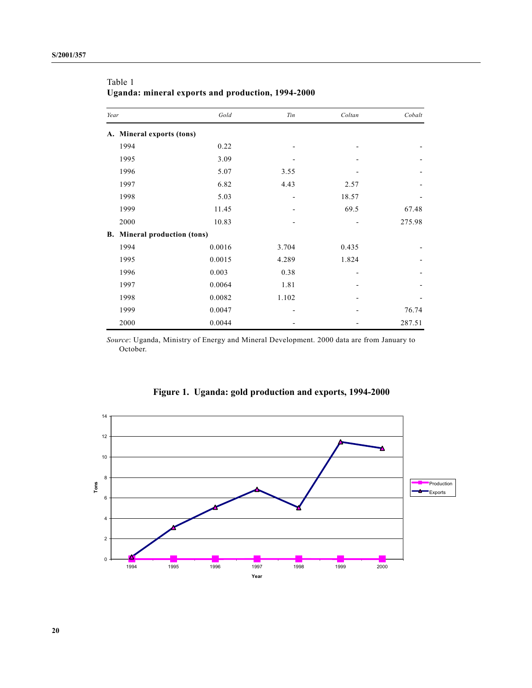| Year |                                  | Gold   | Tin   | Coltan | Cobalt |
|------|----------------------------------|--------|-------|--------|--------|
| A.   | Mineral exports (tons)           |        |       |        |        |
|      | 1994                             | 0.22   |       |        |        |
|      | 1995                             | 3.09   |       |        |        |
|      | 1996                             | 5.07   | 3.55  |        |        |
|      | 1997                             | 6.82   | 4.43  | 2.57   |        |
|      | 1998                             | 5.03   |       | 18.57  |        |
|      | 1999                             | 11.45  |       | 69.5   | 67.48  |
|      | 2000                             | 10.83  |       |        | 275.98 |
| В.   | <b>Mineral production (tons)</b> |        |       |        |        |
|      | 1994                             | 0.0016 | 3.704 | 0.435  |        |
|      | 1995                             | 0.0015 | 4.289 | 1.824  |        |
|      | 1996                             | 0.003  | 0.38  |        |        |
|      | 1997                             | 0.0064 | 1.81  |        |        |
|      | 1998                             | 0.0082 | 1.102 |        |        |
|      | 1999                             | 0.0047 |       |        | 76.74  |
|      | 2000                             | 0.0044 |       |        | 287.51 |

Table 1 **Uganda: mineral exports and production, 1994-2000**

*Source*: Uganda, Ministry of Energy and Mineral Development. 2000 data are from January to October.



**Figure 1. Uganda: gold production and exports, 1994-2000**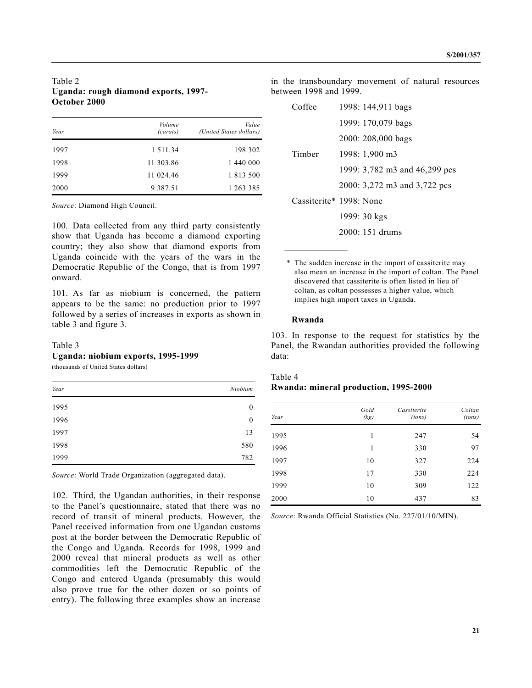#### Table 2 **Uganda: rough diamond exports, 1997- October 2000**

| Year | Volume<br>(carats) | Value<br>(United States dollars) |
|------|--------------------|----------------------------------|
| 1997 | 1 5 1 1 . 3 4      | 198 302                          |
| 1998 | 11 303.86          | 1 440 000                        |
| 1999 | 11 024.46          | 1 813 500                        |
| 2000 | 9 3 8 7 . 5 1      | 1 263 385                        |

*Source*: Diamond High Council.

100. Data collected from any third party consistently show that Uganda has become a diamond exporting country; they also show that diamond exports from Uganda coincide with the years of the wars in the Democratic Republic of the Congo, that is from 1997 onward.

101. As far as niobium is concerned, the pattern appears to be the same: no production prior to 1997 followed by a series of increases in exports as shown in table 3 and figure 3.

#### Table 3

#### **Uganda: niobium exports, 1995-1999**

(thousands of United States dollars)

| Year | Niobium          |
|------|------------------|
| 1995 | $\boldsymbol{0}$ |
| 1996 | $\boldsymbol{0}$ |
| 1997 | 13               |
| 1998 | 580              |
| 1999 | 782              |

*Source*: World Trade Organization (aggregated data).

102. Third, the Ugandan authorities, in their response to the Panel's questionnaire, stated that there was no record of transit of mineral products. However, the Panel received information from one Ugandan customs post at the border between the Democratic Republic of the Congo and Uganda. Records for 1998, 1999 and 2000 reveal that mineral products as well as other commodities left the Democratic Republic of the Congo and entered Uganda (presumably this would also prove true for the other dozen or so points of entry). The following three examples show an increase

in the transboundary movement of natural resources between 1998 and 1999.

| Coffee | 1998: 144,911 bags               |
|--------|----------------------------------|
|        | 1999: 170,079 bags               |
|        | 2000: 208,000 bags               |
| Timber | 1998: 1,900 m3                   |
|        | 1999: 3,782 m3 and 46,299 pcs    |
|        | 2000: 3,272 m3 and 3,722 pcs     |
|        | $\text{Cassiterite*}$ 1998: None |
|        | 1999: 30 kgs                     |
|        | $2000:151$ drums                 |

\* The sudden increase in the import of cassiterite may also mean an increase in the import of coltan. The Panel discovered that cassiterite is often listed in lieu of coltan, as coltan possesses a higher value, which implies high import taxes in Uganda.

#### **Rwanda**

103. In response to the request for statistics by the Panel, the Rwandan authorities provided the following data:

## Table 4 **Rwanda: mineral production, 1995-2000**

| Year | Gold<br>(kg) | Cassiterite<br>(tons) | Coltan<br>(tons) |
|------|--------------|-----------------------|------------------|
| 1995 | 1            | 247                   | 54               |
| 1996 | 1            | 330                   | 97               |
| 1997 | 10           | 327                   | 224              |
| 1998 | 17           | 330                   | 224              |
| 1999 | 10           | 309                   | 122              |
| 2000 | 10           | 437                   | 83               |

*Source*: Rwanda Official Statistics (No. 227/01/10/MIN).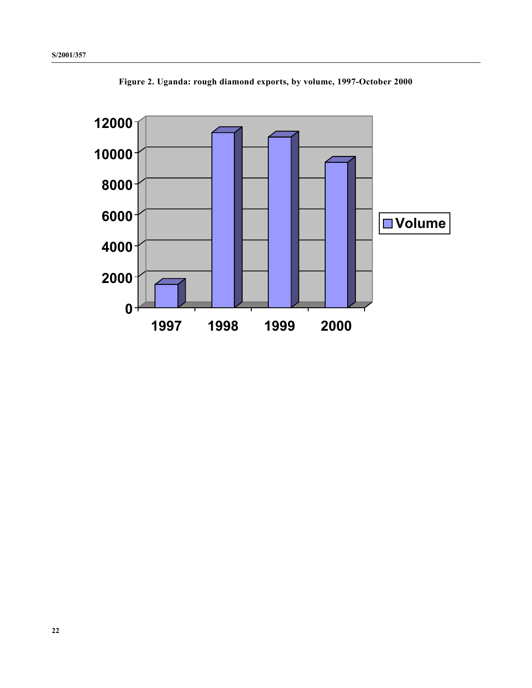

**Figure 2. Uganda: rough diamond exports, by volume, 1997-October 2000**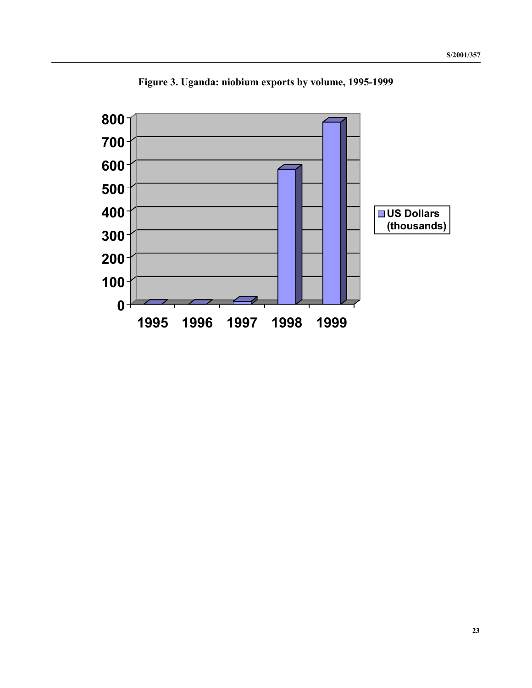

**Figure 3. Uganda: niobium exports by volume, 1995-1999**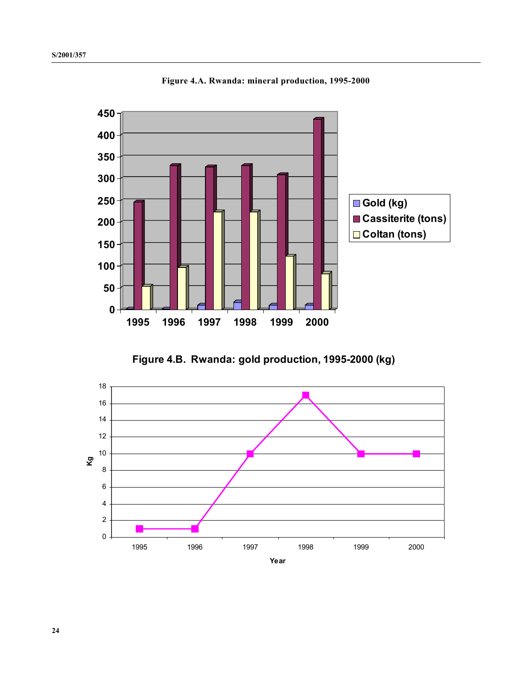

**Figure 4.A. Rwanda: mineral production, 1995-2000**



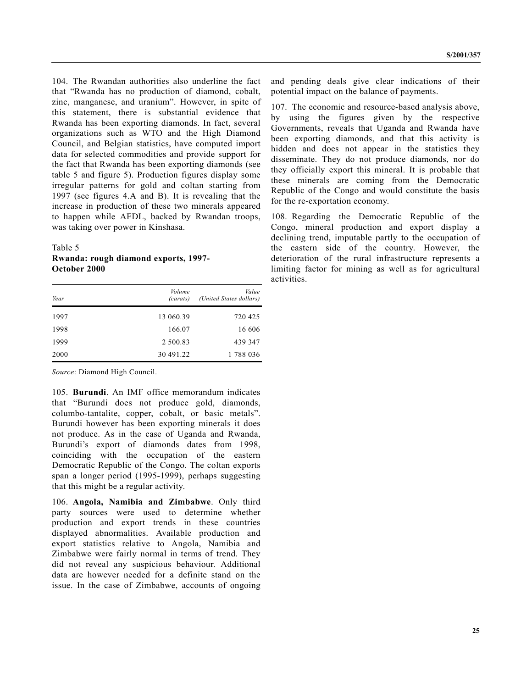104. The Rwandan authorities also underline the fact that "Rwanda has no production of diamond, cobalt, zinc, manganese, and uranium". However, in spite of this statement, there is substantial evidence that Rwanda has been exporting diamonds. In fact, several organizations such as WTO and the High Diamond Council, and Belgian statistics, have computed import data for selected commodities and provide support for the fact that Rwanda has been exporting diamonds (see table 5 and figure 5). Production figures display some irregular patterns for gold and coltan starting from 1997 (see figures 4.A and B). It is revealing that the increase in production of these two minerals appeared to happen while AFDL, backed by Rwandan troops, was taking over power in Kinshasa.

Table 5

### **Rwanda: rough diamond exports, 1997- October 2000**

| Year | Volume<br>(carats) | Value<br>(United States dollars) |
|------|--------------------|----------------------------------|
| 1997 | 13 060.39          | 720 425                          |
| 1998 | 166.07             | 16 606                           |
| 1999 | 2 500.83           | 439 347                          |
| 2000 | 30 491.22          | 1788036                          |

*Source*: Diamond High Council.

105. **Burundi**. An IMF office memorandum indicates that "Burundi does not produce gold, diamonds, columbo-tantalite, copper, cobalt, or basic metals". Burundi however has been exporting minerals it does not produce. As in the case of Uganda and Rwanda, Burundi's export of diamonds dates from 1998, coinciding with the occupation of the eastern Democratic Republic of the Congo. The coltan exports span a longer period (1995-1999), perhaps suggesting that this might be a regular activity.

106. **Angola, Namibia and Zimbabwe**. Only third party sources were used to determine whether production and export trends in these countries displayed abnormalities. Available production and export statistics relative to Angola, Namibia and Zimbabwe were fairly normal in terms of trend. They did not reveal any suspicious behaviour. Additional data are however needed for a definite stand on the issue. In the case of Zimbabwe, accounts of ongoing and pending deals give clear indications of their potential impact on the balance of payments.

107. The economic and resource-based analysis above, by using the figures given by the respective Governments, reveals that Uganda and Rwanda have been exporting diamonds, and that this activity is hidden and does not appear in the statistics they disseminate. They do not produce diamonds, nor do they officially export this mineral. It is probable that these minerals are coming from the Democratic Republic of the Congo and would constitute the basis for the re-exportation economy.

108. Regarding the Democratic Republic of the Congo, mineral production and export display a declining trend, imputable partly to the occupation of the eastern side of the country. However, the deterioration of the rural infrastructure represents a limiting factor for mining as well as for agricultural activities.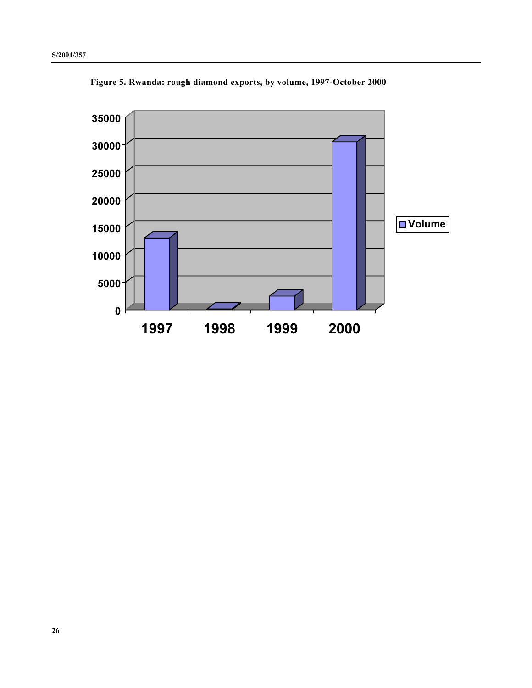

**Figure 5. Rwanda: rough diamond exports, by volume, 1997-October 2000**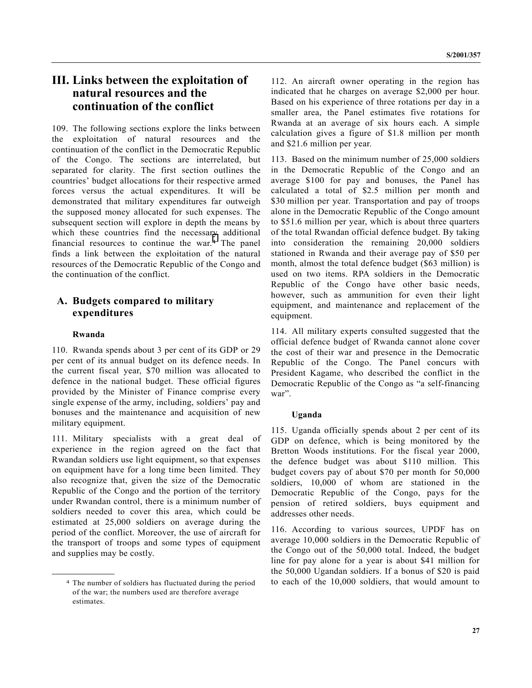## **III. Links between the exploitation of natural resources and the continuation of the conflict**

109. The following sections explore the links between the exploitation of natural resources and the continuation of the conflict in the Democratic Republic of the Congo. The sections are interrelated, but separated for clarity. The first section outlines the countries' budget allocations for their respective armed forces versus the actual expenditures. It will be demonstrated that military expenditures far outweigh the supposed money allocated for such expenses. The subsequent section will explore in depth the means by which these countries find the necessary additional financial resources to continue the war.4 The panel finds a link between the exploitation of the natural resources of the Democratic Republic of the Congo and the continuation of the conflict.

## **A. Budgets compared to military expenditures**

#### **Rwanda**

**\_\_\_\_\_\_\_\_\_\_\_\_\_\_\_\_\_\_**

110. Rwanda spends about 3 per cent of its GDP or 29 per cent of its annual budget on its defence needs. In the current fiscal year, \$70 million was allocated to defence in the national budget. These official figures provided by the Minister of Finance comprise every single expense of the army, including, soldiers' pay and bonuses and the maintenance and acquisition of new military equipment.

111. Military specialists with a great deal of experience in the region agreed on the fact that Rwandan soldiers use light equipment, so that expenses on equipment have for a long time been limited. They also recognize that, given the size of the Democratic Republic of the Congo and the portion of the territory under Rwandan control, there is a minimum number of soldiers needed to cover this area, which could be estimated at 25,000 soldiers on average during the period of the conflict. Moreover, the use of aircraft for the transport of troops and some types of equipment and supplies may be costly.

112. An aircraft owner operating in the region has indicated that he charges on average \$2,000 per hour. Based on his experience of three rotations per day in a smaller area, the Panel estimates five rotations for Rwanda at an average of six hours each. A simple calculation gives a figure of \$1.8 million per month and \$21.6 million per year.

113. Based on the minimum number of 25,000 soldiers in the Democratic Republic of the Congo and an average \$100 for pay and bonuses, the Panel has calculated a total of \$2.5 million per month and \$30 million per year. Transportation and pay of troops alone in the Democratic Republic of the Congo amount to \$51.6 million per year, which is about three quarters of the total Rwandan official defence budget. By taking into consideration the remaining 20,000 soldiers stationed in Rwanda and their average pay of \$50 per month, almost the total defence budget (\$63 million) is used on two items. RPA soldiers in the Democratic Republic of the Congo have other basic needs, however, such as ammunition for even their light equipment, and maintenance and replacement of the equipment.

114. All military experts consulted suggested that the official defence budget of Rwanda cannot alone cover the cost of their war and presence in the Democratic Republic of the Congo. The Panel concurs with President Kagame, who described the conflict in the Democratic Republic of the Congo as "a self-financing war".

#### **Uganda**

115. Uganda officially spends about 2 per cent of its GDP on defence, which is being monitored by the Bretton Woods institutions. For the fiscal year 2000, the defence budget was about \$110 million. This budget covers pay of about \$70 per month for 50,000 soldiers, 10,000 of whom are stationed in the Democratic Republic of the Congo, pays for the pension of retired soldiers, buys equipment and addresses other needs.

116. According to various sources, UPDF has on average 10,000 soldiers in the Democratic Republic of the Congo out of the 50,000 total. Indeed, the budget line for pay alone for a year is about \$41 million for the 50,000 Ugandan soldiers. If a bonus of \$20 is paid to each of the 10,000 soldiers, that would amount to

<sup>4</sup> The number of soldiers has fluctuated during the period of the war; the numbers used are therefore average estimates.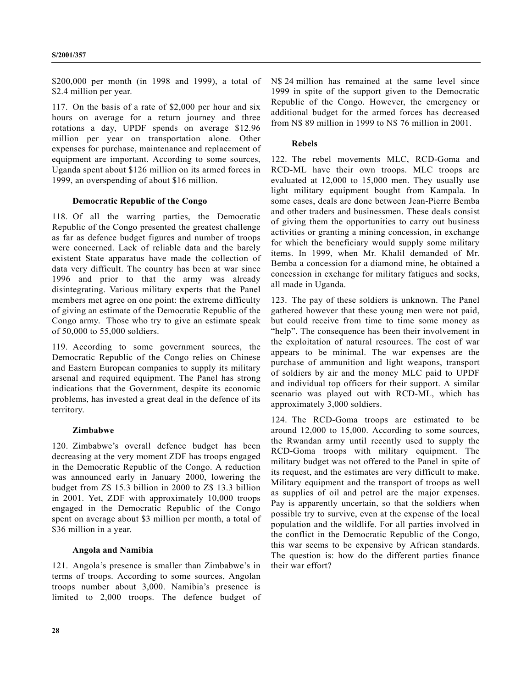\$200,000 per month (in 1998 and 1999), a total of \$2.4 million per year.

117. On the basis of a rate of \$2,000 per hour and six hours on average for a return journey and three rotations a day, UPDF spends on average \$12.96 million per year on transportation alone. Other expenses for purchase, maintenance and replacement of equipment are important. According to some sources, Uganda spent about \$126 million on its armed forces in 1999, an overspending of about \$16 million.

#### **Democratic Republic of the Congo**

118. Of all the warring parties, the Democratic Republic of the Congo presented the greatest challenge as far as defence budget figures and number of troops were concerned. Lack of reliable data and the barely existent State apparatus have made the collection of data very difficult. The country has been at war since 1996 and prior to that the army was already disintegrating. Various military experts that the Panel members met agree on one point: the extreme difficulty of giving an estimate of the Democratic Republic of the Congo army. Those who try to give an estimate speak of 50,000 to 55,000 soldiers.

119. According to some government sources, the Democratic Republic of the Congo relies on Chinese and Eastern European companies to supply its military arsenal and required equipment. The Panel has strong indications that the Government, despite its economic problems, has invested a great deal in the defence of its territory.

#### **Zimbabwe**

120. Zimbabwe's overall defence budget has been decreasing at the very moment ZDF has troops engaged in the Democratic Republic of the Congo. A reduction was announced early in January 2000, lowering the budget from Z\$ 15.3 billion in 2000 to Z\$ 13.3 billion in 2001. Yet, ZDF with approximately 10,000 troops engaged in the Democratic Republic of the Congo spent on average about \$3 million per month, a total of \$36 million in a year.

#### **Angola and Namibia**

121. Angola's presence is smaller than Zimbabwe's in terms of troops. According to some sources, Angolan troops number about 3,000. Namibia's presence is limited to 2,000 troops. The defence budget of N\$ 24 million has remained at the same level since 1999 in spite of the support given to the Democratic Republic of the Congo. However, the emergency or additional budget for the armed forces has decreased from N\$ 89 million in 1999 to N\$ 76 million in 2001.

#### **Rebels**

122. The rebel movements MLC, RCD-Goma and RCD-ML have their own troops. MLC troops are evaluated at 12,000 to 15,000 men. They usually use light military equipment bought from Kampala. In some cases, deals are done between Jean-Pierre Bemba and other traders and businessmen. These deals consist of giving them the opportunities to carry out business activities or granting a mining concession, in exchange for which the beneficiary would supply some military items. In 1999, when Mr. Khalil demanded of Mr. Bemba a concession for a diamond mine, he obtained a concession in exchange for military fatigues and socks, all made in Uganda.

123. The pay of these soldiers is unknown. The Panel gathered however that these young men were not paid, but could receive from time to time some money as "help". The consequence has been their involvement in the exploitation of natural resources. The cost of war appears to be minimal. The war expenses are the purchase of ammunition and light weapons, transport of soldiers by air and the money MLC paid to UPDF and individual top officers for their support. A similar scenario was played out with RCD-ML, which has approximately 3,000 soldiers.

124. The RCD-Goma troops are estimated to be around 12,000 to 15,000. According to some sources, the Rwandan army until recently used to supply the RCD-Goma troops with military equipment. The military budget was not offered to the Panel in spite of its request, and the estimates are very difficult to make. Military equipment and the transport of troops as well as supplies of oil and petrol are the major expenses. Pay is apparently uncertain, so that the soldiers when possible try to survive, even at the expense of the local population and the wildlife. For all parties involved in the conflict in the Democratic Republic of the Congo, this war seems to be expensive by African standards. The question is: how do the different parties finance their war effort?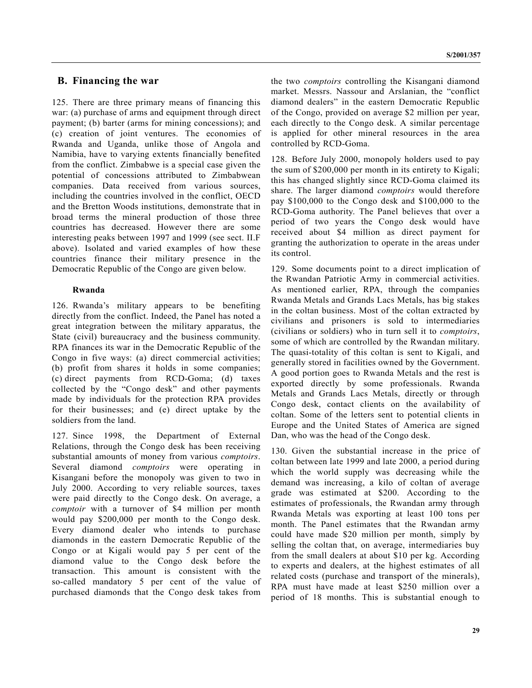### **B. Financing the war**

125. There are three primary means of financing this war: (a) purchase of arms and equipment through direct payment; (b) barter (arms for mining concessions); and (c) creation of joint ventures. The economies of Rwanda and Uganda, unlike those of Angola and Namibia, have to varying extents financially benefited from the conflict. Zimbabwe is a special case given the potential of concessions attributed to Zimbabwean companies. Data received from various sources, including the countries involved in the conflict, OECD and the Bretton Woods institutions, demonstrate that in broad terms the mineral production of those three countries has decreased. However there are some interesting peaks between 1997 and 1999 (see sect. II.F above). Isolated and varied examples of how these countries finance their military presence in the Democratic Republic of the Congo are given below.

#### **Rwanda**

126. Rwanda's military appears to be benefiting directly from the conflict. Indeed, the Panel has noted a great integration between the military apparatus, the State (civil) bureaucracy and the business community. RPA finances its war in the Democratic Republic of the Congo in five ways: (a) direct commercial activities; (b) profit from shares it holds in some companies; (c) direct payments from RCD-Goma; (d) taxes collected by the "Congo desk" and other payments made by individuals for the protection RPA provides for their businesses; and (e) direct uptake by the soldiers from the land.

127. Since 1998, the Department of External Relations, through the Congo desk has been receiving substantial amounts of money from various *comptoirs*. Several diamond *comptoirs* were operating in Kisangani before the monopoly was given to two in July 2000. According to very reliable sources, taxes were paid directly to the Congo desk. On average, a *comptoir* with a turnover of \$4 million per month would pay \$200,000 per month to the Congo desk. Every diamond dealer who intends to purchase diamonds in the eastern Democratic Republic of the Congo or at Kigali would pay 5 per cent of the diamond value to the Congo desk before the transaction. This amount is consistent with the so-called mandatory 5 per cent of the value of purchased diamonds that the Congo desk takes from

the two *comptoirs* controlling the Kisangani diamond market. Messrs. Nassour and Arslanian, the "conflict diamond dealers" in the eastern Democratic Republic of the Congo, provided on average \$2 million per year, each directly to the Congo desk. A similar percentage is applied for other mineral resources in the area controlled by RCD-Goma.

128. Before July 2000, monopoly holders used to pay the sum of \$200,000 per month in its entirety to Kigali; this has changed slightly since RCD-Goma claimed its share. The larger diamond *comptoirs* would therefore pay \$100,000 to the Congo desk and \$100,000 to the RCD-Goma authority. The Panel believes that over a period of two years the Congo desk would have received about \$4 million as direct payment for granting the authorization to operate in the areas under its control.

129. Some documents point to a direct implication of the Rwandan Patriotic Army in commercial activities. As mentioned earlier, RPA, through the companies Rwanda Metals and Grands Lacs Metals, has big stakes in the coltan business. Most of the coltan extracted by civilians and prisoners is sold to intermediaries (civilians or soldiers) who in turn sell it to *comptoirs*, some of which are controlled by the Rwandan military. The quasi-totality of this coltan is sent to Kigali, and generally stored in facilities owned by the Government. A good portion goes to Rwanda Metals and the rest is exported directly by some professionals. Rwanda Metals and Grands Lacs Metals, directly or through Congo desk, contact clients on the availability of coltan. Some of the letters sent to potential clients in Europe and the United States of America are signed Dan, who was the head of the Congo desk.

130. Given the substantial increase in the price of coltan between late 1999 and late 2000, a period during which the world supply was decreasing while the demand was increasing, a kilo of coltan of average grade was estimated at \$200. According to the estimates of professionals, the Rwandan army through Rwanda Metals was exporting at least 100 tons per month. The Panel estimates that the Rwandan army could have made \$20 million per month, simply by selling the coltan that, on average, intermediaries buy from the small dealers at about \$10 per kg. According to experts and dealers, at the highest estimates of all related costs (purchase and transport of the minerals), RPA must have made at least \$250 million over a period of 18 months. This is substantial enough to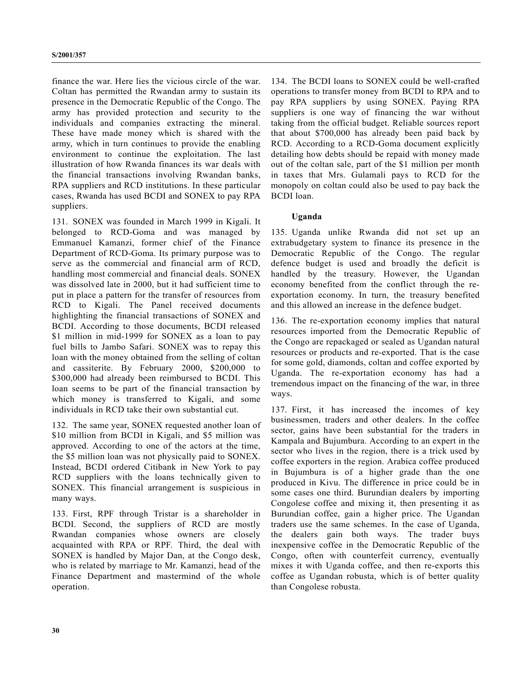finance the war. Here lies the vicious circle of the war. Coltan has permitted the Rwandan army to sustain its presence in the Democratic Republic of the Congo. The army has provided protection and security to the individuals and companies extracting the mineral. These have made money which is shared with the army, which in turn continues to provide the enabling environment to continue the exploitation. The last illustration of how Rwanda finances its war deals with the financial transactions involving Rwandan banks, RPA suppliers and RCD institutions. In these particular cases, Rwanda has used BCDI and SONEX to pay RPA suppliers.

131. SONEX was founded in March 1999 in Kigali. It belonged to RCD-Goma and was managed by Emmanuel Kamanzi, former chief of the Finance Department of RCD-Goma. Its primary purpose was to serve as the commercial and financial arm of RCD, handling most commercial and financial deals. SONEX was dissolved late in 2000, but it had sufficient time to put in place a pattern for the transfer of resources from RCD to Kigali. The Panel received documents highlighting the financial transactions of SONEX and BCDI. According to those documents, BCDI released \$1 million in mid-1999 for SONEX as a loan to pay fuel bills to Jambo Safari. SONEX was to repay this loan with the money obtained from the selling of coltan and cassiterite. By February 2000, \$200,000 to \$300,000 had already been reimbursed to BCDI. This loan seems to be part of the financial transaction by which money is transferred to Kigali, and some individuals in RCD take their own substantial cut.

132. The same year, SONEX requested another loan of \$10 million from BCDI in Kigali, and \$5 million was approved. According to one of the actors at the time, the \$5 million loan was not physically paid to SONEX. Instead, BCDI ordered Citibank in New York to pay RCD suppliers with the loans technically given to SONEX. This financial arrangement is suspicious in many ways.

133. First, RPF through Tristar is a shareholder in BCDI. Second, the suppliers of RCD are mostly Rwandan companies whose owners are closely acquainted with RPA or RPF. Third, the deal with SONEX is handled by Major Dan, at the Congo desk, who is related by marriage to Mr. Kamanzi, head of the Finance Department and mastermind of the whole operation.

134. The BCDI loans to SONEX could be well-crafted operations to transfer money from BCDI to RPA and to pay RPA suppliers by using SONEX. Paying RPA suppliers is one way of financing the war without taking from the official budget. Reliable sources report that about \$700,000 has already been paid back by RCD. According to a RCD-Goma document explicitly detailing how debts should be repaid with money made out of the coltan sale, part of the \$1 million per month in taxes that Mrs. Gulamali pays to RCD for the monopoly on coltan could also be used to pay back the BCDI loan.

#### **Uganda**

135. Uganda unlike Rwanda did not set up an extrabudgetary system to finance its presence in the Democratic Republic of the Congo. The regular defence budget is used and broadly the deficit is handled by the treasury. However, the Ugandan economy benefited from the conflict through the reexportation economy. In turn, the treasury benefited and this allowed an increase in the defence budget.

136. The re-exportation economy implies that natural resources imported from the Democratic Republic of the Congo are repackaged or sealed as Ugandan natural resources or products and re-exported. That is the case for some gold, diamonds, coltan and coffee exported by Uganda. The re-exportation economy has had a tremendous impact on the financing of the war, in three ways.

137. First, it has increased the incomes of key businessmen, traders and other dealers. In the coffee sector, gains have been substantial for the traders in Kampala and Bujumbura. According to an expert in the sector who lives in the region, there is a trick used by coffee exporters in the region. Arabica coffee produced in Bujumbura is of a higher grade than the one produced in Kivu. The difference in price could be in some cases one third. Burundian dealers by importing Congolese coffee and mixing it, then presenting it as Burundian coffee, gain a higher price. The Ugandan traders use the same schemes. In the case of Uganda, the dealers gain both ways. The trader buys inexpensive coffee in the Democratic Republic of the Congo, often with counterfeit currency, eventually mixes it with Uganda coffee, and then re-exports this coffee as Ugandan robusta, which is of better quality than Congolese robusta.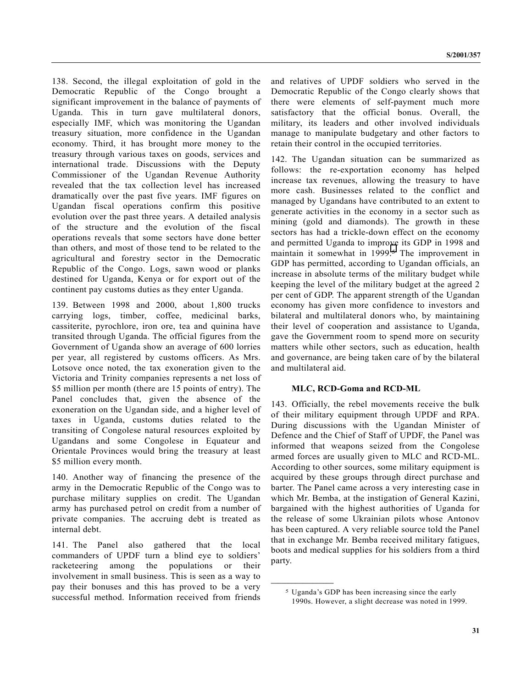138. Second, the illegal exploitation of gold in the Democratic Republic of the Congo brought a significant improvement in the balance of payments of Uganda. This in turn gave multilateral donors, especially IMF, which was monitoring the Ugandan treasury situation, more confidence in the Ugandan economy. Third, it has brought more money to the treasury through various taxes on goods, services and international trade. Discussions with the Deputy Commissioner of the Ugandan Revenue Authority revealed that the tax collection level has increased dramatically over the past five years. IMF figures on Ugandan fiscal operations confirm this positive evolution over the past three years. A detailed analysis of the structure and the evolution of the fiscal operations reveals that some sectors have done better than others, and most of those tend to be related to the agricultural and forestry sector in the Democratic Republic of the Congo. Logs, sawn wood or planks destined for Uganda, Kenya or for export out of the continent pay customs duties as they enter Uganda.

139. Between 1998 and 2000, about 1,800 trucks carrying logs, timber, coffee, medicinal barks, cassiterite, pyrochlore, iron ore, tea and quinina have transited through Uganda. The official figures from the Government of Uganda show an average of 600 lorries per year, all registered by customs officers. As Mrs. Lotsove once noted, the tax exoneration given to the Victoria and Trinity companies represents a net loss of \$5 million per month (there are 15 points of entry). The Panel concludes that, given the absence of the exoneration on the Ugandan side, and a higher level of taxes in Uganda, customs duties related to the transiting of Congolese natural resources exploited by Ugandans and some Congolese in Equateur and Orientale Provinces would bring the treasury at least \$5 million every month.

140. Another way of financing the presence of the army in the Democratic Republic of the Congo was to purchase military supplies on credit. The Ugandan army has purchased petrol on credit from a number of private companies. The accruing debt is treated as internal debt.

141. The Panel also gathered that the local commanders of UPDF turn a blind eye to soldiers' racketeering among the populations or their involvement in small business. This is seen as a way to pay their bonuses and this has proved to be a very successful method. Information received from friends and relatives of UPDF soldiers who served in the Democratic Republic of the Congo clearly shows that there were elements of self-payment much more satisfactory that the official bonus. Overall, the military, its leaders and other involved individuals manage to manipulate budgetary and other factors to retain their control in the occupied territories.

142. The Ugandan situation can be summarized as follows: the re-exportation economy has helped increase tax revenues, allowing the treasury to have more cash. Businesses related to the conflict and managed by Ugandans have contributed to an extent to generate activities in the economy in a sector such as mining (gold and diamonds). The growth in these sectors has had a trickle-down effect on the economy and permitted Uganda to improve its GDP in 1998 and maintain it somewhat in 1999.<sup>5</sup> The improvement in GDP has permitted, according to Ugandan officials, an increase in absolute terms of the military budget while keeping the level of the military budget at the agreed 2 per cent of GDP. The apparent strength of the Ugandan economy has given more confidence to investors and bilateral and multilateral donors who, by maintaining their level of cooperation and assistance to Uganda, gave the Government room to spend more on security matters while other sectors, such as education, health and governance, are being taken care of by the bilateral and multilateral aid.

#### **MLC, RCD-Goma and RCD-ML**

143. Officially, the rebel movements receive the bulk of their military equipment through UPDF and RPA. During discussions with the Ugandan Minister of Defence and the Chief of Staff of UPDF, the Panel was informed that weapons seized from the Congolese armed forces are usually given to MLC and RCD-ML. According to other sources, some military equipment is acquired by these groups through direct purchase and barter. The Panel came across a very interesting case in which Mr. Bemba, at the instigation of General Kazini, bargained with the highest authorities of Uganda for the release of some Ukrainian pilots whose Antonov has been captured. A very reliable source told the Panel that in exchange Mr. Bemba received military fatigues, boots and medical supplies for his soldiers from a third party.

**\_\_\_\_\_\_\_\_\_\_\_\_\_\_\_\_\_\_**

<sup>5</sup> Uganda's GDP has been increasing since the early 1990s. However, a slight decrease was noted in 1999.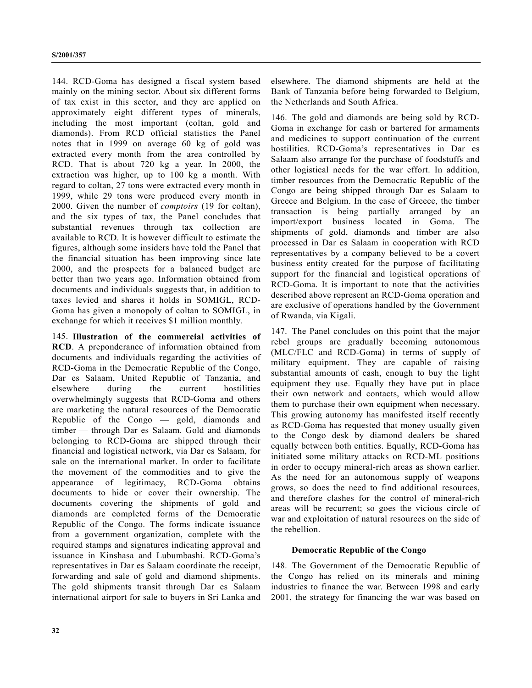144. RCD-Goma has designed a fiscal system based mainly on the mining sector. About six different forms of tax exist in this sector, and they are applied on approximately eight different types of minerals, including the most important (coltan, gold and diamonds). From RCD official statistics the Panel notes that in 1999 on average 60 kg of gold was extracted every month from the area controlled by RCD. That is about 720 kg a year. In 2000, the extraction was higher, up to 100 kg a month. With regard to coltan, 27 tons were extracted every month in 1999, while 29 tons were produced every month in 2000. Given the number of *comptoirs* (19 for coltan), and the six types of tax, the Panel concludes that substantial revenues through tax collection are available to RCD. It is however difficult to estimate the figures, although some insiders have told the Panel that the financial situation has been improving since late 2000, and the prospects for a balanced budget are better than two years ago. Information obtained from documents and individuals suggests that, in addition to taxes levied and shares it holds in SOMIGL, RCD-Goma has given a monopoly of coltan to SOMIGL, in exchange for which it receives \$1 million monthly.

145. **Illustration of the commercial activities of RCD**. A preponderance of information obtained from documents and individuals regarding the activities of RCD-Goma in the Democratic Republic of the Congo, Dar es Salaam, United Republic of Tanzania, and elsewhere during the current hostilities overwhelmingly suggests that RCD-Goma and others are marketing the natural resources of the Democratic Republic of the Congo — gold, diamonds and timber — through Dar es Salaam. Gold and diamonds belonging to RCD-Goma are shipped through their financial and logistical network, via Dar es Salaam, for sale on the international market. In order to facilitate the movement of the commodities and to give the appearance of legitimacy, RCD-Goma obtains documents to hide or cover their ownership. The documents covering the shipments of gold and diamonds are completed forms of the Democratic Republic of the Congo. The forms indicate issuance from a government organization, complete with the required stamps and signatures indicating approval and issuance in Kinshasa and Lubumbashi. RCD-Goma's representatives in Dar es Salaam coordinate the receipt, forwarding and sale of gold and diamond shipments. The gold shipments transit through Dar es Salaam international airport for sale to buyers in Sri Lanka and

Bank of Tanzania before being forwarded to Belgium, the Netherlands and South Africa. 146. The gold and diamonds are being sold by RCD-

Goma in exchange for cash or bartered for armaments and medicines to support continuation of the current hostilities. RCD-Goma's representatives in Dar es Salaam also arrange for the purchase of foodstuffs and other logistical needs for the war effort. In addition, timber resources from the Democratic Republic of the Congo are being shipped through Dar es Salaam to Greece and Belgium. In the case of Greece, the timber transaction is being partially arranged by an import/export business located in Goma. The shipments of gold, diamonds and timber are also processed in Dar es Salaam in cooperation with RCD representatives by a company believed to be a covert business entity created for the purpose of facilitating support for the financial and logistical operations of RCD-Goma. It is important to note that the activities described above represent an RCD-Goma operation and are exclusive of operations handled by the Government of Rwanda, via Kigali.

elsewhere. The diamond shipments are held at the

147. The Panel concludes on this point that the major rebel groups are gradually becoming autonomous (MLC/FLC and RCD-Goma) in terms of supply of military equipment. They are capable of raising substantial amounts of cash, enough to buy the light equipment they use. Equally they have put in place their own network and contacts, which would allow them to purchase their own equipment when necessary. This growing autonomy has manifested itself recently as RCD-Goma has requested that money usually given to the Congo desk by diamond dealers be shared equally between both entities. Equally, RCD-Goma has initiated some military attacks on RCD-ML positions in order to occupy mineral-rich areas as shown earlier. As the need for an autonomous supply of weapons grows, so does the need to find additional resources, and therefore clashes for the control of mineral-rich areas will be recurrent; so goes the vicious circle of war and exploitation of natural resources on the side of the rebellion.

#### **Democratic Republic of the Congo**

148. The Government of the Democratic Republic of the Congo has relied on its minerals and mining industries to finance the war. Between 1998 and early 2001, the strategy for financing the war was based on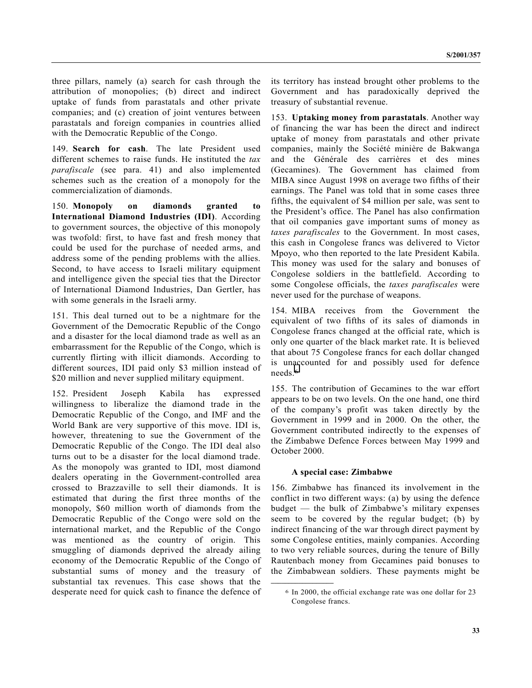three pillars, namely (a) search for cash through the attribution of monopolies; (b) direct and indirect uptake of funds from parastatals and other private companies; and (c) creation of joint ventures between parastatals and foreign companies in countries allied with the Democratic Republic of the Congo.

149. **Search for cash**. The late President used different schemes to raise funds. He instituted the *tax parafiscale* (see para. 41) and also implemented schemes such as the creation of a monopoly for the commercialization of diamonds.

150. **Monopoly on diamonds granted to International Diamond Industries (IDI)**. According to government sources, the objective of this monopoly was twofold: first, to have fast and fresh money that could be used for the purchase of needed arms, and address some of the pending problems with the allies. Second, to have access to Israeli military equipment and intelligence given the special ties that the Director of International Diamond Industries, Dan Gertler, has with some generals in the Israeli army.

151. This deal turned out to be a nightmare for the Government of the Democratic Republic of the Congo and a disaster for the local diamond trade as well as an embarrassment for the Republic of the Congo, which is currently flirting with illicit diamonds. According to different sources, IDI paid only \$3 million instead of \$20 million and never supplied military equipment.

152. President Joseph Kabila has expressed willingness to liberalize the diamond trade in the Democratic Republic of the Congo, and IMF and the World Bank are very supportive of this move. IDI is, however, threatening to sue the Government of the Democratic Republic of the Congo. The IDI deal also turns out to be a disaster for the local diamond trade. As the monopoly was granted to IDI, most diamond dealers operating in the Government-controlled area crossed to Brazzaville to sell their diamonds. It is estimated that during the first three months of the monopoly, \$60 million worth of diamonds from the Democratic Republic of the Congo were sold on the international market, and the Republic of the Congo was mentioned as the country of origin. This smuggling of diamonds deprived the already ailing economy of the Democratic Republic of the Congo of substantial sums of money and the treasury of substantial tax revenues. This case shows that the desperate need for quick cash to finance the defence of its territory has instead brought other problems to the Government and has paradoxically deprived the treasury of substantial revenue.

153. **Uptaking money from parastatals**. Another way of financing the war has been the direct and indirect uptake of money from parastatals and other private companies, mainly the Société minière de Bakwanga and the Générale des carrières et des mines (Gecamines). The Government has claimed from MIBA since August 1998 on average two fifths of their earnings. The Panel was told that in some cases three fifths, the equivalent of \$4 million per sale, was sent to the President's office. The Panel has also confirmation that oil companies gave important sums of money as *taxes parafiscales* to the Government. In most cases, this cash in Congolese francs was delivered to Victor Mpoyo, who then reported to the late President Kabila. This money was used for the salary and bonuses of Congolese soldiers in the battlefield. According to some Congolese officials, the *taxes parafiscales* were never used for the purchase of weapons.

154. MIBA receives from the Government the equivalent of two fifths of its sales of diamonds in Congolese francs changed at the official rate, which is only one quarter of the black market rate. It is believed that about 75 Congolese francs for each dollar changed is unaccounted for and possibly used for defence needs.6

155. The contribution of Gecamines to the war effort appears to be on two levels. On the one hand, one third of the company's profit was taken directly by the Government in 1999 and in 2000. On the other, the Government contributed indirectly to the expenses of the Zimbabwe Defence Forces between May 1999 and October 2000.

#### **A special case: Zimbabwe**

**\_\_\_\_\_\_\_\_\_\_\_\_\_\_\_\_\_\_**

156. Zimbabwe has financed its involvement in the conflict in two different ways: (a) by using the defence budget — the bulk of Zimbabwe's military expenses seem to be covered by the regular budget; (b) by indirect financing of the war through direct payment by some Congolese entities, mainly companies. According to two very reliable sources, during the tenure of Billy Rautenbach money from Gecamines paid bonuses to the Zimbabwean soldiers. These payments might be

<sup>6</sup> In 2000, the official exchange rate was one dollar for 23 Congolese francs.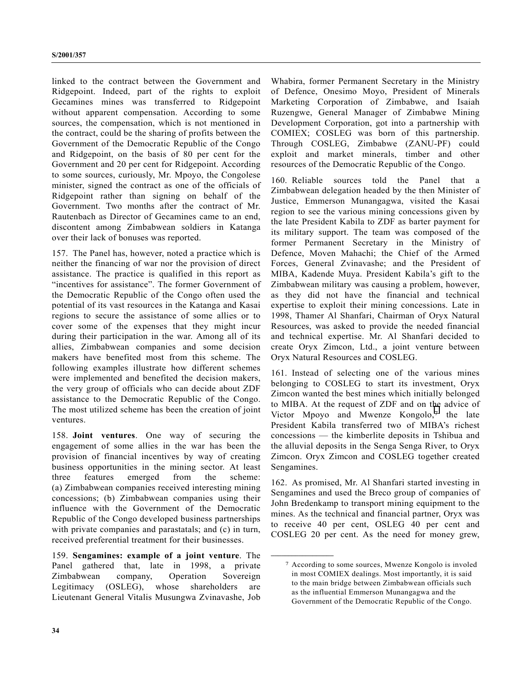linked to the contract between the Government and Ridgepoint. Indeed, part of the rights to exploit Gecamines mines was transferred to Ridgepoint without apparent compensation. According to some sources, the compensation, which is not mentioned in the contract, could be the sharing of profits between the Government of the Democratic Republic of the Congo and Ridgepoint, on the basis of 80 per cent for the Government and 20 per cent for Ridgepoint. According to some sources, curiously, Mr. Mpoyo, the Congolese minister, signed the contract as one of the officials of Ridgepoint rather than signing on behalf of the Government. Two months after the contract of Mr. Rautenbach as Director of Gecamines came to an end, discontent among Zimbabwean soldiers in Katanga over their lack of bonuses was reported.

157. The Panel has, however, noted a practice which is neither the financing of war nor the provision of direct assistance. The practice is qualified in this report as "incentives for assistance". The former Government of the Democratic Republic of the Congo often used the potential of its vast resources in the Katanga and Kasai regions to secure the assistance of some allies or to cover some of the expenses that they might incur during their participation in the war. Among all of its allies, Zimbabwean companies and some decision makers have benefited most from this scheme. The following examples illustrate how different schemes were implemented and benefited the decision makers, the very group of officials who can decide about ZDF assistance to the Democratic Republic of the Congo. The most utilized scheme has been the creation of joint ventures.

158. **Joint ventures**. One way of securing the engagement of some allies in the war has been the provision of financial incentives by way of creating business opportunities in the mining sector. At least three features emerged from the scheme: (a) Zimbabwean companies received interesting mining concessions; (b) Zimbabwean companies using their influence with the Government of the Democratic Republic of the Congo developed business partnerships with private companies and parastatals; and (c) in turn, received preferential treatment for their businesses.

159. **Sengamines: example of a joint venture**. The Panel gathered that, late in 1998, a private Zimbabwean company, Operation Sovereign Legitimacy (OSLEG), whose shareholders are Lieutenant General Vitalis Musungwa Zvinavashe, Job

Whabira, former Permanent Secretary in the Ministry of Defence, Onesimo Moyo, President of Minerals Marketing Corporation of Zimbabwe, and Isaiah Ruzengwe, General Manager of Zimbabwe Mining Development Corporation, got into a partnership with COMIEX; COSLEG was born of this partnership. Through COSLEG, Zimbabwe (ZANU-PF) could exploit and market minerals, timber and other resources of the Democratic Republic of the Congo.

160. Reliable sources told the Panel that a Zimbabwean delegation headed by the then Minister of Justice, Emmerson Munangagwa, visited the Kasai region to see the various mining concessions given by the late President Kabila to ZDF as barter payment for its military support. The team was composed of the former Permanent Secretary in the Ministry of Defence, Moven Mahachi; the Chief of the Armed Forces, General Zvinavashe; and the President of MIBA, Kadende Muya. President Kabila's gift to the Zimbabwean military was causing a problem, however, as they did not have the financial and technical expertise to exploit their mining concessions. Late in 1998, Thamer Al Shanfari, Chairman of Oryx Natural Resources, was asked to provide the needed financial and technical expertise. Mr. Al Shanfari decided to create Oryx Zimcon, Ltd., a joint venture between Oryx Natural Resources and COSLEG.

161. Instead of selecting one of the various mines belonging to COSLEG to start its investment, Oryx Zimcon wanted the best mines which initially belonged to MIBA. At the request of ZDF and on the advice of Victor Mpoyo and Mwenze Kongolo,7 the late President Kabila transferred two of MIBA's richest concessions — the kimberlite deposits in Tshibua and the alluvial deposits in the Senga Senga River, to Oryx Zimcon. Oryx Zimcon and COSLEG together created Sengamines.

162. As promised, Mr. Al Shanfari started investing in Sengamines and used the Breco group of companies of John Bredenkamp to transport mining equipment to the mines. As the technical and financial partner, Oryx was to receive 40 per cent, OSLEG 40 per cent and COSLEG 20 per cent. As the need for money grew,

**\_\_\_\_\_\_\_\_\_\_\_\_\_\_\_\_\_\_**

<sup>7</sup> According to some sources, Mwenze Kongolo is involed in most COMIEX dealings. Most importantly, it is said to the main bridge between Zimbabwean officials such as the influential Emmerson Munangagwa and the Government of the Democratic Republic of the Congo.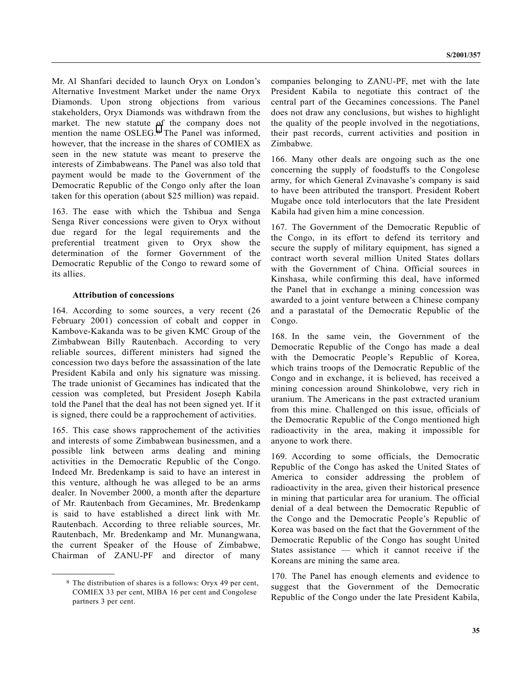Mr. Al Shanfari decided to launch Oryx on London's Alternative Investment Market under the name Oryx Diamonds. Upon strong objections from various stakeholders, Oryx Diamonds was withdrawn from the market. The new statute of the company does not mention the name OSLEG.8 The Panel was informed, however, that the increase in the shares of COMIEX as seen in the new statute was meant to preserve the interests of Zimbabweans. The Panel was also told that payment would be made to the Government of the Democratic Republic of the Congo only after the loan taken for this operation (about \$25 million) was repaid.

163. The ease with which the Tshibua and Senga Senga River concessions were given to Oryx without due regard for the legal requirements and the preferential treatment given to Oryx show the determination of the former Government of the Democratic Republic of the Congo to reward some of its allies.

#### **Attribution of concessions**

164. According to some sources, a very recent (26 February 2001) concession of cobalt and copper in Kambove-Kakanda was to be given KMC Group of the Zimbabwean Billy Rautenbach. According to very reliable sources, different ministers had signed the concession two days before the assassination of the late President Kabila and only his signature was missing. The trade unionist of Gecamines has indicated that the cession was completed, but President Joseph Kabila told the Panel that the deal has not been signed yet. If it is signed, there could be a rapprochement of activities.

165. This case shows rapprochement of the activities and interests of some Zimbabwean businessmen, and a possible link between arms dealing and mining activities in the Democratic Republic of the Congo. Indeed Mr. Bredenkamp is said to have an interest in this venture, although he was alleged to be an arms dealer. In November 2000, a month after the departure of Mr. Rautenbach from Gecamines, Mr. Bredenkamp is said to have established a direct link with Mr. Rautenbach. According to three reliable sources, Mr. Rautenbach, Mr. Bredenkamp and Mr. Munangwana, the current Speaker of the House of Zimbabwe, Chairman of ZANU-PF and director of many

**\_\_\_\_\_\_\_\_\_\_\_\_\_\_\_\_\_\_**

companies belonging to ZANU-PF, met with the late President Kabila to negotiate this contract of the central part of the Gecamines concessions. The Panel does not draw any conclusions, but wishes to highlight the quality of the people involved in the negotiations, their past records, current activities and position in Zimbabwe.

166. Many other deals are ongoing such as the one concerning the supply of foodstuffs to the Congolese army, for which General Zvinavashe's company is said to have been attributed the transport. President Robert Mugabe once told interlocutors that the late President Kabila had given him a mine concession.

167. The Government of the Democratic Republic of the Congo, in its effort to defend its territory and secure the supply of military equipment, has signed a contract worth several million United States dollars with the Government of China. Official sources in Kinshasa, while confirming this deal, have informed the Panel that in exchange a mining concession was awarded to a joint venture between a Chinese company and a parastatal of the Democratic Republic of the Congo.

168. In the same vein, the Government of the Democratic Republic of the Congo has made a deal with the Democratic People's Republic of Korea, which trains troops of the Democratic Republic of the Congo and in exchange, it is believed, has received a mining concession around Shinkolobwe, very rich in uranium. The Americans in the past extracted uranium from this mine. Challenged on this issue, officials of the Democratic Republic of the Congo mentioned high radioactivity in the area, making it impossible for anyone to work there.

169. According to some officials, the Democratic Republic of the Congo has asked the United States of America to consider addressing the problem of radioactivity in the area, given their historical presence in mining that particular area for uranium. The official denial of a deal between the Democratic Republic of the Congo and the Democratic People's Republic of Korea was based on the fact that the Government of the Democratic Republic of the Congo has sought United States assistance — which it cannot receive if the Koreans are mining the same area.

170. The Panel has enough elements and evidence to suggest that the Government of the Democratic Republic of the Congo under the late President Kabila,

<sup>8</sup> The distribution of shares is a follows: Oryx 49 per cent, COMIEX 33 per cent, MIBA 16 per cent and Congolese partners 3 per cent.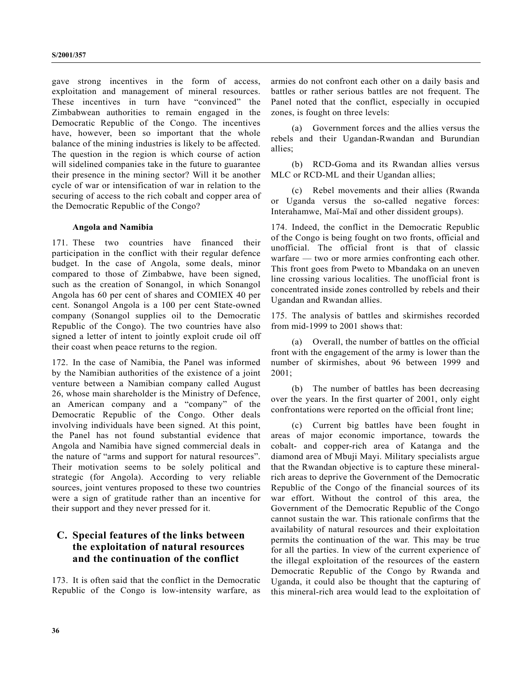gave strong incentives in the form of access, exploitation and management of mineral resources. These incentives in turn have "convinced" the Zimbabwean authorities to remain engaged in the Democratic Republic of the Congo. The incentives have, however, been so important that the whole balance of the mining industries is likely to be affected. The question in the region is which course of action will sidelined companies take in the future to guarantee their presence in the mining sector? Will it be another cycle of war or intensification of war in relation to the securing of access to the rich cobalt and copper area of the Democratic Republic of the Congo?

#### **Angola and Namibia**

171. These two countries have financed their participation in the conflict with their regular defence budget. In the case of Angola, some deals, minor compared to those of Zimbabwe, have been signed, such as the creation of Sonangol, in which Sonangol Angola has 60 per cent of shares and COMIEX 40 per cent. Sonangol Angola is a 100 per cent State-owned company (Sonangol supplies oil to the Democratic Republic of the Congo). The two countries have also signed a letter of intent to jointly exploit crude oil off their coast when peace returns to the region.

172. In the case of Namibia, the Panel was informed by the Namibian authorities of the existence of a joint venture between a Namibian company called August 26, whose main shareholder is the Ministry of Defence, an American company and a "company" of the Democratic Republic of the Congo. Other deals involving individuals have been signed. At this point, the Panel has not found substantial evidence that Angola and Namibia have signed commercial deals in the nature of "arms and support for natural resources". Their motivation seems to be solely political and strategic (for Angola). According to very reliable sources, joint ventures proposed to these two countries were a sign of gratitude rather than an incentive for their support and they never pressed for it.

## **C. Special features of the links between the exploitation of natural resources and the continuation of the conflict**

173. It is often said that the conflict in the Democratic Republic of the Congo is low-intensity warfare, as armies do not confront each other on a daily basis and battles or rather serious battles are not frequent. The Panel noted that the conflict, especially in occupied zones, is fought on three levels:

(a) Government forces and the allies versus the rebels and their Ugandan-Rwandan and Burundian allies;

(b) RCD-Goma and its Rwandan allies versus MLC or RCD-ML and their Ugandan allies;

(c) Rebel movements and their allies (Rwanda or Uganda versus the so-called negative forces: Interahamwe, Maï-Maï and other dissident groups).

174. Indeed, the conflict in the Democratic Republic of the Congo is being fought on two fronts, official and unofficial. The official front is that of classic warfare — two or more armies confronting each other. This front goes from Pweto to Mbandaka on an uneven line crossing various localities. The unofficial front is concentrated inside zones controlled by rebels and their Ugandan and Rwandan allies.

175. The analysis of battles and skirmishes recorded from mid-1999 to 2001 shows that:

(a) Overall, the number of battles on the official front with the engagement of the army is lower than the number of skirmishes, about 96 between 1999 and 2001;

(b) The number of battles has been decreasing over the years. In the first quarter of 2001, only eight confrontations were reported on the official front line;

(c) Current big battles have been fought in areas of major economic importance, towards the cobalt- and copper-rich area of Katanga and the diamond area of Mbuji Mayi. Military specialists argue that the Rwandan objective is to capture these mineralrich areas to deprive the Government of the Democratic Republic of the Congo of the financial sources of its war effort. Without the control of this area, the Government of the Democratic Republic of the Congo cannot sustain the war. This rationale confirms that the availability of natural resources and their exploitation permits the continuation of the war. This may be true for all the parties. In view of the current experience of the illegal exploitation of the resources of the eastern Democratic Republic of the Congo by Rwanda and Uganda, it could also be thought that the capturing of this mineral-rich area would lead to the exploitation of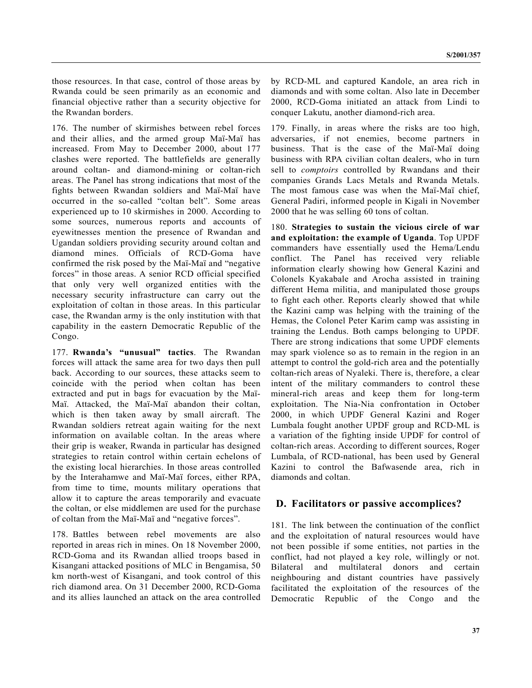those resources. In that case, control of those areas by Rwanda could be seen primarily as an economic and financial objective rather than a security objective for the Rwandan borders.

176. The number of skirmishes between rebel forces and their allies, and the armed group Maï-Maï has increased. From May to December 2000, about 177 clashes were reported. The battlefields are generally around coltan- and diamond-mining or coltan-rich areas. The Panel has strong indications that most of the fights between Rwandan soldiers and Maï-Maï have occurred in the so-called "coltan belt". Some areas experienced up to 10 skirmishes in 2000. According to some sources, numerous reports and accounts of eyewitnesses mention the presence of Rwandan and Ugandan soldiers providing security around coltan and diamond mines. Officials of RCD-Goma have confirmed the risk posed by the Maï-Maï and "negative forces" in those areas. A senior RCD official specified that only very well organized entities with the necessary security infrastructure can carry out the exploitation of coltan in those areas. In this particular case, the Rwandan army is the only institution with that capability in the eastern Democratic Republic of the Congo.

177. **Rwanda's "unusual" tactics**. The Rwandan forces will attack the same area for two days then pull back. According to our sources, these attacks seem to coincide with the period when coltan has been extracted and put in bags for evacuation by the Maï-Maï. Attacked, the Maï-Maï abandon their coltan, which is then taken away by small aircraft. The Rwandan soldiers retreat again waiting for the next information on available coltan. In the areas where their grip is weaker, Rwanda in particular has designed strategies to retain control within certain echelons of the existing local hierarchies. In those areas controlled by the Interahamwe and Maï-Maï forces, either RPA, from time to time, mounts military operations that allow it to capture the areas temporarily and evacuate the coltan, or else middlemen are used for the purchase of coltan from the Maï-Maï and "negative forces".

178. Battles between rebel movements are also reported in areas rich in mines. On 18 November 2000, RCD-Goma and its Rwandan allied troops based in Kisangani attacked positions of MLC in Bengamisa, 50 km north-west of Kisangani, and took control of this rich diamond area. On 31 December 2000, RCD-Goma and its allies launched an attack on the area controlled

by RCD-ML and captured Kandole, an area rich in diamonds and with some coltan. Also late in December 2000, RCD-Goma initiated an attack from Lindi to conquer Lakutu, another diamond-rich area.

179. Finally, in areas where the risks are too high, adversaries, if not enemies, become partners in business. That is the case of the Maï-Maï doing business with RPA civilian coltan dealers, who in turn sell to *comptoirs* controlled by Rwandans and their companies Grands Lacs Metals and Rwanda Metals. The most famous case was when the Maï-Maï chief, General Padiri, informed people in Kigali in November 2000 that he was selling 60 tons of coltan.

180. **Strategies to sustain the vicious circle of war and exploitation: the example of Uganda**. Top UPDF commanders have essentially used the Hema/Lendu conflict. The Panel has received very reliable information clearly showing how General Kazini and Colonels Kyakabale and Arocha assisted in training different Hema militia, and manipulated those groups to fight each other. Reports clearly showed that while the Kazini camp was helping with the training of the Hemas, the Colonel Peter Karim camp was assisting in training the Lendus. Both camps belonging to UPDF. There are strong indications that some UPDF elements may spark violence so as to remain in the region in an attempt to control the gold-rich area and the potentially coltan-rich areas of Nyaleki. There is, therefore, a clear intent of the military commanders to control these mineral-rich areas and keep them for long-term exploitation. The Nia-Nia confrontation in October 2000, in which UPDF General Kazini and Roger Lumbala fought another UPDF group and RCD-ML is a variation of the fighting inside UPDF for control of coltan-rich areas. According to different sources, Roger Lumbala, of RCD-national, has been used by General Kazini to control the Bafwasende area, rich in diamonds and coltan.

#### **D. Facilitators or passive accomplices?**

181. The link between the continuation of the conflict and the exploitation of natural resources would have not been possible if some entities, not parties in the conflict, had not played a key role, willingly or not. Bilateral and multilateral donors and certain neighbouring and distant countries have passively facilitated the exploitation of the resources of the Democratic Republic of the Congo and the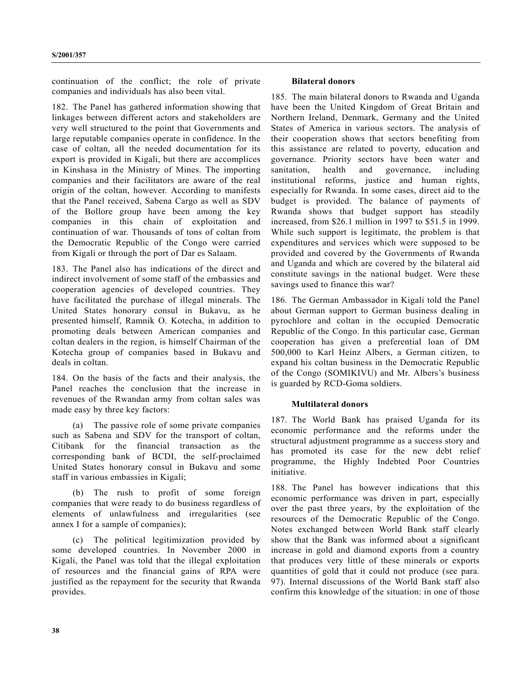continuation of the conflict; the role of private companies and individuals has also been vital.

182. The Panel has gathered information showing that linkages between different actors and stakeholders are very well structured to the point that Governments and large reputable companies operate in confidence. In the case of coltan, all the needed documentation for its export is provided in Kigali, but there are accomplices in Kinshasa in the Ministry of Mines. The importing companies and their facilitators are aware of the real origin of the coltan, however. According to manifests that the Panel received, Sabena Cargo as well as SDV of the Bollore group have been among the key companies in this chain of exploitation and continuation of war. Thousands of tons of coltan from the Democratic Republic of the Congo were carried from Kigali or through the port of Dar es Salaam.

183. The Panel also has indications of the direct and indirect involvement of some staff of the embassies and cooperation agencies of developed countries. They have facilitated the purchase of illegal minerals. The United States honorary consul in Bukavu, as he presented himself, Ramnik O. Kotecha, in addition to promoting deals between American companies and coltan dealers in the region, is himself Chairman of the Kotecha group of companies based in Bukavu and deals in coltan.

184. On the basis of the facts and their analysis, the Panel reaches the conclusion that the increase in revenues of the Rwandan army from coltan sales was made easy by three key factors:

(a) The passive role of some private companies such as Sabena and SDV for the transport of coltan, Citibank for the financial transaction as the corresponding bank of BCDI, the self-proclaimed United States honorary consul in Bukavu and some staff in various embassies in Kigali;

(b) The rush to profit of some foreign companies that were ready to do business regardless of elements of unlawfulness and irregularities (see annex I for a sample of companies);

(c) The political legitimization provided by some developed countries. In November 2000 in Kigali, the Panel was told that the illegal exploitation of resources and the financial gains of RPA were justified as the repayment for the security that Rwanda provides.

#### **Bilateral donors**

185. The main bilateral donors to Rwanda and Uganda have been the United Kingdom of Great Britain and Northern Ireland, Denmark, Germany and the United States of America in various sectors. The analysis of their cooperation shows that sectors benefiting from this assistance are related to poverty, education and governance. Priority sectors have been water and sanitation, health and governance, including institutional reforms, justice and human rights, especially for Rwanda. In some cases, direct aid to the budget is provided. The balance of payments of Rwanda shows that budget support has steadily increased, from \$26.1 million in 1997 to \$51.5 in 1999. While such support is legitimate, the problem is that expenditures and services which were supposed to be provided and covered by the Governments of Rwanda and Uganda and which are covered by the bilateral aid constitute savings in the national budget. Were these savings used to finance this war?

186. The German Ambassador in Kigali told the Panel about German support to German business dealing in pyrochlore and coltan in the occupied Democratic Republic of the Congo. In this particular case, German cooperation has given a preferential loan of DM 500,000 to Karl Heinz Albers, a German citizen, to expand his coltan business in the Democratic Republic of the Congo (SOMIKIVU) and Mr. Albers's business is guarded by RCD-Goma soldiers.

#### **Multilateral donors**

187. The World Bank has praised Uganda for its economic performance and the reforms under the structural adjustment programme as a success story and has promoted its case for the new debt relief programme, the Highly Indebted Poor Countries initiative.

188. The Panel has however indications that this economic performance was driven in part, especially over the past three years, by the exploitation of the resources of the Democratic Republic of the Congo. Notes exchanged between World Bank staff clearly show that the Bank was informed about a significant increase in gold and diamond exports from a country that produces very little of these minerals or exports quantities of gold that it could not produce (see para. 97). Internal discussions of the World Bank staff also confirm this knowledge of the situation: in one of those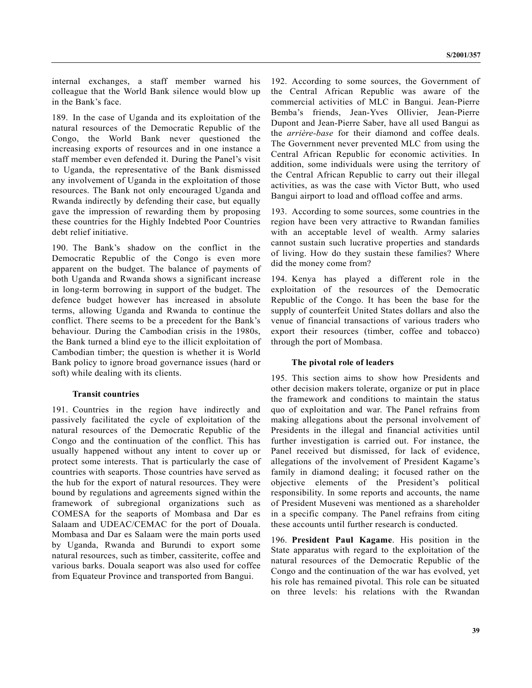internal exchanges, a staff member warned his colleague that the World Bank silence would blow up in the Bank's face.

189. In the case of Uganda and its exploitation of the natural resources of the Democratic Republic of the Congo, the World Bank never questioned the increasing exports of resources and in one instance a staff member even defended it. During the Panel's visit to Uganda, the representative of the Bank dismissed any involvement of Uganda in the exploitation of those resources. The Bank not only encouraged Uganda and Rwanda indirectly by defending their case, but equally gave the impression of rewarding them by proposing these countries for the Highly Indebted Poor Countries debt relief initiative.

190. The Bank's shadow on the conflict in the Democratic Republic of the Congo is even more apparent on the budget. The balance of payments of both Uganda and Rwanda shows a significant increase in long-term borrowing in support of the budget. The defence budget however has increased in absolute terms, allowing Uganda and Rwanda to continue the conflict. There seems to be a precedent for the Bank's behaviour. During the Cambodian crisis in the 1980s, the Bank turned a blind eye to the illicit exploitation of Cambodian timber; the question is whether it is World Bank policy to ignore broad governance issues (hard or soft) while dealing with its clients.

#### **Transit countries**

191. Countries in the region have indirectly and passively facilitated the cycle of exploitation of the natural resources of the Democratic Republic of the Congo and the continuation of the conflict. This has usually happened without any intent to cover up or protect some interests. That is particularly the case of countries with seaports. Those countries have served as the hub for the export of natural resources. They were bound by regulations and agreements signed within the framework of subregional organizations such as COMESA for the seaports of Mombasa and Dar es Salaam and UDEAC/CEMAC for the port of Douala. Mombasa and Dar es Salaam were the main ports used by Uganda, Rwanda and Burundi to export some natural resources, such as timber, cassiterite, coffee and various barks. Douala seaport was also used for coffee from Equateur Province and transported from Bangui.

192. According to some sources, the Government of the Central African Republic was aware of the commercial activities of MLC in Bangui. Jean-Pierre Bemba's friends, Jean-Yves Ollivier, Jean-Pierre Dupont and Jean-Pierre Saber, have all used Bangui as the *arrière-base* for their diamond and coffee deals. The Government never prevented MLC from using the Central African Republic for economic activities. In addition, some individuals were using the territory of the Central African Republic to carry out their illegal activities, as was the case with Victor Butt, who used Bangui airport to load and offload coffee and arms.

193. According to some sources, some countries in the region have been very attractive to Rwandan families with an acceptable level of wealth. Army salaries cannot sustain such lucrative properties and standards of living. How do they sustain these families? Where did the money come from?

194. Kenya has played a different role in the exploitation of the resources of the Democratic Republic of the Congo. It has been the base for the supply of counterfeit United States dollars and also the venue of financial transactions of various traders who export their resources (timber, coffee and tobacco) through the port of Mombasa.

#### **The pivotal role of leaders**

195. This section aims to show how Presidents and other decision makers tolerate, organize or put in place the framework and conditions to maintain the status quo of exploitation and war. The Panel refrains from making allegations about the personal involvement of Presidents in the illegal and financial activities until further investigation is carried out. For instance, the Panel received but dismissed, for lack of evidence, allegations of the involvement of President Kagame's family in diamond dealing; it focused rather on the objective elements of the President's political responsibility. In some reports and accounts, the name of President Museveni was mentioned as a shareholder in a specific company. The Panel refrains from citing these accounts until further research is conducted.

196. **President Paul Kagame**. His position in the State apparatus with regard to the exploitation of the natural resources of the Democratic Republic of the Congo and the continuation of the war has evolved, yet his role has remained pivotal. This role can be situated on three levels: his relations with the Rwandan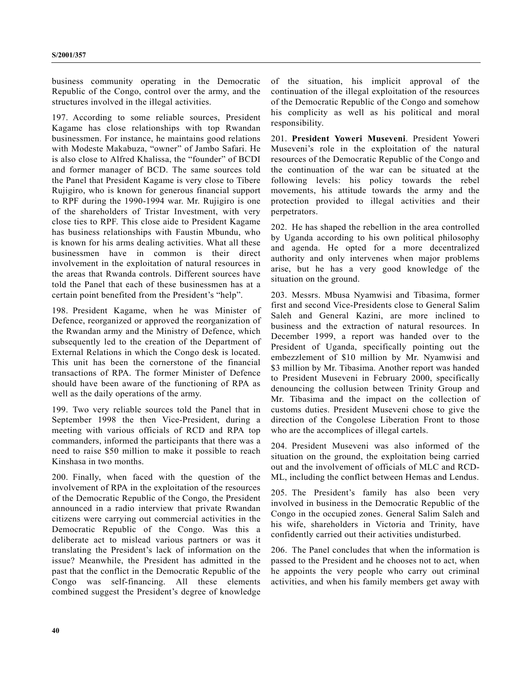business community operating in the Democratic Republic of the Congo, control over the army, and the structures involved in the illegal activities.

197. According to some reliable sources, President Kagame has close relationships with top Rwandan businessmen. For instance, he maintains good relations with Modeste Makabuza, "owner" of Jambo Safari. He is also close to Alfred Khalissa, the "founder" of BCDI and former manager of BCD. The same sources told the Panel that President Kagame is very close to Tibere Rujigiro, who is known for generous financial support to RPF during the 1990-1994 war. Mr. Rujigiro is one of the shareholders of Tristar Investment, with very close ties to RPF. This close aide to President Kagame has business relationships with Faustin Mbundu, who is known for his arms dealing activities. What all these businessmen have in common is their direct involvement in the exploitation of natural resources in the areas that Rwanda controls. Different sources have told the Panel that each of these businessmen has at a certain point benefited from the President's "help".

198. President Kagame, when he was Minister of Defence, reorganized or approved the reorganization of the Rwandan army and the Ministry of Defence, which subsequently led to the creation of the Department of External Relations in which the Congo desk is located. This unit has been the cornerstone of the financial transactions of RPA. The former Minister of Defence should have been aware of the functioning of RPA as well as the daily operations of the army.

199. Two very reliable sources told the Panel that in September 1998 the then Vice-President, during a meeting with various officials of RCD and RPA top commanders, informed the participants that there was a need to raise \$50 million to make it possible to reach Kinshasa in two months.

200. Finally, when faced with the question of the involvement of RPA in the exploitation of the resources of the Democratic Republic of the Congo, the President announced in a radio interview that private Rwandan citizens were carrying out commercial activities in the Democratic Republic of the Congo. Was this a deliberate act to mislead various partners or was it translating the President's lack of information on the issue? Meanwhile, the President has admitted in the past that the conflict in the Democratic Republic of the Congo was self-financing. All these elements combined suggest the President's degree of knowledge

of the situation, his implicit approval of the continuation of the illegal exploitation of the resources of the Democratic Republic of the Congo and somehow his complicity as well as his political and moral responsibility.

201. **President Yoweri Museveni**. President Yoweri Museveni's role in the exploitation of the natural resources of the Democratic Republic of the Congo and the continuation of the war can be situated at the following levels: his policy towards the rebel movements, his attitude towards the army and the protection provided to illegal activities and their perpetrators.

202. He has shaped the rebellion in the area controlled by Uganda according to his own political philosophy and agenda. He opted for a more decentralized authority and only intervenes when major problems arise, but he has a very good knowledge of the situation on the ground.

203. Messrs. Mbusa Nyamwisi and Tibasima, former first and second Vice-Presidents close to General Salim Saleh and General Kazini, are more inclined to business and the extraction of natural resources. In December 1999, a report was handed over to the President of Uganda, specifically pointing out the embezzlement of \$10 million by Mr. Nyamwisi and \$3 million by Mr. Tibasima. Another report was handed to President Museveni in February 2000, specifically denouncing the collusion between Trinity Group and Mr. Tibasima and the impact on the collection of customs duties. President Museveni chose to give the direction of the Congolese Liberation Front to those who are the accomplices of illegal cartels.

204. President Museveni was also informed of the situation on the ground, the exploitation being carried out and the involvement of officials of MLC and RCD-ML, including the conflict between Hemas and Lendus.

205. The President's family has also been very involved in business in the Democratic Republic of the Congo in the occupied zones. General Salim Saleh and his wife, shareholders in Victoria and Trinity, have confidently carried out their activities undisturbed.

206. The Panel concludes that when the information is passed to the President and he chooses not to act, when he appoints the very people who carry out criminal activities, and when his family members get away with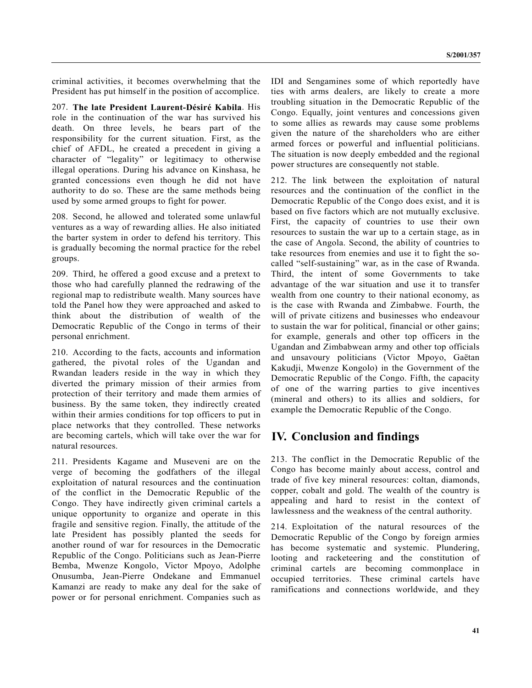criminal activities, it becomes overwhelming that the President has put himself in the position of accomplice.

207. **The late President Laurent-Désiré Kabila**. His role in the continuation of the war has survived his death. On three levels, he bears part of the responsibility for the current situation. First, as the chief of AFDL, he created a precedent in giving a character of "legality" or legitimacy to otherwise illegal operations. During his advance on Kinshasa, he granted concessions even though he did not have authority to do so. These are the same methods being used by some armed groups to fight for power.

208. Second, he allowed and tolerated some unlawful ventures as a way of rewarding allies. He also initiated the barter system in order to defend his territory. This is gradually becoming the normal practice for the rebel groups.

209. Third, he offered a good excuse and a pretext to those who had carefully planned the redrawing of the regional map to redistribute wealth. Many sources have told the Panel how they were approached and asked to think about the distribution of wealth of the Democratic Republic of the Congo in terms of their personal enrichment.

210. According to the facts, accounts and information gathered, the pivotal roles of the Ugandan and Rwandan leaders reside in the way in which they diverted the primary mission of their armies from protection of their territory and made them armies of business. By the same token, they indirectly created within their armies conditions for top officers to put in place networks that they controlled. These networks are becoming cartels, which will take over the war for natural resources.

211. Presidents Kagame and Museveni are on the verge of becoming the godfathers of the illegal exploitation of natural resources and the continuation of the conflict in the Democratic Republic of the Congo. They have indirectly given criminal cartels a unique opportunity to organize and operate in this fragile and sensitive region. Finally, the attitude of the late President has possibly planted the seeds for another round of war for resources in the Democratic Republic of the Congo. Politicians such as Jean-Pierre Bemba, Mwenze Kongolo, Victor Mpoyo, Adolphe Onusumba, Jean-Pierre Ondekane and Emmanuel Kamanzi are ready to make any deal for the sake of power or for personal enrichment. Companies such as

IDI and Sengamines some of which reportedly have ties with arms dealers, are likely to create a more troubling situation in the Democratic Republic of the Congo. Equally, joint ventures and concessions given to some allies as rewards may cause some problems given the nature of the shareholders who are either armed forces or powerful and influential politicians. The situation is now deeply embedded and the regional power structures are consequently not stable.

212. The link between the exploitation of natural resources and the continuation of the conflict in the Democratic Republic of the Congo does exist, and it is based on five factors which are not mutually exclusive. First, the capacity of countries to use their own resources to sustain the war up to a certain stage, as in the case of Angola. Second, the ability of countries to take resources from enemies and use it to fight the socalled "self-sustaining" war, as in the case of Rwanda. Third, the intent of some Governments to take advantage of the war situation and use it to transfer wealth from one country to their national economy, as is the case with Rwanda and Zimbabwe. Fourth, the will of private citizens and businesses who endeavour to sustain the war for political, financial or other gains; for example, generals and other top officers in the Ugandan and Zimbabwean army and other top officials and unsavoury politicians (Victor Mpoyo, Gaëtan Kakudji, Mwenze Kongolo) in the Government of the Democratic Republic of the Congo. Fifth, the capacity of one of the warring parties to give incentives (mineral and others) to its allies and soldiers, for example the Democratic Republic of the Congo.

## **IV. Conclusion and findings**

213. The conflict in the Democratic Republic of the Congo has become mainly about access, control and trade of five key mineral resources: coltan, diamonds, copper, cobalt and gold. The wealth of the country is appealing and hard to resist in the context of lawlessness and the weakness of the central authority.

214. Exploitation of the natural resources of the Democratic Republic of the Congo by foreign armies has become systematic and systemic. Plundering, looting and racketeering and the constitution of criminal cartels are becoming commonplace in occupied territories. These criminal cartels have ramifications and connections worldwide, and they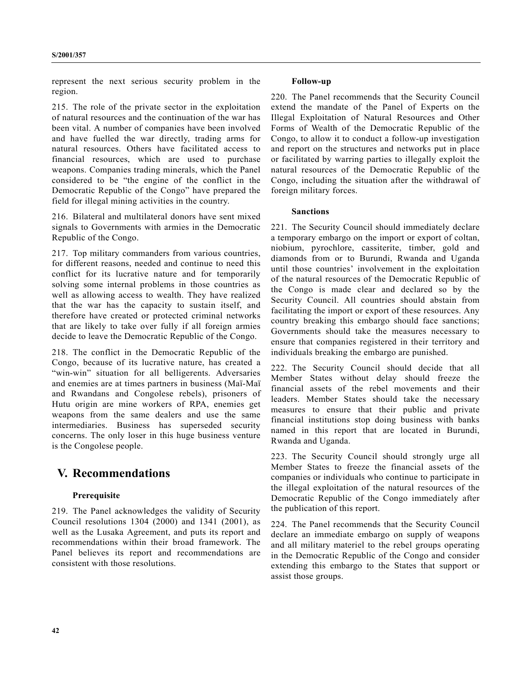represent the next serious security problem in the region.

215. The role of the private sector in the exploitation of natural resources and the continuation of the war has been vital. A number of companies have been involved and have fuelled the war directly, trading arms for natural resources. Others have facilitated access to financial resources, which are used to purchase weapons. Companies trading minerals, which the Panel considered to be "the engine of the conflict in the Democratic Republic of the Congo" have prepared the field for illegal mining activities in the country.

216. Bilateral and multilateral donors have sent mixed signals to Governments with armies in the Democratic Republic of the Congo.

217. Top military commanders from various countries, for different reasons, needed and continue to need this conflict for its lucrative nature and for temporarily solving some internal problems in those countries as well as allowing access to wealth. They have realized that the war has the capacity to sustain itself, and therefore have created or protected criminal networks that are likely to take over fully if all foreign armies decide to leave the Democratic Republic of the Congo.

218. The conflict in the Democratic Republic of the Congo, because of its lucrative nature, has created a "win-win" situation for all belligerents. Adversaries and enemies are at times partners in business (Maï-Maï and Rwandans and Congolese rebels), prisoners of Hutu origin are mine workers of RPA, enemies get weapons from the same dealers and use the same intermediaries. Business has superseded security concerns. The only loser in this huge business venture is the Congolese people.

## **V. Recommendations**

#### **Prerequisite**

219. The Panel acknowledges the validity of Security Council resolutions 1304 (2000) and 1341 (2001), as well as the Lusaka Agreement, and puts its report and recommendations within their broad framework. The Panel believes its report and recommendations are consistent with those resolutions.

#### **Follow-up**

220. The Panel recommends that the Security Council extend the mandate of the Panel of Experts on the Illegal Exploitation of Natural Resources and Other Forms of Wealth of the Democratic Republic of the Congo, to allow it to conduct a follow-up investigation and report on the structures and networks put in place or facilitated by warring parties to illegally exploit the natural resources of the Democratic Republic of the Congo, including the situation after the withdrawal of foreign military forces.

#### **Sanctions**

221. The Security Council should immediately declare a temporary embargo on the import or export of coltan, niobium, pyrochlore, cassiterite, timber, gold and diamonds from or to Burundi, Rwanda and Uganda until those countries' involvement in the exploitation of the natural resources of the Democratic Republic of the Congo is made clear and declared so by the Security Council. All countries should abstain from facilitating the import or export of these resources. Any country breaking this embargo should face sanctions; Governments should take the measures necessary to ensure that companies registered in their territory and individuals breaking the embargo are punished.

222. The Security Council should decide that all Member States without delay should freeze the financial assets of the rebel movements and their leaders. Member States should take the necessary measures to ensure that their public and private financial institutions stop doing business with banks named in this report that are located in Burundi, Rwanda and Uganda.

223. The Security Council should strongly urge all Member States to freeze the financial assets of the companies or individuals who continue to participate in the illegal exploitation of the natural resources of the Democratic Republic of the Congo immediately after the publication of this report.

224. The Panel recommends that the Security Council declare an immediate embargo on supply of weapons and all military materiel to the rebel groups operating in the Democratic Republic of the Congo and consider extending this embargo to the States that support or assist those groups.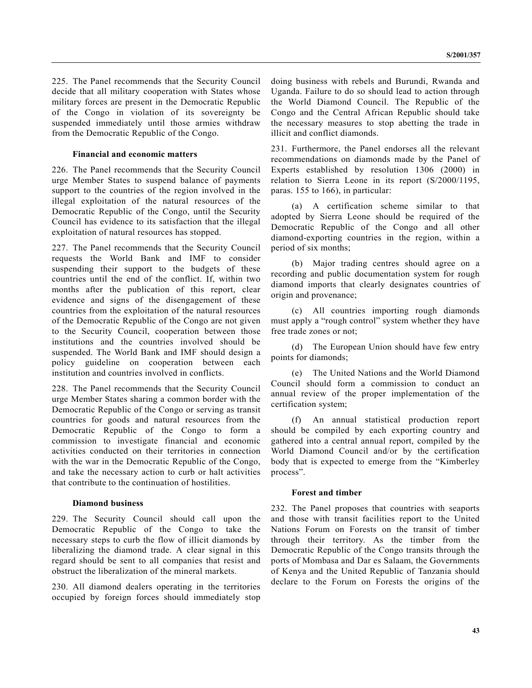225. The Panel recommends that the Security Council decide that all military cooperation with States whose military forces are present in the Democratic Republic of the Congo in violation of its sovereignty be suspended immediately until those armies withdraw from the Democratic Republic of the Congo.

#### **Financial and economic matters**

226. The Panel recommends that the Security Council urge Member States to suspend balance of payments support to the countries of the region involved in the illegal exploitation of the natural resources of the Democratic Republic of the Congo, until the Security Council has evidence to its satisfaction that the illegal exploitation of natural resources has stopped.

227. The Panel recommends that the Security Council requests the World Bank and IMF to consider suspending their support to the budgets of these countries until the end of the conflict. If, within two months after the publication of this report, clear evidence and signs of the disengagement of these countries from the exploitation of the natural resources of the Democratic Republic of the Congo are not given to the Security Council, cooperation between those institutions and the countries involved should be suspended. The World Bank and IMF should design a policy guideline on cooperation between each institution and countries involved in conflicts.

228. The Panel recommends that the Security Council urge Member States sharing a common border with the Democratic Republic of the Congo or serving as transit countries for goods and natural resources from the Democratic Republic of the Congo to form a commission to investigate financial and economic activities conducted on their territories in connection with the war in the Democratic Republic of the Congo, and take the necessary action to curb or halt activities that contribute to the continuation of hostilities.

#### **Diamond business**

229. The Security Council should call upon the Democratic Republic of the Congo to take the necessary steps to curb the flow of illicit diamonds by liberalizing the diamond trade. A clear signal in this regard should be sent to all companies that resist and obstruct the liberalization of the mineral markets.

230. All diamond dealers operating in the territories occupied by foreign forces should immediately stop doing business with rebels and Burundi, Rwanda and Uganda. Failure to do so should lead to action through the World Diamond Council. The Republic of the Congo and the Central African Republic should take the necessary measures to stop abetting the trade in illicit and conflict diamonds.

231. Furthermore, the Panel endorses all the relevant recommendations on diamonds made by the Panel of Experts established by resolution 1306 (2000) in relation to Sierra Leone in its report (S/2000/1195, paras. 155 to 166), in particular:

(a) A certification scheme similar to that adopted by Sierra Leone should be required of the Democratic Republic of the Congo and all other diamond-exporting countries in the region, within a period of six months;

(b) Major trading centres should agree on a recording and public documentation system for rough diamond imports that clearly designates countries of origin and provenance;

(c) All countries importing rough diamonds must apply a "rough control" system whether they have free trade zones or not;

(d) The European Union should have few entry points for diamonds;

(e) The United Nations and the World Diamond Council should form a commission to conduct an annual review of the proper implementation of the certification system;

(f) An annual statistical production report should be compiled by each exporting country and gathered into a central annual report, compiled by the World Diamond Council and/or by the certification body that is expected to emerge from the "Kimberley process".

#### **Forest and timber**

232. The Panel proposes that countries with seaports and those with transit facilities report to the United Nations Forum on Forests on the transit of timber through their territory. As the timber from the Democratic Republic of the Congo transits through the ports of Mombasa and Dar es Salaam, the Governments of Kenya and the United Republic of Tanzania should declare to the Forum on Forests the origins of the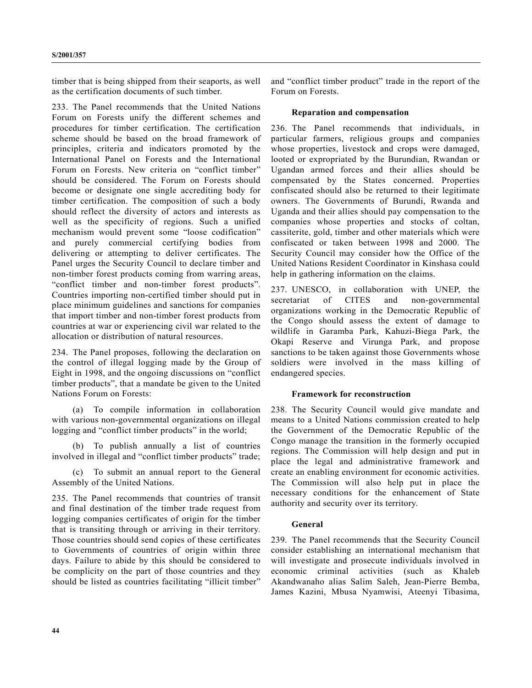timber that is being shipped from their seaports, as well as the certification documents of such timber.

233. The Panel recommends that the United Nations Forum on Forests unify the different schemes and procedures for timber certification. The certification scheme should be based on the broad framework of principles, criteria and indicators promoted by the International Panel on Forests and the International Forum on Forests. New criteria on "conflict timber" should be considered. The Forum on Forests should become or designate one single accrediting body for timber certification. The composition of such a body should reflect the diversity of actors and interests as well as the specificity of regions. Such a unified mechanism would prevent some "loose codification" and purely commercial certifying bodies from delivering or attempting to deliver certificates. The Panel urges the Security Council to declare timber and non-timber forest products coming from warring areas, "conflict timber and non-timber forest products". Countries importing non-certified timber should put in place minimum guidelines and sanctions for companies that import timber and non-timber forest products from countries at war or experiencing civil war related to the allocation or distribution of natural resources.

234. The Panel proposes, following the declaration on the control of illegal logging made by the Group of Eight in 1998, and the ongoing discussions on "conflict timber products", that a mandate be given to the United Nations Forum on Forests:

(a) To compile information in collaboration with various non-governmental organizations on illegal logging and "conflict timber products" in the world;

(b) To publish annually a list of countries involved in illegal and "conflict timber products" trade;

(c) To submit an annual report to the General Assembly of the United Nations.

235. The Panel recommends that countries of transit and final destination of the timber trade request from logging companies certificates of origin for the timber that is transiting through or arriving in their territory. Those countries should send copies of these certificates to Governments of countries of origin within three days. Failure to abide by this should be considered to be complicity on the part of those countries and they should be listed as countries facilitating "illicit timber"

and "conflict timber product" trade in the report of the Forum on Forests.

#### **Reparation and compensation**

236. The Panel recommends that individuals, in particular farmers, religious groups and companies whose properties, livestock and crops were damaged, looted or expropriated by the Burundian, Rwandan or Ugandan armed forces and their allies should be compensated by the States concerned. Properties confiscated should also be returned to their legitimate owners. The Governments of Burundi, Rwanda and Uganda and their allies should pay compensation to the companies whose properties and stocks of coltan, cassiterite, gold, timber and other materials which were confiscated or taken between 1998 and 2000. The Security Council may consider how the Office of the United Nations Resident Coordinator in Kinshasa could help in gathering information on the claims.

237. UNESCO, in collaboration with UNEP, the secretariat of CITES and non-governmental organizations working in the Democratic Republic of the Congo should assess the extent of damage to wildlife in Garamba Park, Kahuzi-Biega Park, the Okapi Reserve and Virunga Park, and propose sanctions to be taken against those Governments whose soldiers were involved in the mass killing of endangered species.

#### **Framework for reconstruction**

238. The Security Council would give mandate and means to a United Nations commission created to help the Government of the Democratic Republic of the Congo manage the transition in the formerly occupied regions. The Commission will help design and put in place the legal and administrative framework and create an enabling environment for economic activities. The Commission will also help put in place the necessary conditions for the enhancement of State authority and security over its territory.

#### **General**

239. The Panel recommends that the Security Council consider establishing an international mechanism that will investigate and prosecute individuals involved in economic criminal activities (such as Khaleb Akandwanaho alias Salim Saleh, Jean-Pierre Bemba, James Kazini, Mbusa Nyamwisi, Ateenyi Tibasima,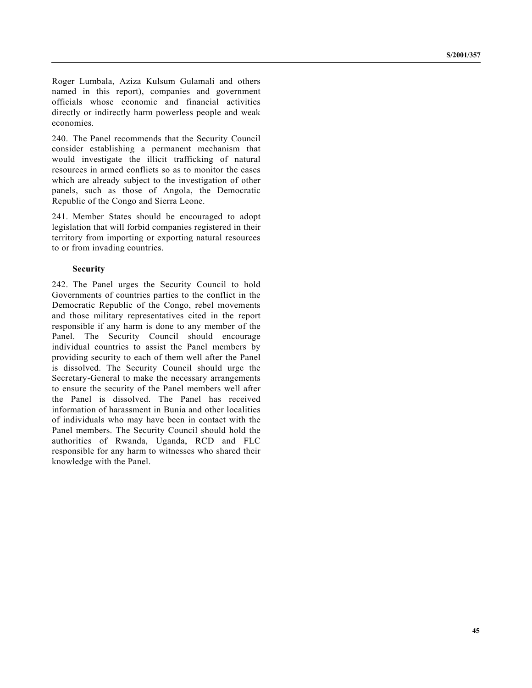Roger Lumbala, Aziza Kulsum Gulamali and others named in this report), companies and government officials whose economic and financial activities directly or indirectly harm powerless people and weak economies.

240. The Panel recommends that the Security Council consider establishing a permanent mechanism that would investigate the illicit trafficking of natural resources in armed conflicts so as to monitor the cases which are already subject to the investigation of other panels, such as those of Angola, the Democratic Republic of the Congo and Sierra Leone.

241. Member States should be encouraged to adopt legislation that will forbid companies registered in their territory from importing or exporting natural resources to or from invading countries.

#### **Security**

242. The Panel urges the Security Council to hold Governments of countries parties to the conflict in the Democratic Republic of the Congo, rebel movements and those military representatives cited in the report responsible if any harm is done to any member of the Panel. The Security Council should encourage individual countries to assist the Panel members by providing security to each of them well after the Panel is dissolved. The Security Council should urge the Secretary-General to make the necessary arrangements to ensure the security of the Panel members well after the Panel is dissolved. The Panel has received information of harassment in Bunia and other localities of individuals who may have been in contact with the Panel members. The Security Council should hold the authorities of Rwanda, Uganda, RCD and FLC responsible for any harm to witnesses who shared their knowledge with the Panel.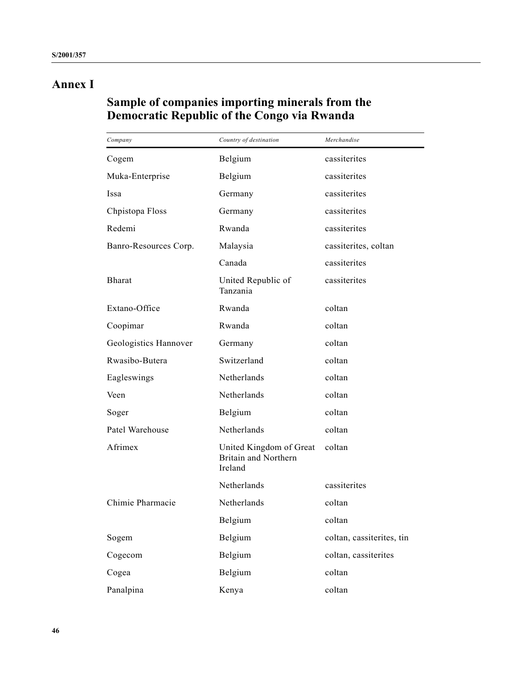# **Annex I**

## **Sample of companies importing minerals from the Democratic Republic of the Congo via Rwanda**

| Company               | Country of destination                                            | Merchandise               |
|-----------------------|-------------------------------------------------------------------|---------------------------|
| Cogem                 | Belgium                                                           | cassiterites              |
| Muka-Enterprise       | Belgium                                                           | cassiterites              |
| Issa                  | Germany                                                           | cassiterites              |
| Chpistopa Floss       | Germany                                                           | cassiterites              |
| Redemi                | Rwanda                                                            | cassiterites              |
| Banro-Resources Corp. | Malaysia                                                          | cassiterites, coltan      |
|                       | Canada                                                            | cassiterites              |
| <b>Bharat</b>         | United Republic of<br>Tanzania                                    | cassiterites              |
| Extano-Office         | Rwanda                                                            | coltan                    |
| Coopimar              | Rwanda                                                            | coltan                    |
| Geologistics Hannover | Germany                                                           | coltan                    |
| Rwasibo-Butera        | Switzerland                                                       | coltan                    |
| Eagleswings           | Netherlands                                                       | coltan                    |
| Veen                  | Netherlands                                                       | coltan                    |
| Soger                 | Belgium                                                           | coltan                    |
| Patel Warehouse       | Netherlands                                                       | coltan                    |
| Afrimex               | United Kingdom of Great<br><b>Britain and Northern</b><br>Ireland | coltan                    |
|                       | Netherlands                                                       | cassiterites              |
| Chimie Pharmacie      | Netherlands                                                       | coltan                    |
|                       | Belgium                                                           | coltan                    |
| Sogem                 | Belgium                                                           | coltan, cassiterites, tin |
| Cogecom               | Belgium                                                           | coltan, cassiterites      |
| Cogea                 | Belgium                                                           | coltan                    |
| Panalpina             | Kenya                                                             | coltan                    |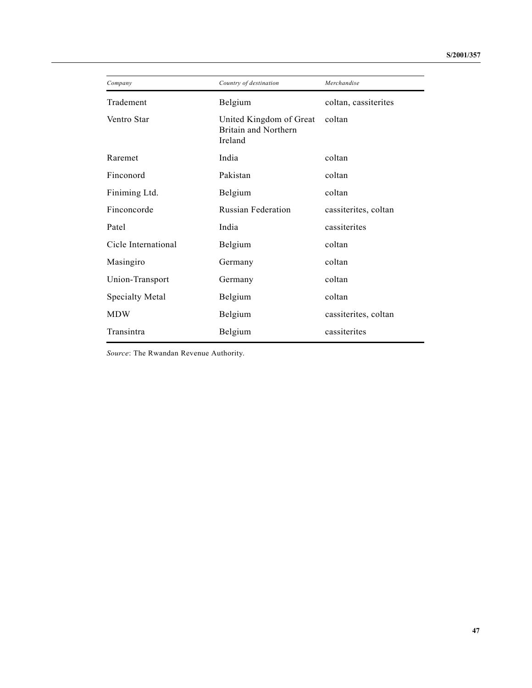| Company                | Country of destination                                     | Merchandise          |
|------------------------|------------------------------------------------------------|----------------------|
| Tradement              | Belgium                                                    | coltan, cassiterites |
| Ventro Star            | United Kingdom of Great<br>Britain and Northern<br>Ireland | coltan               |
| Raremet                | India                                                      | coltan               |
| Finconord              | Pakistan                                                   | coltan               |
| Finiming Ltd.          | Belgium                                                    | coltan               |
| Finconcorde            | <b>Russian Federation</b>                                  | cassiterites, coltan |
| Patel                  | India                                                      | cassiterites         |
| Cicle International    | Belgium                                                    | coltan               |
| Masingiro              | Germany                                                    | coltan               |
| Union-Transport        | Germany                                                    | coltan               |
| <b>Specialty Metal</b> | Belgium                                                    | coltan               |
| <b>MDW</b>             | Belgium                                                    | cassiterites, coltan |
| Transintra             | Belgium                                                    | cassiterites         |

*Source*: The Rwandan Revenue Authority.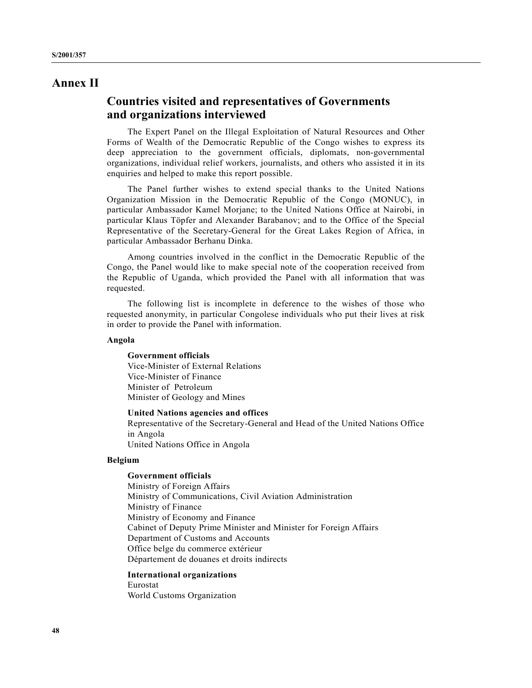## **Annex II**

## **Countries visited and representatives of Governments and organizations interviewed**

The Expert Panel on the Illegal Exploitation of Natural Resources and Other Forms of Wealth of the Democratic Republic of the Congo wishes to express its deep appreciation to the government officials, diplomats, non-governmental organizations, individual relief workers, journalists, and others who assisted it in its enquiries and helped to make this report possible.

The Panel further wishes to extend special thanks to the United Nations Organization Mission in the Democratic Republic of the Congo (MONUC), in particular Ambassador Kamel Morjane; to the United Nations Office at Nairobi, in particular Klaus Töpfer and Alexander Barabanov; and to the Office of the Special Representative of the Secretary-General for the Great Lakes Region of Africa, in particular Ambassador Berhanu Dinka.

Among countries involved in the conflict in the Democratic Republic of the Congo, the Panel would like to make special note of the cooperation received from the Republic of Uganda, which provided the Panel with all information that was requested.

The following list is incomplete in deference to the wishes of those who requested anonymity, in particular Congolese individuals who put their lives at risk in order to provide the Panel with information.

#### **Angola**

**Government officials** Vice-Minister of External Relations Vice-Minister of Finance Minister of Petroleum Minister of Geology and Mines

#### **United Nations agencies and offices**

Representative of the Secretary-General and Head of the United Nations Office in Angola United Nations Office in Angola

#### **Belgium**

#### **Government officials**

Ministry of Foreign Affairs Ministry of Communications, Civil Aviation Administration Ministry of Finance Ministry of Economy and Finance Cabinet of Deputy Prime Minister and Minister for Foreign Affairs Department of Customs and Accounts Office belge du commerce extérieur Département de douanes et droits indirects

**International organizations** Eurostat World Customs Organization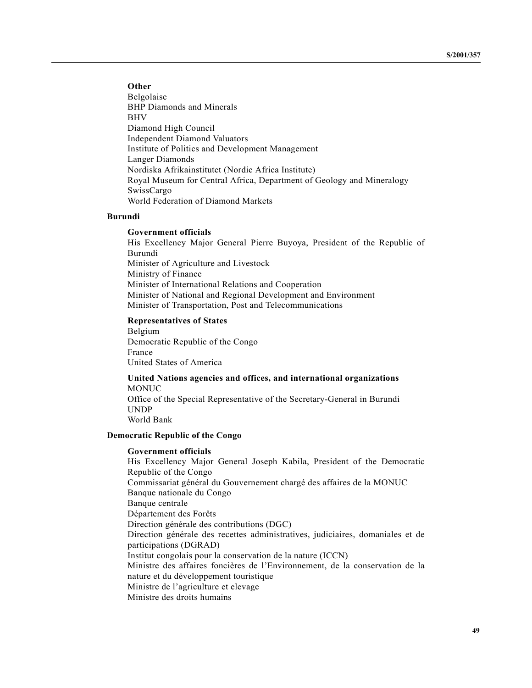**Other**

Belgolaise BHP Diamonds and Minerals BHV Diamond High Council Independent Diamond Valuators Institute of Politics and Development Management Langer Diamonds Nordiska Afrikainstitutet (Nordic Africa Institute) Royal Museum for Central Africa, Department of Geology and Mineralogy SwissCargo World Federation of Diamond Markets

#### **Burundi**

#### **Government officials**

His Excellency Major General Pierre Buyoya, President of the Republic of Burundi Minister of Agriculture and Livestock Ministry of Finance Minister of International Relations and Cooperation Minister of National and Regional Development and Environment Minister of Transportation, Post and Telecommunications

#### **Representatives of States**

Belgium Democratic Republic of the Congo France United States of America

#### **United Nations agencies and offices, and international organizations** MONUC

Office of the Special Representative of the Secretary-General in Burundi UNDP World Bank

### **Democratic Republic of the Congo**

#### **Government officials**

His Excellency Major General Joseph Kabila, President of the Democratic Republic of the Congo Commissariat général du Gouvernement chargé des affaires de la MONUC Banque nationale du Congo Banque centrale Département des Forêts Direction générale des contributions (DGC) Direction générale des recettes administratives, judiciaires, domaniales et de participations (DGRAD) Institut congolais pour la conservation de la nature (ICCN) Ministre des affaires foncières de l'Environnement, de la conservation de la nature et du développement touristique Ministre de l'agriculture et elevage Ministre des droits humains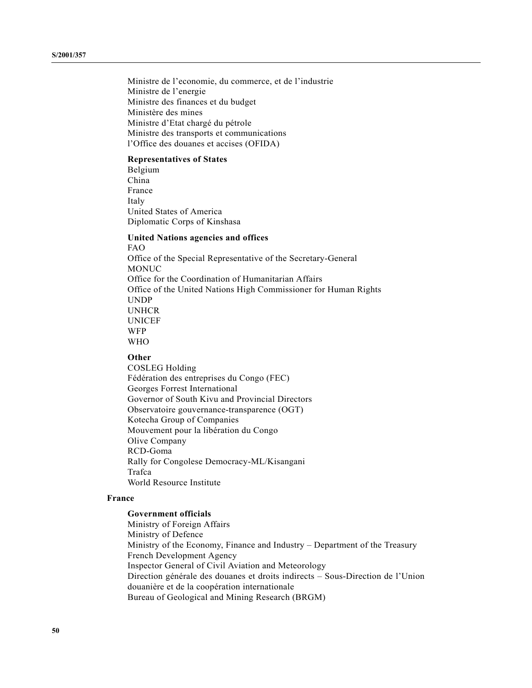Ministre de l'economie, du commerce, et de l'industrie Ministre de l'energie Ministre des finances et du budget Ministère des mines Ministre d'Etat chargé du pétrole Ministre des transports et communications l'Office des douanes et accises (OFIDA)

#### **Representatives of States**

Belgium China France Italy United States of America Diplomatic Corps of Kinshasa

#### **United Nations agencies and offices** FAO

Office of the Special Representative of the Secretary-General MONUC Office for the Coordination of Humanitarian Affairs Office of the United Nations High Commissioner for Human Rights UNDP UNHCR UNICEF WFP WHO

#### **Other**

COSLEG Holding Fédération des entreprises du Congo (FEC) Georges Forrest International Governor of South Kivu and Provincial Directors Observatoire gouvernance-transparence (OGT) Kotecha Group of Companies Mouvement pour la libération du Congo Olive Company RCD-Goma Rally for Congolese Democracy-ML/Kisangani Trafca World Resource Institute

#### **France**

#### **Government officials**

Ministry of Foreign Affairs Ministry of Defence Ministry of the Economy, Finance and Industry – Department of the Treasury French Development Agency Inspector General of Civil Aviation and Meteorology Direction générale des douanes et droits indirects – Sous-Direction de l'Union douanière et de la coopération internationale Bureau of Geological and Mining Research (BRGM)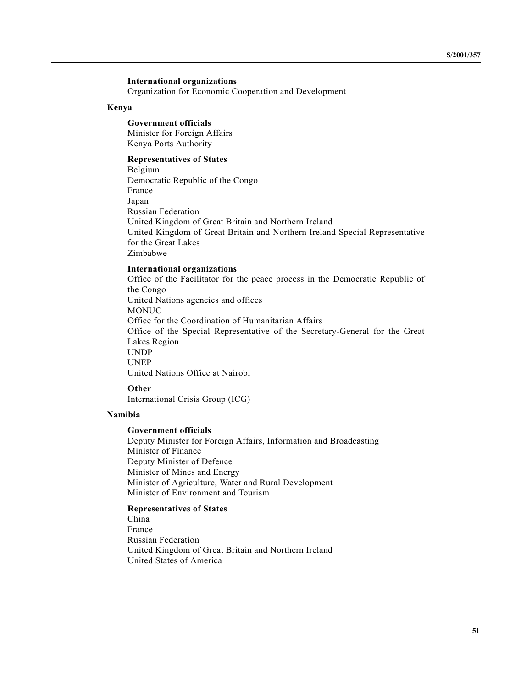#### **International organizations**

Organization for Economic Cooperation and Development

#### **Kenya**

#### **Government officials** Minister for Foreign Affairs

Kenya Ports Authority

#### **Representatives of States**

Belgium Democratic Republic of the Congo France Japan Russian Federation United Kingdom of Great Britain and Northern Ireland United Kingdom of Great Britain and Northern Ireland Special Representative for the Great Lakes Zimbabwe

#### **International organizations**

Office of the Facilitator for the peace process in the Democratic Republic of the Congo United Nations agencies and offices MONUC Office for the Coordination of Humanitarian Affairs Office of the Special Representative of the Secretary-General for the Great Lakes Region UNDP UNEP United Nations Office at Nairobi

#### **Other**

International Crisis Group (ICG)

#### **Namibia**

#### **Government officials**

Deputy Minister for Foreign Affairs, Information and Broadcasting Minister of Finance Deputy Minister of Defence Minister of Mines and Energy Minister of Agriculture, Water and Rural Development Minister of Environment and Tourism

#### **Representatives of States**

China France Russian Federation United Kingdom of Great Britain and Northern Ireland United States of America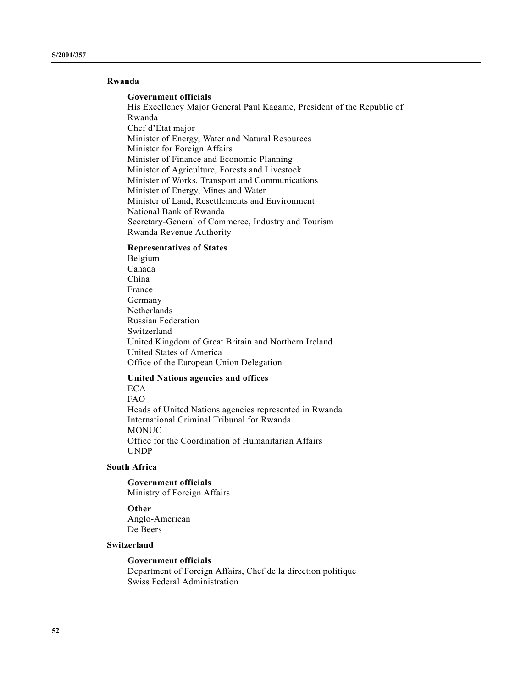#### **Rwanda**

#### **Government officials**

His Excellency Major General Paul Kagame, President of the Republic of Rwanda Chef d'Etat major Minister of Energy, Water and Natural Resources Minister for Foreign Affairs Minister of Finance and Economic Planning Minister of Agriculture, Forests and Livestock Minister of Works, Transport and Communications Minister of Energy, Mines and Water Minister of Land, Resettlements and Environment National Bank of Rwanda Secretary-General of Commerce, Industry and Tourism Rwanda Revenue Authority

#### **Representatives of States**

Belgium Canada China France Germany Netherlands Russian Federation Switzerland United Kingdom of Great Britain and Northern Ireland United States of America Office of the European Union Delegation

#### **United Nations agencies and offices**

#### ECA FAO

Heads of United Nations agencies represented in Rwanda International Criminal Tribunal for Rwanda MONUC Office for the Coordination of Humanitarian Affairs UNDP

#### **South Africa**

## **Government officials**

Ministry of Foreign Affairs

#### **Other**

Anglo-American De Beers

#### **Switzerland**

#### **Government officials**

Department of Foreign Affairs, Chef de la direction politique Swiss Federal Administration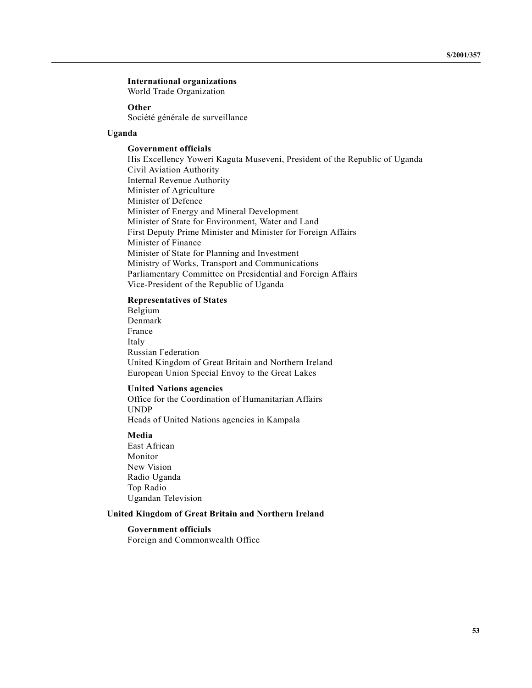#### **International organizations**

World Trade Organization

#### **Other**

Société générale de surveillance

#### **Uganda**

#### **Government officials**

His Excellency Yoweri Kaguta Museveni, President of the Republic of Uganda Civil Aviation Authority Internal Revenue Authority Minister of Agriculture Minister of Defence Minister of Energy and Mineral Development Minister of State for Environment, Water and Land First Deputy Prime Minister and Minister for Foreign Affairs Minister of Finance Minister of State for Planning and Investment Ministry of Works, Transport and Communications Parliamentary Committee on Presidential and Foreign Affairs Vice-President of the Republic of Uganda

#### **Representatives of States**

Belgium Denmark France Italy Russian Federation United Kingdom of Great Britain and Northern Ireland European Union Special Envoy to the Great Lakes

#### **United Nations agencies**

Office for the Coordination of Humanitarian Affairs UNDP Heads of United Nations agencies in Kampala

#### **Media**

East African Monitor New Vision Radio Uganda Top Radio Ugandan Television

#### **United Kingdom of Great Britain and Northern Ireland**

#### **Government officials**

Foreign and Commonwealth Office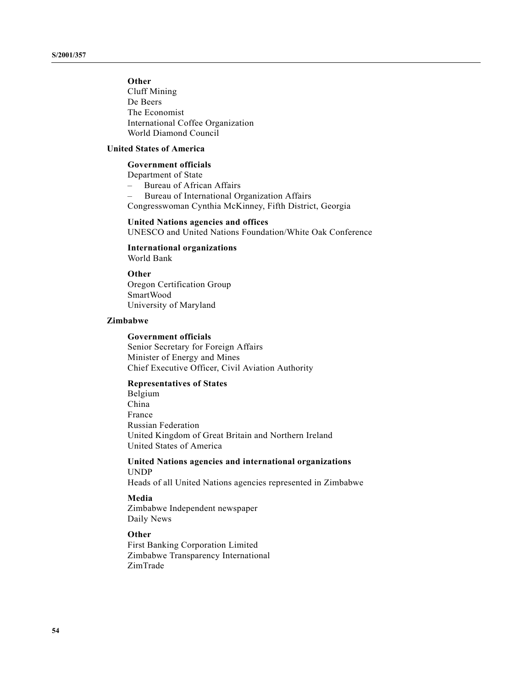### **Other**

Cluff Mining De Beers The Economist International Coffee Organization World Diamond Council

#### **United States of America**

#### **Government officials**

Department of State

– Bureau of African Affairs – Bureau of International Organization Affairs

Congresswoman Cynthia McKinney, Fifth District, Georgia

#### **United Nations agencies and offices**

UNESCO and United Nations Foundation/White Oak Conference

#### **International organizations** World Bank

#### **Other**

Oregon Certification Group SmartWood University of Maryland

#### **Zimbabwe**

#### **Government officials**

Senior Secretary for Foreign Affairs Minister of Energy and Mines Chief Executive Officer, Civil Aviation Authority

#### **Representatives of States**

Belgium China France Russian Federation United Kingdom of Great Britain and Northern Ireland United States of America

#### **United Nations agencies and international organizations** UNDP

Heads of all United Nations agencies represented in Zimbabwe

#### **Media**

Zimbabwe Independent newspaper Daily News

#### **Other**

First Banking Corporation Limited Zimbabwe Transparency International ZimTrade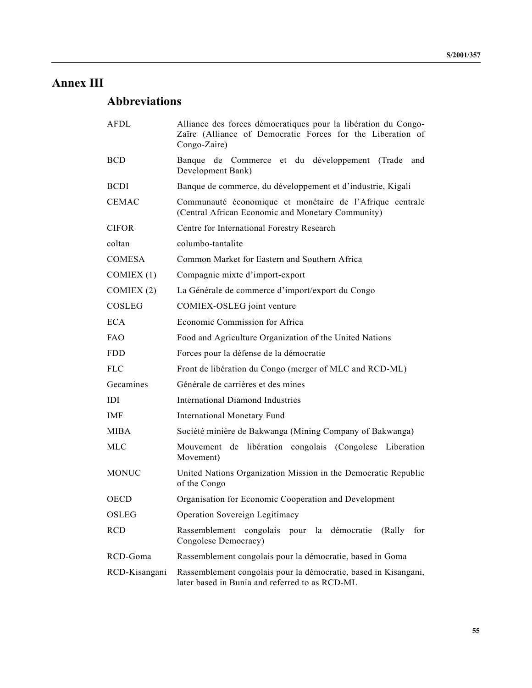# **Annex III**

# **Abbreviations**

| <b>AFDL</b>   | Alliance des forces démocratiques pour la libération du Congo-<br>Zaïre (Alliance of Democratic Forces for the Liberation of<br>Congo-Zaire) |
|---------------|----------------------------------------------------------------------------------------------------------------------------------------------|
| <b>BCD</b>    | Banque de Commerce et du développement (Trade<br>and<br>Development Bank)                                                                    |
| <b>BCDI</b>   | Banque de commerce, du développement et d'industrie, Kigali                                                                                  |
| <b>CEMAC</b>  | Communauté économique et monétaire de l'Afrique centrale<br>(Central African Economic and Monetary Community)                                |
| <b>CIFOR</b>  | Centre for International Forestry Research                                                                                                   |
| coltan        | columbo-tantalite                                                                                                                            |
| <b>COMESA</b> | Common Market for Eastern and Southern Africa                                                                                                |
| COMIEX(1)     | Compagnie mixte d'import-export                                                                                                              |
| COMIEX $(2)$  | La Générale de commerce d'import/export du Congo                                                                                             |
| COSLEG        | COMIEX-OSLEG joint venture                                                                                                                   |
| <b>ECA</b>    | Economic Commission for Africa                                                                                                               |
| <b>FAO</b>    | Food and Agriculture Organization of the United Nations                                                                                      |
| <b>FDD</b>    | Forces pour la défense de la démocratie                                                                                                      |
| <b>FLC</b>    | Front de libération du Congo (merger of MLC and RCD-ML)                                                                                      |
| Gecamines     | Générale de carrières et des mines                                                                                                           |
| IDI           | <b>International Diamond Industries</b>                                                                                                      |
| <b>IMF</b>    | <b>International Monetary Fund</b>                                                                                                           |
| MIBA          | Société minière de Bakwanga (Mining Company of Bakwanga)                                                                                     |
| <b>MLC</b>    | Mouvement de libération congolais (Congolese Liberation<br>Movement)                                                                         |
| <b>MONUC</b>  | United Nations Organization Mission in the Democratic Republic<br>of the Congo                                                               |
| <b>OECD</b>   | Organisation for Economic Cooperation and Development                                                                                        |
| OSLEG         | Operation Sovereign Legitimacy                                                                                                               |
| <b>RCD</b>    | Rassemblement congolais pour la démocratie<br>(Rally)<br>for<br>Congolese Democracy)                                                         |
| RCD-Goma      | Rassemblement congolais pour la démocratie, based in Goma                                                                                    |
| RCD-Kisangani | Rassemblement congolais pour la démocratie, based in Kisangani,<br>later based in Bunia and referred to as RCD-ML                            |